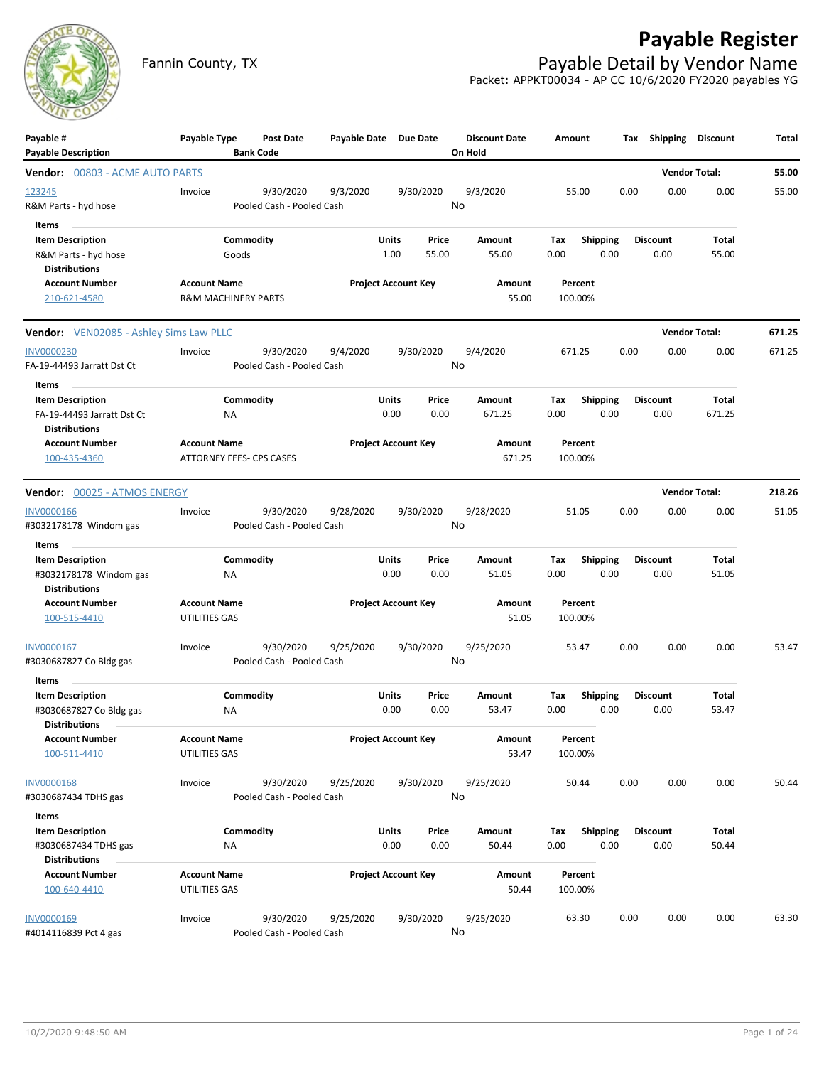# **Payable Register**



Fannin County, TX **Payable Detail by Vendor Name** Packet: APPKT00034 - AP CC 10/6/2020 FY2020 payables YG

| Payable #<br><b>Payable Description</b>                                                | Payable Type                                          | <b>Post Date</b><br><b>Bank Code</b>   |           | Payable Date Due Date           | <b>Discount Date</b><br>On Hold |                  | Amount             |                         | Тах  | <b>Shipping Discount</b> |                      | Total  |
|----------------------------------------------------------------------------------------|-------------------------------------------------------|----------------------------------------|-----------|---------------------------------|---------------------------------|------------------|--------------------|-------------------------|------|--------------------------|----------------------|--------|
| Vendor: 00803 - ACME AUTO PARTS                                                        |                                                       |                                        |           |                                 |                                 |                  |                    |                         |      |                          | <b>Vendor Total:</b> | 55.00  |
| 123245<br>R&M Parts - hyd hose                                                         | Invoice                                               | 9/30/2020<br>Pooled Cash - Pooled Cash | 9/3/2020  | 9/30/2020                       | 9/3/2020<br>No                  |                  | 55.00              |                         | 0.00 | 0.00                     | 0.00                 | 55.00  |
| Items<br><b>Item Description</b><br>R&M Parts - hyd hose<br><b>Distributions</b>       |                                                       | Commodity<br>Goods                     |           | Units<br>Price<br>1.00<br>55.00 | Amount<br>55.00                 |                  | Tax<br>0.00        | <b>Shipping</b><br>0.00 |      | <b>Discount</b><br>0.00  | Total<br>55.00       |        |
| <b>Account Number</b><br>210-621-4580                                                  | <b>Account Name</b><br><b>R&amp;M MACHINERY PARTS</b> |                                        |           | <b>Project Account Key</b>      |                                 | Amount<br>55.00  | Percent<br>100.00% |                         |      |                          |                      |        |
| <b>Vendor:</b> VEN02085 - Ashley Sims Law PLLC                                         |                                                       |                                        |           |                                 |                                 |                  |                    |                         |      |                          | <b>Vendor Total:</b> | 671.25 |
| <b>INV0000230</b><br>FA-19-44493 Jarratt Dst Ct                                        | Invoice                                               | 9/30/2020<br>Pooled Cash - Pooled Cash | 9/4/2020  | 9/30/2020                       | 9/4/2020<br>No                  |                  | 671.25             |                         | 0.00 | 0.00                     | 0.00                 | 671.25 |
| Items<br><b>Item Description</b><br>FA-19-44493 Jarratt Dst Ct<br><b>Distributions</b> | ΝA                                                    | Commodity                              |           | Units<br>Price<br>0.00<br>0.00  | Amount<br>671.25                |                  | Tax<br>0.00        | <b>Shipping</b><br>0.00 |      | <b>Discount</b><br>0.00  | Total<br>671.25      |        |
| <b>Account Number</b><br>100-435-4360                                                  | <b>Account Name</b>                                   | ATTORNEY FEES- CPS CASES               |           | <b>Project Account Key</b>      |                                 | Amount<br>671.25 | Percent<br>100.00% |                         |      |                          |                      |        |
| Vendor: 00025 - ATMOS ENERGY                                                           |                                                       |                                        |           |                                 |                                 |                  |                    |                         |      |                          | <b>Vendor Total:</b> | 218.26 |
| <b>INV0000166</b><br>#3032178178 Windom gas                                            | Invoice                                               | 9/30/2020<br>Pooled Cash - Pooled Cash | 9/28/2020 | 9/30/2020                       | 9/28/2020<br>No                 |                  | 51.05              |                         | 0.00 | 0.00                     | 0.00                 | 51.05  |
| Items                                                                                  |                                                       |                                        |           |                                 |                                 |                  |                    |                         |      |                          |                      |        |
| <b>Item Description</b><br>#3032178178 Windom gas<br><b>Distributions</b>              | ΝA                                                    | Commodity                              |           | Units<br>Price<br>0.00<br>0.00  | Amount<br>51.05                 |                  | Tax<br>0.00        | <b>Shipping</b><br>0.00 |      | <b>Discount</b><br>0.00  | Total<br>51.05       |        |
| <b>Account Number</b><br>100-515-4410                                                  | <b>Account Name</b><br>UTILITIES GAS                  |                                        |           | <b>Project Account Key</b>      |                                 | Amount<br>51.05  | Percent<br>100.00% |                         |      |                          |                      |        |
| INV0000167<br>#3030687827 Co Bldg gas                                                  | Invoice                                               | 9/30/2020<br>Pooled Cash - Pooled Cash | 9/25/2020 | 9/30/2020                       | 9/25/2020<br>No                 |                  | 53.47              |                         | 0.00 | 0.00                     | 0.00                 | 53.47  |
| Items                                                                                  |                                                       |                                        |           |                                 |                                 |                  |                    |                         |      |                          |                      |        |
| <b>Item Description</b><br>#3030687827 Co Bldg gas<br><b>Distributions</b>             | ΝA                                                    | Commodity                              |           | Units<br>Price<br>0.00<br>0.00  | <b>Amount</b><br>53.47          |                  | Tax<br>0.00        | <b>Shipping</b><br>0.00 |      | <b>Discount</b><br>0.00  | Total<br>53.47       |        |
| <b>Account Number</b><br>100-511-4410                                                  | <b>Account Name</b><br>UTILITIES GAS                  |                                        |           | <b>Project Account Key</b>      |                                 | Amount<br>53.47  | Percent<br>100.00% |                         |      |                          |                      |        |
| INV0000168<br>#3030687434 TDHS gas                                                     | Invoice                                               | 9/30/2020<br>Pooled Cash - Pooled Cash | 9/25/2020 | 9/30/2020                       | 9/25/2020<br>No                 |                  | 50.44              |                         | 0.00 | 0.00                     | 0.00                 | 50.44  |
| Items                                                                                  |                                                       |                                        |           |                                 |                                 |                  |                    |                         |      |                          |                      |        |
| <b>Item Description</b><br>#3030687434 TDHS gas<br><b>Distributions</b>                | NA                                                    | Commodity                              |           | Units<br>Price<br>0.00<br>0.00  | Amount<br>50.44                 |                  | Tax<br>0.00        | <b>Shipping</b><br>0.00 |      | <b>Discount</b><br>0.00  | Total<br>50.44       |        |
| <b>Account Number</b><br>100-640-4410                                                  | <b>Account Name</b><br>UTILITIES GAS                  |                                        |           | <b>Project Account Key</b>      |                                 | Amount<br>50.44  | Percent<br>100.00% |                         |      |                          |                      |        |
| INV0000169<br>#4014116839 Pct 4 gas                                                    | Invoice                                               | 9/30/2020<br>Pooled Cash - Pooled Cash | 9/25/2020 | 9/30/2020                       | 9/25/2020<br>No                 |                  | 63.30              |                         | 0.00 | 0.00                     | 0.00                 | 63.30  |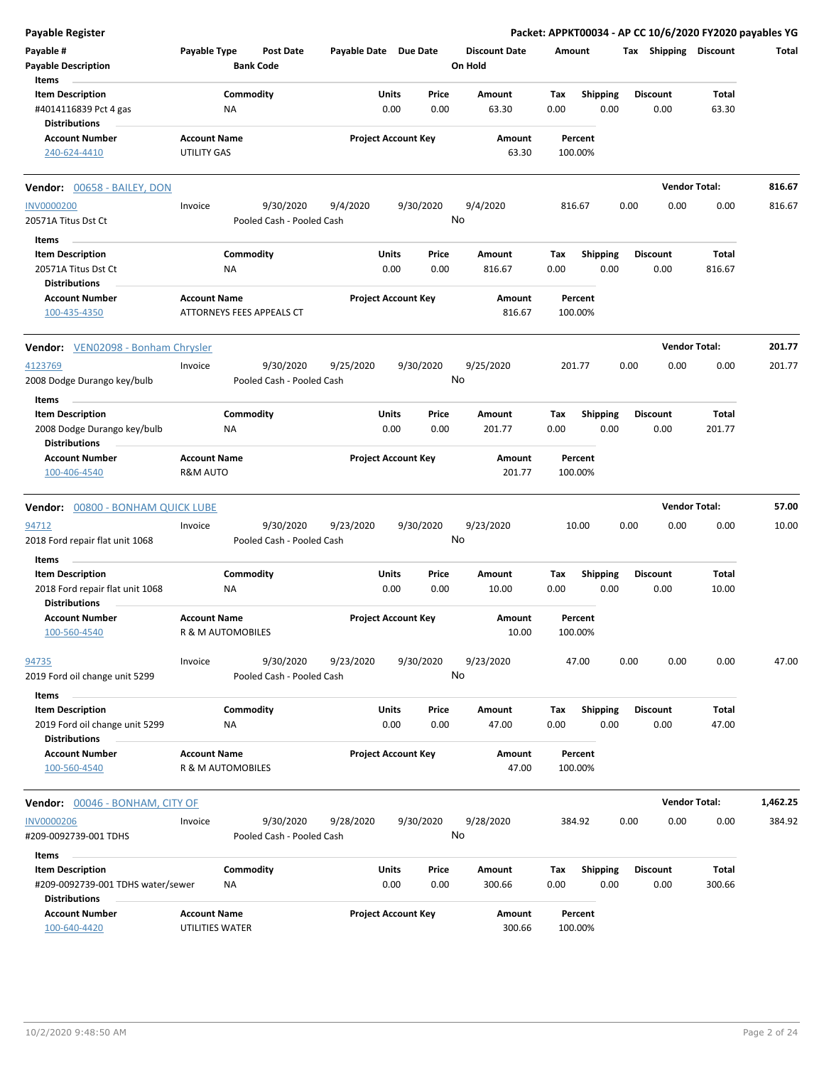| <b>Payable Register</b>                                                              |                                           |                  |                                        |                       |               |                            |                                 |             |                         |      |                         | Packet: APPKT00034 - AP CC 10/6/2020 FY2020 payables YG |          |
|--------------------------------------------------------------------------------------|-------------------------------------------|------------------|----------------------------------------|-----------------------|---------------|----------------------------|---------------------------------|-------------|-------------------------|------|-------------------------|---------------------------------------------------------|----------|
| Payable #<br><b>Payable Description</b>                                              | Payable Type                              | <b>Bank Code</b> | <b>Post Date</b>                       | Payable Date Due Date |               |                            | <b>Discount Date</b><br>On Hold | Amount      |                         |      | Tax Shipping Discount   |                                                         | Total    |
| Items                                                                                |                                           |                  |                                        |                       |               |                            |                                 |             |                         |      |                         |                                                         |          |
| <b>Item Description</b><br>#4014116839 Pct 4 gas                                     |                                           | Commodity<br>ΝA  |                                        |                       | Units<br>0.00 | Price<br>0.00              | Amount<br>63.30                 | Tax<br>0.00 | <b>Shipping</b><br>0.00 |      | <b>Discount</b><br>0.00 | Total<br>63.30                                          |          |
| <b>Distributions</b>                                                                 |                                           |                  |                                        |                       |               |                            |                                 |             |                         |      |                         |                                                         |          |
| <b>Account Number</b><br>240-624-4410                                                | <b>Account Name</b><br><b>UTILITY GAS</b> |                  |                                        |                       |               | <b>Project Account Key</b> | Amount<br>63.30                 |             | Percent<br>100.00%      |      |                         |                                                         |          |
| <b>Vendor: 00658 - BAILEY, DON</b>                                                   |                                           |                  |                                        |                       |               |                            |                                 |             |                         |      | <b>Vendor Total:</b>    |                                                         | 816.67   |
| <b>INV0000200</b>                                                                    | Invoice                                   |                  | 9/30/2020                              | 9/4/2020              |               | 9/30/2020                  | 9/4/2020                        |             | 816.67                  | 0.00 | 0.00                    | 0.00                                                    | 816.67   |
| 20571A Titus Dst Ct                                                                  |                                           |                  | Pooled Cash - Pooled Cash              |                       |               | No                         |                                 |             |                         |      |                         |                                                         |          |
| Items                                                                                |                                           |                  |                                        |                       |               |                            |                                 |             |                         |      |                         |                                                         |          |
| <b>Item Description</b>                                                              |                                           | Commodity        |                                        |                       | Units         | Price                      | Amount                          | Tax         | <b>Shipping</b>         |      | <b>Discount</b>         | Total                                                   |          |
| 20571A Titus Dst Ct<br><b>Distributions</b>                                          |                                           | ΝA               |                                        |                       | 0.00          | 0.00                       | 816.67                          | 0.00        | 0.00                    |      | 0.00                    | 816.67                                                  |          |
| <b>Account Number</b><br>100-435-4350                                                | <b>Account Name</b>                       |                  | ATTORNEYS FEES APPEALS CT              |                       |               | <b>Project Account Key</b> | Amount<br>816.67                |             | Percent<br>100.00%      |      |                         |                                                         |          |
| Vendor: VEN02098 - Bonham Chrysler                                                   |                                           |                  |                                        |                       |               |                            |                                 |             |                         |      | <b>Vendor Total:</b>    |                                                         | 201.77   |
| 4123769                                                                              | Invoice                                   |                  | 9/30/2020                              | 9/25/2020             |               | 9/30/2020                  | 9/25/2020                       |             | 201.77                  | 0.00 | 0.00                    | 0.00                                                    | 201.77   |
| 2008 Dodge Durango key/bulb<br>Items                                                 |                                           |                  | Pooled Cash - Pooled Cash              |                       |               | No                         |                                 |             |                         |      |                         |                                                         |          |
| <b>Item Description</b>                                                              |                                           | Commodity        |                                        |                       | Units         | Price                      | Amount                          | Tax         | <b>Shipping</b>         |      | <b>Discount</b>         | Total                                                   |          |
| 2008 Dodge Durango key/bulb<br><b>Distributions</b>                                  |                                           | ΝA               |                                        |                       | 0.00          | 0.00                       | 201.77                          | 0.00        | 0.00                    |      | 0.00                    | 201.77                                                  |          |
| <b>Account Number</b>                                                                | <b>Account Name</b>                       |                  |                                        |                       |               | <b>Project Account Key</b> | Amount                          |             | Percent                 |      |                         |                                                         |          |
| 100-406-4540                                                                         | R&M AUTO                                  |                  |                                        |                       |               |                            | 201.77                          |             | 100.00%                 |      |                         |                                                         |          |
| Vendor: 00800 - BONHAM QUICK LUBE                                                    |                                           |                  |                                        |                       |               |                            |                                 |             |                         |      | <b>Vendor Total:</b>    |                                                         | 57.00    |
| 94712                                                                                | Invoice                                   |                  | 9/30/2020                              | 9/23/2020             |               | 9/30/2020                  | 9/23/2020                       |             | 10.00                   | 0.00 | 0.00                    | 0.00                                                    | 10.00    |
| 2018 Ford repair flat unit 1068<br>Items                                             |                                           |                  | Pooled Cash - Pooled Cash              |                       |               | No                         |                                 |             |                         |      |                         |                                                         |          |
| <b>Item Description</b>                                                              |                                           | Commodity        |                                        |                       | Units         | Price                      | Amount                          | Tax         | <b>Shipping</b>         |      | Discount                | Total                                                   |          |
| 2018 Ford repair flat unit 1068<br><b>Distributions</b>                              |                                           | NA               |                                        |                       | 0.00          | 0.00                       | 10.00                           | 0.00        | 0.00                    |      | 0.00                    | 10.00                                                   |          |
| <b>Account Number</b><br>100-560-4540                                                | <b>Account Name</b><br>R & M AUTOMOBILES  |                  |                                        |                       |               | <b>Project Account Key</b> | Amount<br>10.00                 |             | Percent<br>100.00%      |      |                         |                                                         |          |
| 94735<br>2019 Ford oil change unit 5299                                              | Invoice                                   |                  | 9/30/2020<br>Pooled Cash - Pooled Cash | 9/23/2020             |               | 9/30/2020<br>No            | 9/23/2020                       |             | 47.00                   | 0.00 | 0.00                    | 0.00                                                    | 47.00    |
| Items                                                                                |                                           |                  |                                        |                       |               |                            |                                 |             |                         |      |                         |                                                         |          |
| <b>Item Description</b><br>2019 Ford oil change unit 5299                            |                                           | Commodity<br>NA  |                                        |                       | Units<br>0.00 | Price<br>0.00              | Amount<br>47.00                 | Tax<br>0.00 | <b>Shipping</b><br>0.00 |      | <b>Discount</b><br>0.00 | Total<br>47.00                                          |          |
| <b>Distributions</b>                                                                 |                                           |                  |                                        |                       |               |                            |                                 |             |                         |      |                         |                                                         |          |
| <b>Account Number</b><br>100-560-4540                                                | <b>Account Name</b><br>R & M AUTOMOBILES  |                  |                                        |                       |               | <b>Project Account Key</b> | Amount<br>47.00                 |             | Percent<br>100.00%      |      |                         |                                                         |          |
| <b>Vendor:</b> 00046 - BONHAM, CITY OF                                               |                                           |                  |                                        |                       |               |                            |                                 |             |                         |      | <b>Vendor Total:</b>    |                                                         | 1,462.25 |
| <b>INV0000206</b>                                                                    | Invoice                                   |                  | 9/30/2020                              | 9/28/2020             |               | 9/30/2020<br>No            | 9/28/2020                       |             | 384.92                  | 0.00 | 0.00                    | 0.00                                                    | 384.92   |
| #209-0092739-001 TDHS                                                                |                                           |                  | Pooled Cash - Pooled Cash              |                       |               |                            |                                 |             |                         |      |                         |                                                         |          |
| Items                                                                                |                                           | Commodity        |                                        |                       | Units         | Price                      | Amount                          | Tax         | <b>Shipping</b>         |      | <b>Discount</b>         | Total                                                   |          |
| <b>Item Description</b><br>#209-0092739-001 TDHS water/sewer<br><b>Distributions</b> |                                           | NA               |                                        |                       | 0.00          | 0.00                       | 300.66                          | 0.00        | 0.00                    |      | 0.00                    | 300.66                                                  |          |
| <b>Account Number</b><br>100-640-4420                                                | <b>Account Name</b><br>UTILITIES WATER    |                  |                                        |                       |               | <b>Project Account Key</b> | Amount<br>300.66                |             | Percent<br>100.00%      |      |                         |                                                         |          |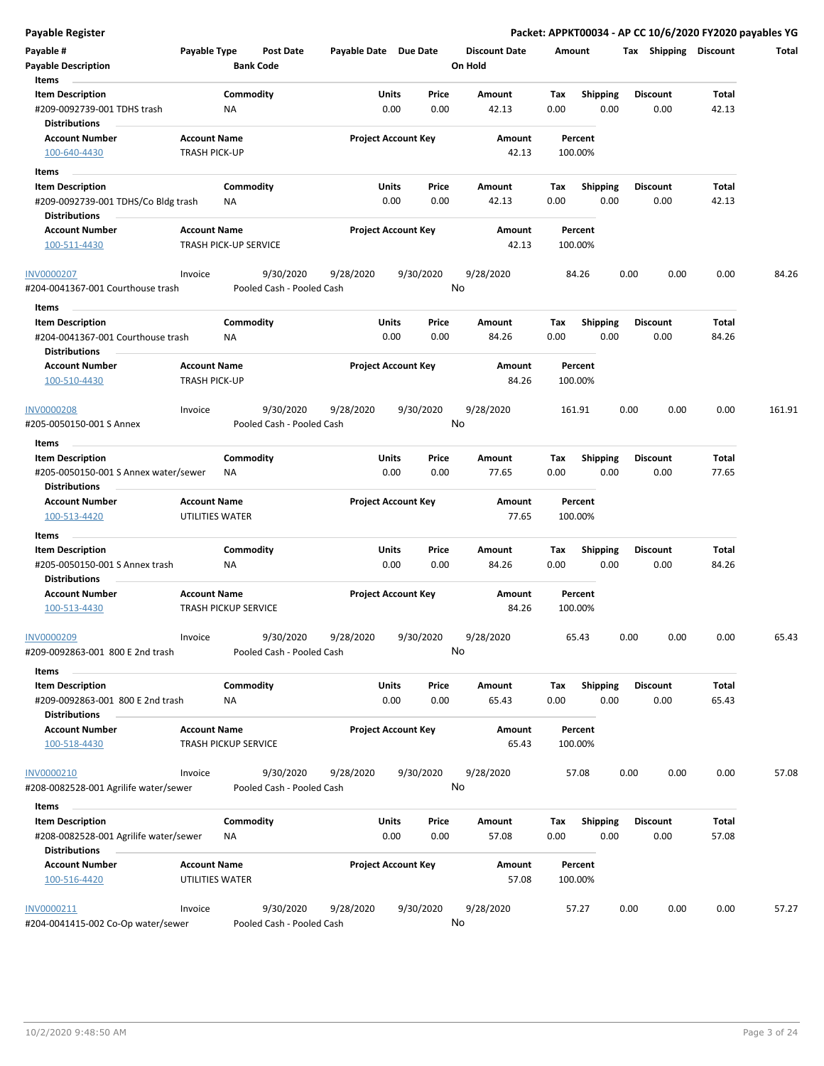| <b>Payable Register</b>                                                                  |                                                    |                 |                                        |                       |                            |               |                      |             |                         |      |                         | Packet: APPKT00034 - AP CC 10/6/2020 FY2020 payables YG |              |
|------------------------------------------------------------------------------------------|----------------------------------------------------|-----------------|----------------------------------------|-----------------------|----------------------------|---------------|----------------------|-------------|-------------------------|------|-------------------------|---------------------------------------------------------|--------------|
| Payable #                                                                                | Payable Type                                       |                 | <b>Post Date</b>                       | Payable Date Due Date |                            |               | <b>Discount Date</b> | Amount      |                         |      |                         | Tax Shipping Discount                                   | <b>Total</b> |
| <b>Payable Description</b>                                                               |                                                    |                 | <b>Bank Code</b>                       |                       |                            |               | On Hold              |             |                         |      |                         |                                                         |              |
| Items                                                                                    |                                                    |                 |                                        |                       |                            |               |                      |             |                         |      |                         |                                                         |              |
| <b>Item Description</b>                                                                  |                                                    | Commodity       |                                        |                       | Units                      | Price         | Amount               | Tax         | <b>Shipping</b>         |      | <b>Discount</b>         | Total                                                   |              |
| #209-0092739-001 TDHS trash<br><b>Distributions</b>                                      |                                                    | NA              |                                        |                       | 0.00                       | 0.00          | 42.13                | 0.00        | 0.00                    |      | 0.00                    | 42.13                                                   |              |
| <b>Account Number</b>                                                                    | <b>Account Name</b>                                |                 |                                        |                       | <b>Project Account Key</b> |               | Amount               |             | Percent                 |      |                         |                                                         |              |
| 100-640-4430<br>Items                                                                    | <b>TRASH PICK-UP</b>                               |                 |                                        |                       |                            |               | 42.13                |             | 100.00%                 |      |                         |                                                         |              |
| <b>Item Description</b>                                                                  |                                                    | Commodity       |                                        |                       | Units                      | Price         | Amount               | Tax         | <b>Shipping</b>         |      | <b>Discount</b>         | Total                                                   |              |
| #209-0092739-001 TDHS/Co Bldg trash<br><b>Distributions</b>                              |                                                    | ΝA              |                                        |                       | 0.00                       | 0.00          | 42.13                | 0.00        | 0.00                    |      | 0.00                    | 42.13                                                   |              |
| <b>Account Number</b>                                                                    | <b>Account Name</b>                                |                 |                                        |                       | <b>Project Account Key</b> |               | Amount               |             | Percent                 |      |                         |                                                         |              |
| 100-511-4430                                                                             | <b>TRASH PICK-UP SERVICE</b>                       |                 |                                        |                       |                            |               | 42.13                |             | 100.00%                 |      |                         |                                                         |              |
| INV0000207                                                                               | Invoice                                            |                 | 9/30/2020                              | 9/28/2020             |                            | 9/30/2020     | 9/28/2020            |             | 84.26                   | 0.00 | 0.00                    | 0.00                                                    | 84.26        |
| #204-0041367-001 Courthouse trash                                                        |                                                    |                 | Pooled Cash - Pooled Cash              |                       |                            |               | No                   |             |                         |      |                         |                                                         |              |
| Items<br><b>Item Description</b>                                                         |                                                    | Commodity       |                                        |                       | Units                      | Price         | Amount               | Tax         | <b>Shipping</b>         |      | <b>Discount</b>         | Total                                                   |              |
| #204-0041367-001 Courthouse trash<br><b>Distributions</b>                                |                                                    | ΝA              |                                        |                       | 0.00                       | 0.00          | 84.26                | 0.00        | 0.00                    |      | 0.00                    | 84.26                                                   |              |
| <b>Account Number</b><br>100-510-4430                                                    | <b>Account Name</b><br>TRASH PICK-UP               |                 |                                        |                       | <b>Project Account Key</b> |               | Amount<br>84.26      |             | Percent<br>100.00%      |      |                         |                                                         |              |
| <b>INV0000208</b>                                                                        | Invoice                                            |                 | 9/30/2020                              | 9/28/2020             |                            | 9/30/2020     | 9/28/2020            |             | 161.91                  | 0.00 | 0.00                    | 0.00                                                    | 161.91       |
| #205-0050150-001 S Annex                                                                 |                                                    |                 | Pooled Cash - Pooled Cash              |                       |                            |               | No                   |             |                         |      |                         |                                                         |              |
| Items                                                                                    |                                                    |                 |                                        |                       |                            |               |                      |             |                         |      |                         |                                                         |              |
| <b>Item Description</b><br>#205-0050150-001 S Annex water/sewer<br><b>Distributions</b>  |                                                    | Commodity<br>ΝA |                                        |                       | Units<br>0.00              | Price<br>0.00 | Amount<br>77.65      | Tax<br>0.00 | <b>Shipping</b><br>0.00 |      | <b>Discount</b><br>0.00 | Total<br>77.65                                          |              |
| <b>Account Number</b><br>100-513-4420                                                    | <b>Account Name</b><br>UTILITIES WATER             |                 |                                        |                       | <b>Project Account Key</b> |               | Amount<br>77.65      |             | Percent<br>100.00%      |      |                         |                                                         |              |
| Items                                                                                    |                                                    |                 |                                        |                       |                            |               |                      |             |                         |      |                         |                                                         |              |
| <b>Item Description</b>                                                                  |                                                    | Commodity       |                                        |                       | Units                      | Price         | Amount               | Tax         | <b>Shipping</b>         |      | <b>Discount</b>         | Total                                                   |              |
| #205-0050150-001 S Annex trash<br><b>Distributions</b>                                   |                                                    | NA              |                                        |                       | 0.00                       | 0.00          | 84.26                | 0.00        | 0.00                    |      | 0.00                    | 84.26                                                   |              |
| <b>Account Number</b><br>100-513-4430                                                    | <b>Account Name</b><br><b>TRASH PICKUP SERVICE</b> |                 |                                        |                       | <b>Project Account Key</b> |               | Amount<br>84.26      |             | Percent<br>100.00%      |      |                         |                                                         |              |
| INV0000209<br>#209-0092863-001 800 E 2nd trash                                           | Invoice                                            |                 | 9/30/2020<br>Pooled Cash - Pooled Cash | 9/28/2020             |                            | 9/30/2020     | 9/28/2020<br>No      |             | 65.43                   | 0.00 | 0.00                    | 0.00                                                    | 65.43        |
| Items                                                                                    |                                                    |                 |                                        |                       |                            |               |                      |             |                         |      |                         |                                                         |              |
| <b>Item Description</b><br>#209-0092863-001 800 E 2nd trash                              |                                                    | Commodity<br>ΝA |                                        |                       | Units<br>0.00              | Price<br>0.00 | Amount<br>65.43      | Tax<br>0.00 | <b>Shipping</b><br>0.00 |      | <b>Discount</b><br>0.00 | Total<br>65.43                                          |              |
| <b>Distributions</b>                                                                     |                                                    |                 |                                        |                       |                            |               |                      |             |                         |      |                         |                                                         |              |
| <b>Account Number</b><br>100-518-4430                                                    | <b>Account Name</b><br><b>TRASH PICKUP SERVICE</b> |                 |                                        |                       | <b>Project Account Key</b> |               | Amount<br>65.43      |             | Percent<br>100.00%      |      |                         |                                                         |              |
| INV0000210                                                                               | Invoice                                            |                 | 9/30/2020                              | 9/28/2020             |                            | 9/30/2020     | 9/28/2020            |             | 57.08                   | 0.00 | 0.00                    | 0.00                                                    | 57.08        |
| #208-0082528-001 Agrilife water/sewer                                                    |                                                    |                 | Pooled Cash - Pooled Cash              |                       |                            |               | No                   |             |                         |      |                         |                                                         |              |
| Items                                                                                    |                                                    |                 |                                        |                       |                            |               |                      |             |                         |      |                         |                                                         |              |
| <b>Item Description</b><br>#208-0082528-001 Agrilife water/sewer<br><b>Distributions</b> |                                                    | Commodity<br>ΝA |                                        |                       | Units<br>0.00              | Price<br>0.00 | Amount<br>57.08      | Tax<br>0.00 | <b>Shipping</b><br>0.00 |      | <b>Discount</b><br>0.00 | Total<br>57.08                                          |              |
| <b>Account Number</b>                                                                    | <b>Account Name</b>                                |                 |                                        |                       | <b>Project Account Key</b> |               | Amount               |             | Percent                 |      |                         |                                                         |              |
| 100-516-4420                                                                             | UTILITIES WATER                                    |                 |                                        |                       |                            |               | 57.08                |             | 100.00%                 |      |                         |                                                         |              |
| INV0000211                                                                               | Invoice                                            |                 | 9/30/2020                              | 9/28/2020             |                            | 9/30/2020     | 9/28/2020            |             | 57.27                   | 0.00 | 0.00                    | 0.00                                                    | 57.27        |
| #204-0041415-002 Co-Op water/sewer                                                       |                                                    |                 | Pooled Cash - Pooled Cash              |                       |                            |               | No                   |             |                         |      |                         |                                                         |              |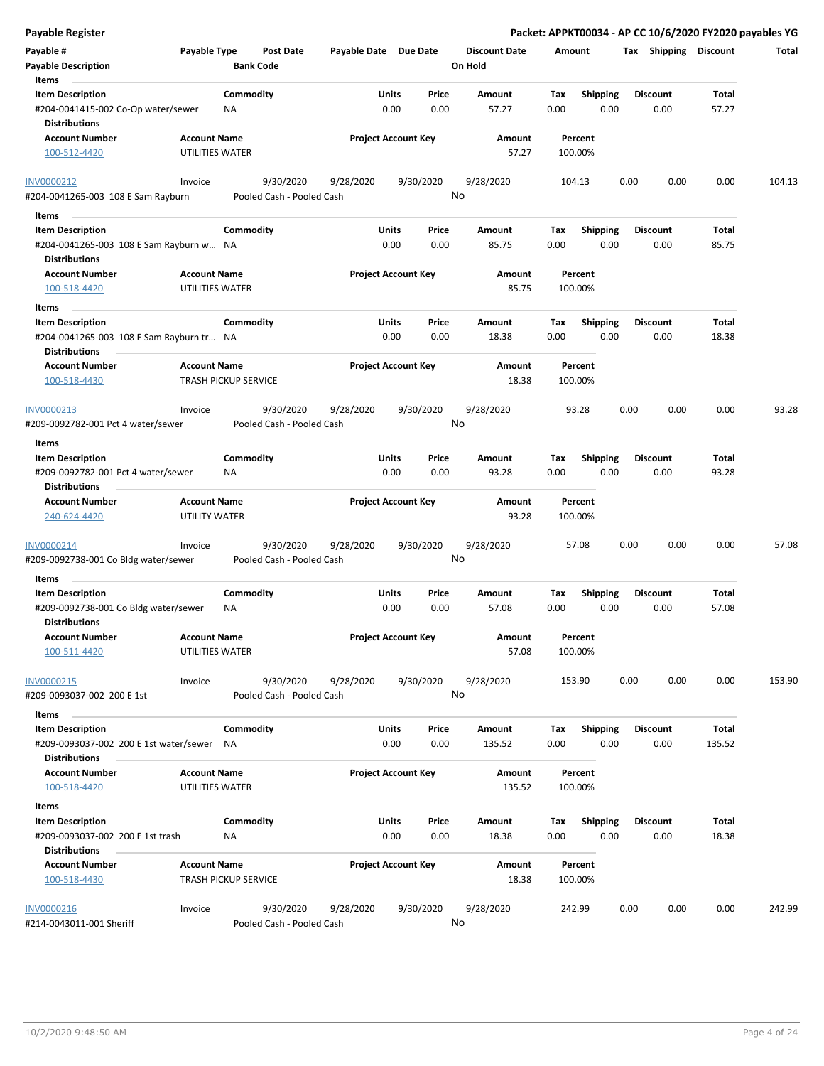| <b>Payable Register</b>                                                               |                                        |                             |                                        |                       |                            |               |                                 |                    |                         |      |                         | Packet: APPKT00034 - AP CC 10/6/2020 FY2020 payables YG |        |
|---------------------------------------------------------------------------------------|----------------------------------------|-----------------------------|----------------------------------------|-----------------------|----------------------------|---------------|---------------------------------|--------------------|-------------------------|------|-------------------------|---------------------------------------------------------|--------|
| Payable #<br><b>Payable Description</b>                                               | Payable Type                           | <b>Bank Code</b>            | <b>Post Date</b>                       | Payable Date Due Date |                            |               | <b>Discount Date</b><br>On Hold | Amount             |                         |      | Tax Shipping Discount   |                                                         | Total  |
| Items<br><b>Item Description</b>                                                      |                                        | Commodity<br>NA             |                                        |                       | Units<br>0.00              | Price<br>0.00 | Amount<br>57.27                 | Tax<br>0.00        | <b>Shipping</b><br>0.00 |      | <b>Discount</b><br>0.00 | Total<br>57.27                                          |        |
| #204-0041415-002 Co-Op water/sewer<br><b>Distributions</b>                            |                                        |                             |                                        |                       |                            |               |                                 |                    |                         |      |                         |                                                         |        |
| <b>Account Number</b><br>100-512-4420                                                 | <b>Account Name</b><br>UTILITIES WATER |                             |                                        |                       | <b>Project Account Key</b> |               | Amount<br>57.27                 | Percent<br>100.00% |                         |      |                         |                                                         |        |
| INV0000212                                                                            | Invoice                                |                             | 9/30/2020                              | 9/28/2020             |                            | 9/30/2020     | 9/28/2020                       | 104.13             |                         | 0.00 | 0.00                    | 0.00                                                    | 104.13 |
| #204-0041265-003 108 E Sam Rayburn                                                    |                                        |                             | Pooled Cash - Pooled Cash              |                       |                            |               | No                              |                    |                         |      |                         |                                                         |        |
| Items                                                                                 |                                        |                             |                                        |                       |                            |               |                                 |                    |                         |      |                         |                                                         |        |
| <b>Item Description</b><br>#204-0041265-003 108 E Sam Rayburn w NA                    |                                        | Commodity                   |                                        |                       | <b>Units</b><br>0.00       | Price<br>0.00 | Amount<br>85.75                 | Tax<br>0.00        | <b>Shipping</b><br>0.00 |      | <b>Discount</b><br>0.00 | Total<br>85.75                                          |        |
| <b>Distributions</b>                                                                  |                                        |                             |                                        |                       |                            |               |                                 |                    |                         |      |                         |                                                         |        |
| <b>Account Number</b><br>100-518-4420                                                 | <b>Account Name</b><br>UTILITIES WATER |                             |                                        |                       | <b>Project Account Key</b> |               | Amount<br>85.75                 | Percent<br>100.00% |                         |      |                         |                                                         |        |
| Items                                                                                 |                                        |                             |                                        |                       |                            |               |                                 |                    |                         |      |                         |                                                         |        |
| <b>Item Description</b><br>#204-0041265-003 108 E Sam Rayburn tr NA                   |                                        | Commodity                   |                                        |                       | <b>Units</b><br>0.00       | Price<br>0.00 | Amount<br>18.38                 | Tax<br>0.00        | <b>Shipping</b><br>0.00 |      | <b>Discount</b><br>0.00 | Total<br>18.38                                          |        |
| <b>Distributions</b><br><b>Account Number</b><br>100-518-4430                         | <b>Account Name</b>                    | <b>TRASH PICKUP SERVICE</b> |                                        |                       | <b>Project Account Key</b> |               | Amount<br>18.38                 | Percent<br>100.00% |                         |      |                         |                                                         |        |
|                                                                                       |                                        |                             |                                        |                       |                            |               |                                 |                    |                         |      |                         |                                                         |        |
| INV0000213<br>#209-0092782-001 Pct 4 water/sewer                                      | Invoice                                |                             | 9/30/2020<br>Pooled Cash - Pooled Cash | 9/28/2020             |                            | 9/30/2020     | 9/28/2020<br>No                 | 93.28              |                         | 0.00 | 0.00                    | 0.00                                                    | 93.28  |
| Items                                                                                 |                                        |                             |                                        |                       |                            |               |                                 |                    |                         |      |                         |                                                         |        |
| <b>Item Description</b><br>#209-0092782-001 Pct 4 water/sewer<br><b>Distributions</b> |                                        | Commodity<br>NA             |                                        |                       | Units<br>0.00              | Price<br>0.00 | Amount<br>93.28                 | Tax<br>0.00        | <b>Shipping</b><br>0.00 |      | <b>Discount</b><br>0.00 | Total<br>93.28                                          |        |
| <b>Account Number</b><br>240-624-4420                                                 | <b>Account Name</b><br>UTILITY WATER   |                             |                                        |                       | <b>Project Account Key</b> |               | Amount<br>93.28                 | Percent<br>100.00% |                         |      |                         |                                                         |        |
| INV0000214<br>#209-0092738-001 Co Bldg water/sewer                                    | Invoice                                |                             | 9/30/2020<br>Pooled Cash - Pooled Cash | 9/28/2020             |                            | 9/30/2020     | 9/28/2020<br>No                 | 57.08              |                         | 0.00 | 0.00                    | 0.00                                                    | 57.08  |
| Items                                                                                 |                                        |                             |                                        |                       |                            |               |                                 |                    |                         |      |                         |                                                         |        |
| <b>Item Description</b><br>#209-0092738-001 Co Bldg water/sewer                       |                                        | Commodity<br><b>NA</b>      |                                        |                       | Units<br>0.00              | Price<br>0.00 | Amount<br>57.08                 | Tax<br>0.00        | <b>Shipping</b><br>0.00 |      | <b>Discount</b><br>0.00 | Total<br>57.08                                          |        |
| <b>Distributions</b><br><b>Account Number</b><br>100-511-4420                         | <b>Account Name</b><br>UTILITIES WATER |                             |                                        |                       | <b>Project Account Key</b> |               | Amount<br>57.08                 | Percent<br>100.00% |                         |      |                         |                                                         |        |
|                                                                                       |                                        |                             |                                        |                       |                            |               |                                 |                    |                         |      |                         |                                                         |        |
| INV0000215<br>#209-0093037-002 200 E 1st                                              | Invoice                                |                             | 9/30/2020<br>Pooled Cash - Pooled Cash | 9/28/2020             |                            | 9/30/2020     | 9/28/2020<br>No                 | 153.90             |                         | 0.00 | 0.00                    | 0.00                                                    | 153.90 |
| Items                                                                                 |                                        |                             |                                        |                       |                            |               |                                 |                    |                         |      |                         |                                                         |        |
| <b>Item Description</b>                                                               |                                        | Commodity                   |                                        |                       | <b>Units</b>               | Price         | Amount                          | Tax                | <b>Shipping</b>         |      | <b>Discount</b>         | Total                                                   |        |
| #209-0093037-002 200 E 1st water/sewer NA<br><b>Distributions</b>                     |                                        |                             |                                        |                       | 0.00                       | 0.00          | 135.52                          | 0.00               | 0.00                    |      | 0.00                    | 135.52                                                  |        |
| <b>Account Number</b><br>100-518-4420                                                 | <b>Account Name</b><br>UTILITIES WATER |                             |                                        |                       | <b>Project Account Key</b> |               | Amount<br>135.52                | Percent<br>100.00% |                         |      |                         |                                                         |        |
| Items                                                                                 |                                        |                             |                                        |                       |                            |               |                                 |                    |                         |      |                         |                                                         |        |
| <b>Item Description</b><br>#209-0093037-002 200 E 1st trash                           |                                        | Commodity<br>NA             |                                        |                       | <b>Units</b><br>0.00       | Price<br>0.00 | Amount<br>18.38                 | Tax<br>0.00        | <b>Shipping</b><br>0.00 |      | Discount<br>0.00        | Total<br>18.38                                          |        |
| <b>Distributions</b>                                                                  |                                        |                             |                                        |                       |                            |               |                                 |                    |                         |      |                         |                                                         |        |
| <b>Account Number</b><br>100-518-4430                                                 | <b>Account Name</b>                    | <b>TRASH PICKUP SERVICE</b> |                                        |                       | <b>Project Account Key</b> |               | Amount<br>18.38                 | Percent<br>100.00% |                         |      |                         |                                                         |        |
| <b>INV0000216</b><br>#214-0043011-001 Sheriff                                         | Invoice                                |                             | 9/30/2020<br>Pooled Cash - Pooled Cash | 9/28/2020             |                            | 9/30/2020     | 9/28/2020<br>No                 | 242.99             |                         | 0.00 | 0.00                    | 0.00                                                    | 242.99 |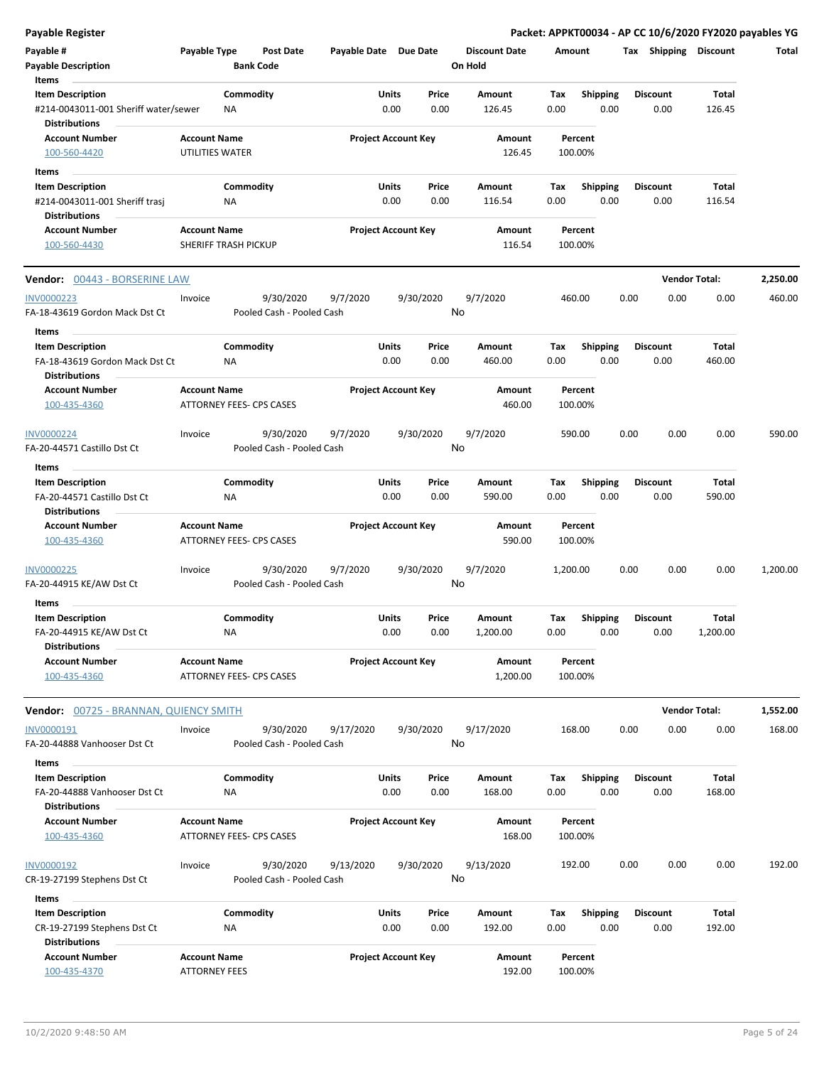| <b>Payable Register</b>                                         |                      |                                 |                                        |                       |               |                            |         |                      |             |                         |      |                         | Packet: APPKT00034 - AP CC 10/6/2020 FY2020 payables YG |          |
|-----------------------------------------------------------------|----------------------|---------------------------------|----------------------------------------|-----------------------|---------------|----------------------------|---------|----------------------|-------------|-------------------------|------|-------------------------|---------------------------------------------------------|----------|
| Payable #<br><b>Payable Description</b>                         | Payable Type         | <b>Bank Code</b>                | Post Date                              | Payable Date Due Date |               |                            | On Hold | <b>Discount Date</b> | Amount      |                         |      | Tax Shipping Discount   |                                                         | Total    |
| Items                                                           |                      |                                 |                                        |                       |               |                            |         |                      |             |                         |      |                         |                                                         |          |
| <b>Item Description</b><br>#214-0043011-001 Sheriff water/sewer |                      | Commodity<br>ΝA                 |                                        |                       | Units<br>0.00 | Price<br>0.00              |         | Amount<br>126.45     | Tax<br>0.00 | <b>Shipping</b><br>0.00 |      | <b>Discount</b><br>0.00 | Total<br>126.45                                         |          |
| <b>Distributions</b><br><b>Account Number</b>                   | <b>Account Name</b>  |                                 |                                        |                       |               | <b>Project Account Key</b> |         | Amount               |             | Percent                 |      |                         |                                                         |          |
| 100-560-4420                                                    | UTILITIES WATER      |                                 |                                        |                       |               |                            |         | 126.45               |             | 100.00%                 |      |                         |                                                         |          |
| Items                                                           |                      |                                 |                                        |                       |               |                            |         |                      |             |                         |      |                         |                                                         |          |
| <b>Item Description</b>                                         |                      | Commodity                       |                                        |                       | Units         | Price                      |         | Amount               | Tax         | <b>Shipping</b>         |      | Discount                | Total                                                   |          |
| #214-0043011-001 Sheriff trasj<br><b>Distributions</b>          |                      | ΝA                              |                                        |                       | 0.00          | 0.00                       |         | 116.54               | 0.00        | 0.00                    |      | 0.00                    | 116.54                                                  |          |
| <b>Account Number</b><br>100-560-4430                           | <b>Account Name</b>  | SHERIFF TRASH PICKUP            |                                        |                       |               | <b>Project Account Key</b> |         | Amount<br>116.54     |             | Percent<br>100.00%      |      |                         |                                                         |          |
| Vendor: 00443 - BORSERINE LAW                                   |                      |                                 |                                        |                       |               |                            |         |                      |             |                         |      |                         | <b>Vendor Total:</b>                                    | 2,250.00 |
| INV0000223                                                      | Invoice              |                                 | 9/30/2020                              | 9/7/2020              |               | 9/30/2020                  |         | 9/7/2020             |             | 460.00                  | 0.00 | 0.00                    | 0.00                                                    | 460.00   |
| FA-18-43619 Gordon Mack Dst Ct                                  |                      |                                 | Pooled Cash - Pooled Cash              |                       |               |                            | No      |                      |             |                         |      |                         |                                                         |          |
| Items<br><b>Item Description</b>                                |                      | Commodity                       |                                        |                       | Units         | Price                      |         | Amount               | Tax         | <b>Shipping</b>         |      | <b>Discount</b>         | Total                                                   |          |
| FA-18-43619 Gordon Mack Dst Ct<br><b>Distributions</b>          |                      | <b>NA</b>                       |                                        |                       | 0.00          | 0.00                       |         | 460.00               | 0.00        | 0.00                    |      | 0.00                    | 460.00                                                  |          |
| <b>Account Number</b>                                           | <b>Account Name</b>  |                                 |                                        |                       |               | <b>Project Account Key</b> |         | Amount               |             | Percent                 |      |                         |                                                         |          |
| 100-435-4360                                                    |                      | <b>ATTORNEY FEES- CPS CASES</b> |                                        |                       |               |                            |         | 460.00               |             | 100.00%                 |      |                         |                                                         |          |
| <b>INV0000224</b>                                               | Invoice              |                                 | 9/30/2020                              | 9/7/2020              |               | 9/30/2020                  |         | 9/7/2020             |             | 590.00                  | 0.00 | 0.00                    | 0.00                                                    | 590.00   |
| FA-20-44571 Castillo Dst Ct                                     |                      |                                 | Pooled Cash - Pooled Cash              |                       |               |                            | No      |                      |             |                         |      |                         |                                                         |          |
| Items                                                           |                      |                                 |                                        |                       |               |                            |         |                      |             |                         |      |                         |                                                         |          |
| <b>Item Description</b>                                         |                      | Commodity                       |                                        |                       | Units         | Price                      |         | Amount               | Tax         | <b>Shipping</b>         |      | <b>Discount</b>         | Total                                                   |          |
| FA-20-44571 Castillo Dst Ct                                     |                      | ΝA                              |                                        |                       | 0.00          | 0.00                       |         | 590.00               | 0.00        | 0.00                    |      | 0.00                    | 590.00                                                  |          |
| <b>Distributions</b><br><b>Account Number</b>                   | <b>Account Name</b>  |                                 |                                        |                       |               | <b>Project Account Key</b> |         | Amount               |             | Percent                 |      |                         |                                                         |          |
| 100-435-4360                                                    |                      | ATTORNEY FEES- CPS CASES        |                                        |                       |               |                            |         | 590.00               |             | 100.00%                 |      |                         |                                                         |          |
| <b>INV0000225</b>                                               | Invoice              |                                 | 9/30/2020                              | 9/7/2020              |               | 9/30/2020                  |         | 9/7/2020             | 1,200.00    |                         | 0.00 | 0.00                    | 0.00                                                    | 1,200.00 |
| FA-20-44915 KE/AW Dst Ct                                        |                      |                                 | Pooled Cash - Pooled Cash              |                       |               |                            | No      |                      |             |                         |      |                         |                                                         |          |
| Items                                                           |                      |                                 |                                        |                       |               |                            |         |                      |             |                         |      |                         |                                                         |          |
| <b>Item Description</b>                                         |                      | Commodity                       |                                        |                       | Units         | Price                      |         | Amount               | Tax         | <b>Shipping</b>         |      | <b>Discount</b>         | Total                                                   |          |
| FA-20-44915 KE/AW Dst Ct<br><b>Distributions</b>                |                      | ΝA                              |                                        |                       | 0.00          | 0.00                       |         | 1,200.00             | 0.00        | 0.00                    |      | 0.00                    | 1,200.00                                                |          |
| <b>Account Number</b><br>100-435-4360                           | <b>Account Name</b>  | ATTORNEY FEES- CPS CASES        |                                        |                       |               | <b>Project Account Key</b> |         | Amount<br>1,200.00   |             | Percent<br>100.00%      |      |                         |                                                         |          |
| Vendor: 00725 - BRANNAN, QUIENCY SMITH                          |                      |                                 |                                        |                       |               |                            |         |                      |             |                         |      |                         | <b>Vendor Total:</b>                                    | 1,552.00 |
| INV0000191                                                      | Invoice              |                                 | 9/30/2020                              | 9/17/2020             |               | 9/30/2020                  |         | 9/17/2020            |             | 168.00                  | 0.00 | 0.00                    | 0.00                                                    | 168.00   |
| FA-20-44888 Vanhooser Dst Ct                                    |                      |                                 | Pooled Cash - Pooled Cash              |                       |               |                            | No      |                      |             |                         |      |                         |                                                         |          |
| Items                                                           |                      |                                 |                                        |                       |               |                            |         |                      |             |                         |      |                         |                                                         |          |
| <b>Item Description</b><br>FA-20-44888 Vanhooser Dst Ct         |                      | Commodity<br>NA                 |                                        |                       | Units<br>0.00 | Price<br>0.00              |         | Amount<br>168.00     | Tax<br>0.00 | <b>Shipping</b><br>0.00 |      | <b>Discount</b><br>0.00 | Total<br>168.00                                         |          |
| <b>Distributions</b><br><b>Account Number</b>                   | <b>Account Name</b>  |                                 |                                        |                       |               | <b>Project Account Key</b> |         | Amount               |             | Percent                 |      |                         |                                                         |          |
| 100-435-4360                                                    |                      | ATTORNEY FEES- CPS CASES        |                                        |                       |               |                            |         | 168.00               |             | 100.00%                 |      |                         |                                                         |          |
| INV0000192<br>CR-19-27199 Stephens Dst Ct                       | Invoice              |                                 | 9/30/2020<br>Pooled Cash - Pooled Cash | 9/13/2020             |               | 9/30/2020                  | No      | 9/13/2020            |             | 192.00                  | 0.00 | 0.00                    | 0.00                                                    | 192.00   |
| Items                                                           |                      |                                 |                                        |                       |               |                            |         |                      |             |                         |      |                         |                                                         |          |
| <b>Item Description</b>                                         |                      | Commodity                       |                                        |                       | Units         | Price                      |         | Amount               | Tax         | <b>Shipping</b>         |      | <b>Discount</b>         | Total                                                   |          |
| CR-19-27199 Stephens Dst Ct<br><b>Distributions</b>             |                      | NA                              |                                        |                       | 0.00          | 0.00                       |         | 192.00               | 0.00        | 0.00                    |      | 0.00                    | 192.00                                                  |          |
| <b>Account Number</b>                                           | <b>Account Name</b>  |                                 |                                        |                       |               | <b>Project Account Key</b> |         | Amount               |             | Percent                 |      |                         |                                                         |          |
| 100-435-4370                                                    | <b>ATTORNEY FEES</b> |                                 |                                        |                       |               |                            |         | 192.00               |             | 100.00%                 |      |                         |                                                         |          |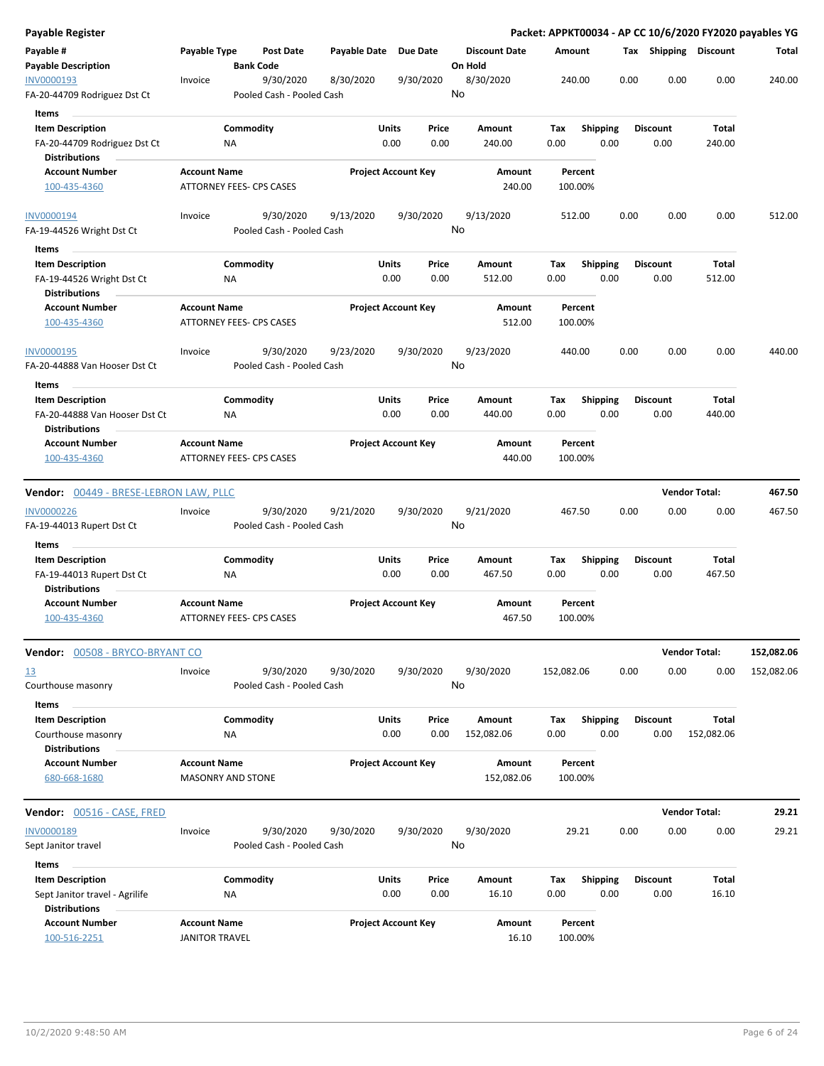| <b>Payable Register</b>                                                                    |                                                 |                                        |                       |                            |                                 |                    |                         |      |                         |                       | Packet: APPKT00034 - AP CC 10/6/2020 FY2020 payables YG |
|--------------------------------------------------------------------------------------------|-------------------------------------------------|----------------------------------------|-----------------------|----------------------------|---------------------------------|--------------------|-------------------------|------|-------------------------|-----------------------|---------------------------------------------------------|
| Payable #<br><b>Payable Description</b>                                                    | Payable Type                                    | <b>Post Date</b><br><b>Bank Code</b>   | Payable Date Due Date |                            | <b>Discount Date</b><br>On Hold | Amount             |                         |      |                         | Tax Shipping Discount | Total                                                   |
| INV0000193<br>FA-20-44709 Rodriguez Dst Ct                                                 | Invoice                                         | 9/30/2020<br>Pooled Cash - Pooled Cash | 8/30/2020             | 9/30/2020                  | 8/30/2020<br>No                 | 240.00             |                         | 0.00 | 0.00                    | 0.00                  | 240.00                                                  |
| Items<br><b>Item Description</b><br>FA-20-44709 Rodriguez Dst Ct                           |                                                 | Commodity<br>ΝA                        | Units                 | Price<br>0.00<br>0.00      | Amount<br>240.00                | Tax<br>0.00        | <b>Shipping</b><br>0.00 |      | <b>Discount</b><br>0.00 | Total<br>240.00       |                                                         |
| <b>Distributions</b><br><b>Account Number</b><br>100-435-4360                              | <b>Account Name</b>                             | ATTORNEY FEES- CPS CASES               |                       | <b>Project Account Key</b> | Amount<br>240.00                | Percent<br>100.00% |                         |      |                         |                       |                                                         |
| INV0000194<br>FA-19-44526 Wright Dst Ct                                                    | Invoice                                         | 9/30/2020<br>Pooled Cash - Pooled Cash | 9/13/2020             | 9/30/2020                  | 9/13/2020<br>No                 | 512.00             |                         | 0.00 | 0.00                    | 0.00                  | 512.00                                                  |
| Items<br><b>Item Description</b><br>FA-19-44526 Wright Dst Ct<br><b>Distributions</b>      |                                                 | Commodity<br>NA                        | Units                 | Price<br>0.00<br>0.00      | Amount<br>512.00                | Tax<br>0.00        | <b>Shipping</b><br>0.00 |      | <b>Discount</b><br>0.00 | Total<br>512.00       |                                                         |
| <b>Account Number</b><br>100-435-4360                                                      | <b>Account Name</b>                             | ATTORNEY FEES- CPS CASES               |                       | <b>Project Account Key</b> | Amount<br>512.00                | Percent<br>100.00% |                         |      |                         |                       |                                                         |
| INV0000195<br>FA-20-44888 Van Hooser Dst Ct                                                | Invoice                                         | 9/30/2020<br>Pooled Cash - Pooled Cash | 9/23/2020             | 9/30/2020                  | 9/23/2020<br>No                 | 440.00             |                         | 0.00 | 0.00                    | 0.00                  | 440.00                                                  |
| Items<br><b>Item Description</b><br>FA-20-44888 Van Hooser Dst Ct<br><b>Distributions</b>  |                                                 | Commodity<br><b>NA</b>                 | Units                 | Price<br>0.00<br>0.00      | Amount<br>440.00                | Tax<br>0.00        | <b>Shipping</b><br>0.00 |      | <b>Discount</b><br>0.00 | Total<br>440.00       |                                                         |
| <b>Account Number</b><br>100-435-4360                                                      | <b>Account Name</b>                             | ATTORNEY FEES- CPS CASES               |                       | <b>Project Account Key</b> | Amount<br>440.00                | Percent<br>100.00% |                         |      |                         |                       |                                                         |
| Vendor: 00449 - BRESE-LEBRON LAW, PLLC                                                     |                                                 |                                        |                       |                            |                                 |                    |                         |      |                         | <b>Vendor Total:</b>  | 467.50                                                  |
| <b>INV0000226</b><br>FA-19-44013 Rupert Dst Ct                                             | Invoice                                         | 9/30/2020<br>Pooled Cash - Pooled Cash | 9/21/2020             | 9/30/2020                  | 9/21/2020<br>No                 | 467.50             |                         | 0.00 | 0.00                    | 0.00                  | 467.50                                                  |
| Items<br><b>Item Description</b>                                                           |                                                 | Commodity                              | Units                 | Price                      | Amount                          | Tax                | Shipping                |      | <b>Discount</b>         | Total                 |                                                         |
| FA-19-44013 Rupert Dst Ct<br><b>Distributions</b>                                          |                                                 | ΝA                                     |                       | 0.00<br>0.00               | 467.50                          | 0.00               | 0.00                    |      | 0.00                    | 467.50                |                                                         |
| <b>Account Number</b><br>100-435-4360                                                      | <b>Account Name</b>                             | ATTORNEY FEES- CPS CASES               |                       | <b>Project Account Key</b> | Amount<br>467.50                | Percent<br>100.00% |                         |      |                         |                       |                                                         |
| Vendor: 00508 - BRYCO-BRYANT CO                                                            |                                                 |                                        |                       |                            |                                 |                    |                         |      |                         | <b>Vendor Total:</b>  | 152,082.06                                              |
| <u>13</u><br>Courthouse masonry                                                            | Invoice                                         | 9/30/2020<br>Pooled Cash - Pooled Cash | 9/30/2020             | 9/30/2020                  | 9/30/2020<br>No                 | 152,082.06         |                         | 0.00 | 0.00                    | 0.00                  | 152,082.06                                              |
| Items<br><b>Item Description</b><br>Courthouse masonry<br><b>Distributions</b>             |                                                 | Commodity<br>ΝA                        | Units                 | Price<br>0.00<br>0.00      | Amount<br>152,082.06            | Tax<br>0.00        | Shipping<br>0.00        |      | <b>Discount</b><br>0.00 | Total<br>152,082.06   |                                                         |
| <b>Account Number</b><br>680-668-1680                                                      | <b>Account Name</b><br><b>MASONRY AND STONE</b> |                                        |                       | <b>Project Account Key</b> | Amount<br>152,082.06            | Percent<br>100.00% |                         |      |                         |                       |                                                         |
| Vendor: 00516 - CASE, FRED                                                                 |                                                 |                                        |                       |                            |                                 |                    |                         |      |                         | <b>Vendor Total:</b>  | 29.21                                                   |
| INV0000189<br>Sept Janitor travel                                                          | Invoice                                         | 9/30/2020<br>Pooled Cash - Pooled Cash | 9/30/2020             | 9/30/2020                  | 9/30/2020<br>No                 | 29.21              |                         | 0.00 | 0.00                    | 0.00                  | 29.21                                                   |
| Items<br><b>Item Description</b><br>Sept Janitor travel - Agrilife<br><b>Distributions</b> |                                                 | Commodity<br>ΝA                        | Units                 | Price<br>0.00<br>0.00      | Amount<br>16.10                 | Tax<br>0.00        | <b>Shipping</b><br>0.00 |      | Discount<br>0.00        | Total<br>16.10        |                                                         |
| <b>Account Number</b><br>100-516-2251                                                      | <b>Account Name</b><br><b>JANITOR TRAVEL</b>    |                                        |                       | <b>Project Account Key</b> | Amount<br>16.10                 | Percent<br>100.00% |                         |      |                         |                       |                                                         |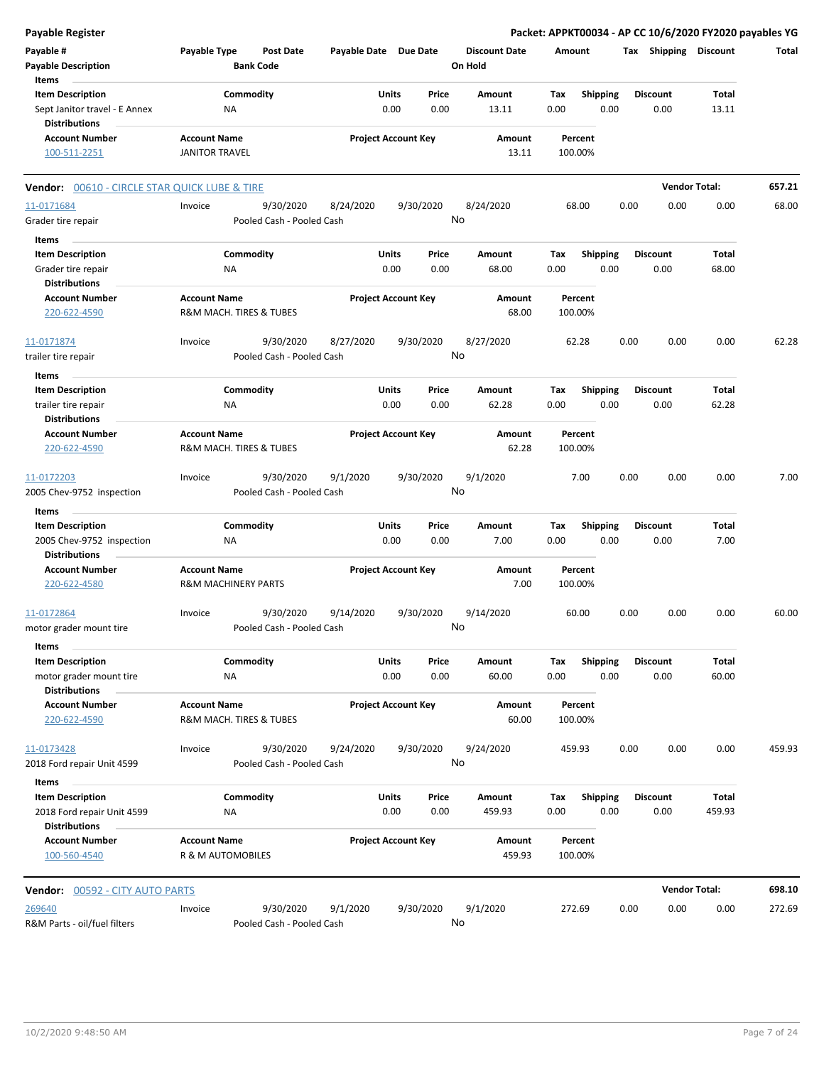| <b>Payable Register</b>                               |                                                       |                                        |                            |       |           |                                 |        |                    |      |                       | Packet: APPKT00034 - AP CC 10/6/2020 FY2020 payables YG |        |
|-------------------------------------------------------|-------------------------------------------------------|----------------------------------------|----------------------------|-------|-----------|---------------------------------|--------|--------------------|------|-----------------------|---------------------------------------------------------|--------|
| Payable #<br><b>Payable Description</b>               | Payable Type                                          | <b>Post Date</b><br><b>Bank Code</b>   | Payable Date Due Date      |       |           | <b>Discount Date</b><br>On Hold | Amount |                    |      | Tax Shipping Discount |                                                         | Total  |
| Items                                                 |                                                       |                                        |                            |       |           |                                 |        |                    |      |                       |                                                         |        |
| <b>Item Description</b>                               | Commodity                                             |                                        |                            | Units | Price     | Amount                          | Tax    | <b>Shipping</b>    |      | <b>Discount</b>       | Total                                                   |        |
| Sept Janitor travel - E Annex<br><b>Distributions</b> | ΝA                                                    |                                        |                            | 0.00  | 0.00      | 13.11                           | 0.00   | 0.00               |      | 0.00                  | 13.11                                                   |        |
| <b>Account Number</b>                                 | <b>Account Name</b>                                   |                                        | <b>Project Account Key</b> |       |           | Amount                          |        | Percent            |      |                       |                                                         |        |
| 100-511-2251                                          | <b>JANITOR TRAVEL</b>                                 |                                        |                            |       |           | 13.11                           |        | 100.00%            |      |                       |                                                         |        |
| <b>Vendor:</b> 00610 - CIRCLE STAR QUICK LUBE & TIRE  |                                                       |                                        |                            |       |           |                                 |        |                    |      |                       | <b>Vendor Total:</b>                                    | 657.21 |
| 11-0171684                                            | Invoice                                               | 9/30/2020                              | 8/24/2020                  |       | 9/30/2020 | 8/24/2020                       |        | 68.00              | 0.00 | 0.00                  | 0.00                                                    | 68.00  |
| Grader tire repair                                    |                                                       | Pooled Cash - Pooled Cash              |                            |       |           | No                              |        |                    |      |                       |                                                         |        |
| Items                                                 |                                                       |                                        |                            |       |           |                                 |        |                    |      |                       |                                                         |        |
| <b>Item Description</b>                               | Commodity                                             |                                        |                            | Units | Price     | Amount                          | Tax    | <b>Shipping</b>    |      | <b>Discount</b>       | Total                                                   |        |
| Grader tire repair                                    | ΝA                                                    |                                        |                            | 0.00  | 0.00      | 68.00                           | 0.00   | 0.00               |      | 0.00                  | 68.00                                                   |        |
| <b>Distributions</b>                                  |                                                       |                                        |                            |       |           |                                 |        |                    |      |                       |                                                         |        |
| <b>Account Number</b>                                 | <b>Account Name</b>                                   |                                        | <b>Project Account Key</b> |       |           | Amount                          |        | Percent            |      |                       |                                                         |        |
| 220-622-4590                                          | R&M MACH. TIRES & TUBES                               |                                        |                            |       |           | 68.00                           |        | 100.00%            |      |                       |                                                         |        |
| 11-0171874                                            | Invoice                                               | 9/30/2020                              | 8/27/2020                  |       | 9/30/2020 | 8/27/2020                       |        | 62.28              | 0.00 | 0.00                  | 0.00                                                    | 62.28  |
| trailer tire repair                                   |                                                       | Pooled Cash - Pooled Cash              |                            |       |           | No                              |        |                    |      |                       |                                                         |        |
| Items                                                 |                                                       |                                        |                            |       |           |                                 |        |                    |      |                       |                                                         |        |
| <b>Item Description</b>                               | Commodity                                             |                                        |                            | Units | Price     | Amount                          | Tax    | <b>Shipping</b>    |      | <b>Discount</b>       | Total                                                   |        |
| trailer tire repair                                   | ΝA                                                    |                                        |                            | 0.00  | 0.00      | 62.28                           | 0.00   | 0.00               |      | 0.00                  | 62.28                                                   |        |
| Distributions                                         |                                                       |                                        |                            |       |           |                                 |        |                    |      |                       |                                                         |        |
| <b>Account Number</b>                                 | <b>Account Name</b>                                   |                                        | <b>Project Account Key</b> |       |           | Amount                          |        | Percent            |      |                       |                                                         |        |
| 220-622-4590                                          | R&M MACH. TIRES & TUBES                               |                                        |                            |       |           | 62.28                           |        | 100.00%            |      |                       |                                                         |        |
| 11-0172203                                            | Invoice                                               | 9/30/2020                              | 9/1/2020                   |       | 9/30/2020 | 9/1/2020                        |        | 7.00               | 0.00 | 0.00                  | 0.00                                                    | 7.00   |
| 2005 Chev-9752 inspection                             |                                                       | Pooled Cash - Pooled Cash              |                            |       |           | No                              |        |                    |      |                       |                                                         |        |
| Items                                                 |                                                       |                                        |                            |       |           |                                 |        |                    |      |                       |                                                         |        |
| <b>Item Description</b>                               | Commodity                                             |                                        |                            | Units | Price     | Amount                          | Tax    | <b>Shipping</b>    |      | <b>Discount</b>       | Total                                                   |        |
| 2005 Chev-9752 inspection                             | ΝA                                                    |                                        |                            | 0.00  | 0.00      | 7.00                            | 0.00   | 0.00               |      | 0.00                  | 7.00                                                    |        |
| <b>Distributions</b>                                  |                                                       |                                        |                            |       |           |                                 |        |                    |      |                       |                                                         |        |
| <b>Account Number</b><br>220-622-4580                 | <b>Account Name</b><br><b>R&amp;M MACHINERY PARTS</b> |                                        | <b>Project Account Key</b> |       |           | Amount<br>7.00                  |        | Percent<br>100.00% |      |                       |                                                         |        |
| 11-0172864                                            | Invoice                                               | 9/30/2020                              | 9/14/2020                  |       | 9/30/2020 | 9/14/2020                       |        | 60.00              | 0.00 | 0.00                  | 0.00                                                    | 60.00  |
| motor grader mount tire                               |                                                       | Pooled Cash - Pooled Cash              |                            |       | No        |                                 |        |                    |      |                       |                                                         |        |
| Items                                                 |                                                       |                                        |                            |       |           |                                 |        |                    |      |                       |                                                         |        |
| <b>Item Description</b>                               | Commodity                                             |                                        |                            | Units | Price     | Amount                          | Tax    | <b>Shipping</b>    |      | <b>Discount</b>       | Total                                                   |        |
| motor grader mount tire                               | NA                                                    |                                        |                            | 0.00  | 0.00      | 60.00                           | 0.00   | 0.00               |      | 0.00                  | 60.00                                                   |        |
| <b>Distributions</b>                                  |                                                       |                                        |                            |       |           |                                 |        |                    |      |                       |                                                         |        |
| <b>Account Number</b><br>220-622-4590                 | <b>Account Name</b><br>R&M MACH. TIRES & TUBES        |                                        | <b>Project Account Key</b> |       |           | Amount<br>60.00                 |        | Percent<br>100.00% |      |                       |                                                         |        |
|                                                       |                                                       |                                        |                            |       |           |                                 |        |                    |      |                       |                                                         |        |
| 11-0173428                                            | Invoice                                               | 9/30/2020                              | 9/24/2020                  |       | 9/30/2020 | 9/24/2020                       |        | 459.93             | 0.00 | 0.00                  | 0.00                                                    | 459.93 |
| 2018 Ford repair Unit 4599                            |                                                       | Pooled Cash - Pooled Cash              |                            |       |           | No                              |        |                    |      |                       |                                                         |        |
| Items                                                 |                                                       |                                        |                            |       |           |                                 |        |                    |      |                       |                                                         |        |
| <b>Item Description</b>                               | Commodity                                             |                                        |                            | Units | Price     | Amount                          | Tax    | <b>Shipping</b>    |      | <b>Discount</b>       | Total                                                   |        |
| 2018 Ford repair Unit 4599                            | NA                                                    |                                        |                            | 0.00  | 0.00      | 459.93                          | 0.00   | 0.00               |      | 0.00                  | 459.93                                                  |        |
| <b>Distributions</b>                                  |                                                       |                                        |                            |       |           |                                 |        |                    |      |                       |                                                         |        |
| <b>Account Number</b><br>100-560-4540                 | <b>Account Name</b><br>R & M AUTOMOBILES              |                                        | <b>Project Account Key</b> |       |           | Amount<br>459.93                |        | Percent<br>100.00% |      |                       |                                                         |        |
| <b>Vendor: 00592 - CITY AUTO PARTS</b>                |                                                       |                                        |                            |       |           |                                 |        |                    |      |                       | <b>Vendor Total:</b>                                    | 698.10 |
|                                                       |                                                       |                                        |                            |       |           |                                 |        |                    |      |                       |                                                         |        |
| 269640<br>R&M Parts - oil/fuel filters                | Invoice                                               | 9/30/2020<br>Pooled Cash - Pooled Cash | 9/1/2020                   |       | 9/30/2020 | 9/1/2020<br>No                  |        | 272.69             | 0.00 | 0.00                  | 0.00                                                    | 272.69 |
|                                                       |                                                       |                                        |                            |       |           |                                 |        |                    |      |                       |                                                         |        |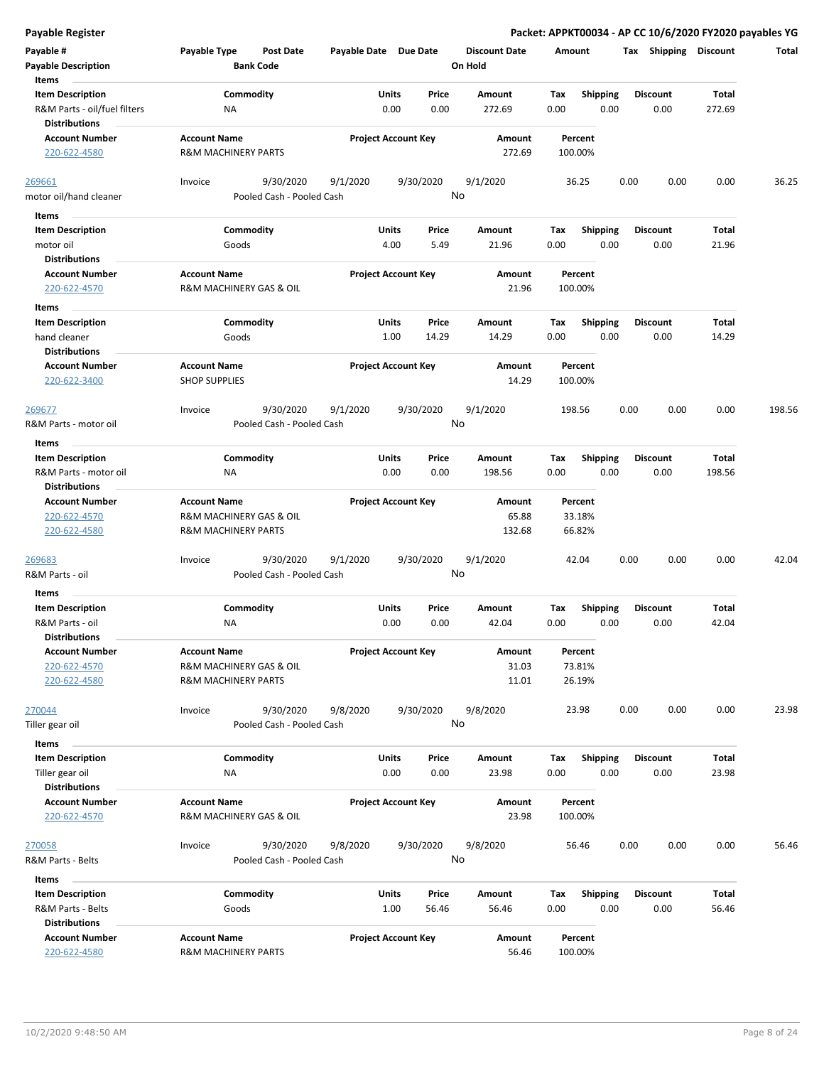| <b>Payable Register</b>                                                         |                                                      |                            |                            |                                 | Packet: APPKT00034 - AP CC 10/6/2020 FY2020 payables YG |                         |                 |        |
|---------------------------------------------------------------------------------|------------------------------------------------------|----------------------------|----------------------------|---------------------------------|---------------------------------------------------------|-------------------------|-----------------|--------|
| Payable #<br><b>Payable Description</b>                                         | Payable Type<br><b>Post Date</b><br><b>Bank Code</b> | Payable Date Due Date      |                            | <b>Discount Date</b><br>On Hold | Amount                                                  | Tax Shipping Discount   |                 | Total  |
| Items                                                                           |                                                      |                            |                            |                                 |                                                         |                         |                 |        |
| <b>Item Description</b><br>R&M Parts - oil/fuel filters<br><b>Distributions</b> | Commodity<br>ΝA                                      | Units<br>0.00              | Price<br>0.00              | <b>Amount</b><br>272.69         | <b>Shipping</b><br>Тах<br>0.00<br>0.00                  | <b>Discount</b><br>0.00 | Total<br>272.69 |        |
| <b>Account Number</b>                                                           | <b>Account Name</b>                                  |                            | <b>Project Account Key</b> | Amount                          | Percent                                                 |                         |                 |        |
| 220-622-4580                                                                    | <b>R&amp;M MACHINERY PARTS</b>                       |                            |                            | 272.69                          | 100.00%                                                 |                         |                 |        |
| 269661                                                                          | 9/30/2020<br>Invoice                                 | 9/1/2020                   | 9/30/2020                  | 9/1/2020                        | 36.25                                                   | 0.00<br>0.00            | 0.00            | 36.25  |
| motor oil/hand cleaner<br>Items                                                 | Pooled Cash - Pooled Cash                            |                            |                            | No                              |                                                         |                         |                 |        |
| <b>Item Description</b>                                                         | Commodity                                            | Units                      | Price                      | Amount                          | Tax<br><b>Shipping</b>                                  | <b>Discount</b>         | Total           |        |
| motor oil                                                                       | Goods                                                | 4.00                       | 5.49                       | 21.96                           | 0.00<br>0.00                                            | 0.00                    | 21.96           |        |
| <b>Distributions</b>                                                            |                                                      |                            |                            |                                 |                                                         |                         |                 |        |
| <b>Account Number</b>                                                           | <b>Account Name</b>                                  | <b>Project Account Key</b> |                            | Amount                          | Percent                                                 |                         |                 |        |
| 220-622-4570                                                                    | <b>R&amp;M MACHINERY GAS &amp; OIL</b>               |                            |                            | 21.96                           | 100.00%                                                 |                         |                 |        |
| Items                                                                           |                                                      |                            |                            |                                 |                                                         |                         |                 |        |
| <b>Item Description</b><br>hand cleaner<br><b>Distributions</b>                 | Commodity<br>Goods                                   | Units<br>1.00              | Price<br>14.29             | Amount<br>14.29                 | <b>Shipping</b><br>Тах<br>0.00<br>0.00                  | <b>Discount</b><br>0.00 | Total<br>14.29  |        |
| <b>Account Number</b>                                                           | <b>Account Name</b>                                  |                            | <b>Project Account Key</b> | Amount                          | Percent                                                 |                         |                 |        |
| 220-622-3400                                                                    | <b>SHOP SUPPLIES</b>                                 |                            |                            | 14.29                           | 100.00%                                                 |                         |                 |        |
| 269677                                                                          | 9/30/2020<br>Invoice                                 | 9/1/2020                   | 9/30/2020                  | 9/1/2020                        | 198.56                                                  | 0.00<br>0.00            | 0.00            | 198.56 |
| R&M Parts - motor oil                                                           | Pooled Cash - Pooled Cash                            |                            |                            | No                              |                                                         |                         |                 |        |
| Items                                                                           |                                                      |                            |                            |                                 |                                                         |                         |                 |        |
| <b>Item Description</b>                                                         | Commodity                                            | Units                      | Price                      | Amount                          | <b>Shipping</b><br>Тах                                  | Discount                | Total           |        |
| R&M Parts - motor oil<br><b>Distributions</b>                                   | ΝA                                                   | 0.00                       | 0.00                       | 198.56                          | 0.00<br>0.00                                            | 0.00                    | 198.56          |        |
| <b>Account Number</b>                                                           | <b>Account Name</b>                                  | <b>Project Account Key</b> |                            | Amount                          | Percent                                                 |                         |                 |        |
| 220-622-4570                                                                    | R&M MACHINERY GAS & OIL                              |                            |                            | 65.88                           | 33.18%                                                  |                         |                 |        |
| 220-622-4580                                                                    | <b>R&amp;M MACHINERY PARTS</b>                       |                            |                            | 132.68                          | 66.82%                                                  |                         |                 |        |
| 269683                                                                          | 9/30/2020<br>Invoice                                 | 9/1/2020                   | 9/30/2020                  | 9/1/2020                        | 42.04                                                   | 0.00<br>0.00            | 0.00            | 42.04  |
| R&M Parts - oil                                                                 | Pooled Cash - Pooled Cash                            |                            |                            | No                              |                                                         |                         |                 |        |
| Items                                                                           |                                                      |                            |                            |                                 |                                                         |                         |                 |        |
| <b>Item Description</b>                                                         | Commodity                                            | Units                      | Price                      | Amount                          | Tax<br><b>Shipping</b>                                  | <b>Discount</b>         | Total           |        |
| R&M Parts - oil<br><b>Distributions</b>                                         | NA                                                   | 0.00                       | 0.00                       | 42.04                           | 0.00<br>0.00                                            | 0.00                    | 42.04           |        |
| <b>Account Number</b>                                                           | <b>Account Name</b>                                  | <b>Project Account Key</b> |                            | Amount                          | Percent                                                 |                         |                 |        |
| 220-622-4570                                                                    | R&M MACHINERY GAS & OIL                              |                            |                            | 31.03                           | 73.81%                                                  |                         |                 |        |
| 220-622-4580                                                                    | <b>R&amp;M MACHINERY PARTS</b>                       |                            |                            | 11.01                           | 26.19%                                                  |                         |                 |        |
| 270044<br>Tiller gear oil                                                       | 9/30/2020<br>Invoice<br>Pooled Cash - Pooled Cash    | 9/8/2020                   | 9/30/2020                  | 9/8/2020<br>No                  | 23.98                                                   | 0.00<br>0.00            | 0.00            | 23.98  |
| Items                                                                           |                                                      |                            |                            |                                 |                                                         |                         |                 |        |
| <b>Item Description</b>                                                         | Commodity                                            | Units                      | Price                      | Amount                          | <b>Shipping</b><br>Tax                                  | <b>Discount</b>         | Total           |        |
| Tiller gear oil                                                                 | ΝA                                                   | 0.00                       | 0.00                       | 23.98                           | 0.00<br>0.00                                            | 0.00                    | 23.98           |        |
| <b>Distributions</b>                                                            |                                                      |                            |                            |                                 |                                                         |                         |                 |        |
| <b>Account Number</b>                                                           | <b>Account Name</b>                                  |                            | <b>Project Account Key</b> | Amount                          | Percent                                                 |                         |                 |        |
| 220-622-4570                                                                    | R&M MACHINERY GAS & OIL                              |                            |                            | 23.98                           | 100.00%                                                 |                         |                 |        |
| 270058                                                                          | 9/30/2020<br>Invoice                                 | 9/8/2020                   | 9/30/2020                  | 9/8/2020                        | 56.46                                                   | 0.00<br>0.00            | 0.00            | 56.46  |
| R&M Parts - Belts                                                               | Pooled Cash - Pooled Cash                            |                            |                            | No                              |                                                         |                         |                 |        |
| Items                                                                           |                                                      |                            |                            |                                 |                                                         |                         |                 |        |
| <b>Item Description</b>                                                         | Commodity                                            | Units                      | Price                      | Amount                          | Tax<br><b>Shipping</b>                                  | <b>Discount</b>         | Total           |        |
| R&M Parts - Belts<br><b>Distributions</b>                                       | Goods                                                | 1.00                       | 56.46                      | 56.46                           | 0.00<br>0.00                                            | 0.00                    | 56.46           |        |
| <b>Account Number</b>                                                           | <b>Account Name</b>                                  |                            | <b>Project Account Key</b> | Amount                          | Percent                                                 |                         |                 |        |
| 220-622-4580                                                                    | <b>R&amp;M MACHINERY PARTS</b>                       |                            |                            | 56.46                           | 100.00%                                                 |                         |                 |        |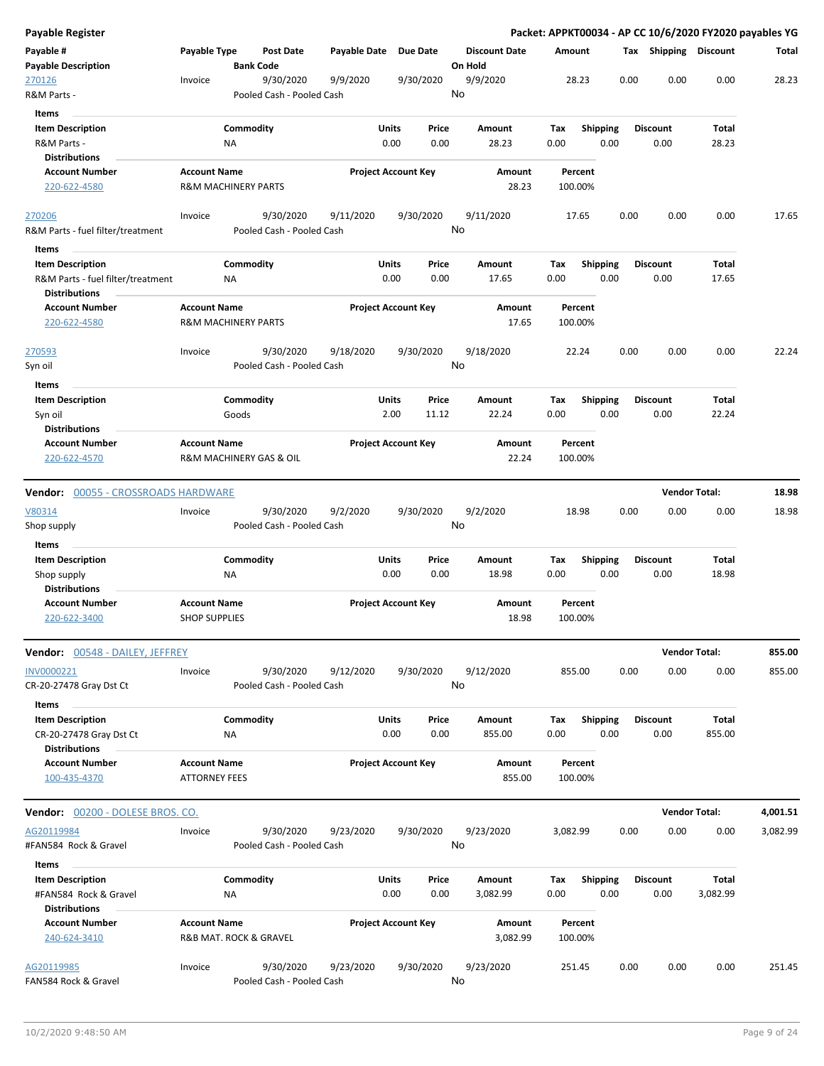| <b>Payable Register</b>                                                              |                                                       |                                        |              |                                |                                 |                    |                         |      |                         | Packet: APPKT00034 - AP CC 10/6/2020 FY2020 payables YG |          |
|--------------------------------------------------------------------------------------|-------------------------------------------------------|----------------------------------------|--------------|--------------------------------|---------------------------------|--------------------|-------------------------|------|-------------------------|---------------------------------------------------------|----------|
| Payable #<br><b>Payable Description</b>                                              | Payable Type                                          | <b>Post Date</b><br><b>Bank Code</b>   | Payable Date | Due Date                       | <b>Discount Date</b><br>On Hold | Amount             |                         |      | Tax Shipping Discount   |                                                         | Total    |
| 270126                                                                               | Invoice                                               | 9/30/2020<br>Pooled Cash - Pooled Cash | 9/9/2020     | 9/30/2020                      | 9/9/2020<br>No                  | 28.23              |                         | 0.00 | 0.00                    | 0.00                                                    | 28.23    |
| R&M Parts -                                                                          |                                                       |                                        |              |                                |                                 |                    |                         |      |                         |                                                         |          |
| Items                                                                                |                                                       |                                        |              |                                |                                 |                    |                         |      |                         |                                                         |          |
| <b>Item Description</b><br>R&M Parts -<br><b>Distributions</b>                       | ΝA                                                    | Commodity                              |              | Units<br>Price<br>0.00<br>0.00 | Amount<br>28.23                 | Tax<br>0.00        | <b>Shipping</b><br>0.00 |      | <b>Discount</b><br>0.00 | Total<br>28.23                                          |          |
| <b>Account Number</b>                                                                | <b>Account Name</b>                                   |                                        |              | <b>Project Account Key</b>     | Amount                          | Percent            |                         |      |                         |                                                         |          |
| 220-622-4580                                                                         | <b>R&amp;M MACHINERY PARTS</b>                        |                                        |              |                                | 28.23                           | 100.00%            |                         |      |                         |                                                         |          |
| 270206                                                                               | Invoice                                               | 9/30/2020                              | 9/11/2020    | 9/30/2020                      | 9/11/2020<br>No                 | 17.65              |                         | 0.00 | 0.00                    | 0.00                                                    | 17.65    |
| R&M Parts - fuel filter/treatment                                                    |                                                       | Pooled Cash - Pooled Cash              |              |                                |                                 |                    |                         |      |                         |                                                         |          |
| Items                                                                                |                                                       |                                        |              |                                |                                 |                    |                         |      |                         |                                                         |          |
| <b>Item Description</b><br>R&M Parts - fuel filter/treatment<br><b>Distributions</b> | ΝA                                                    | Commodity                              |              | Units<br>Price<br>0.00<br>0.00 | Amount<br>17.65                 | Tax<br>0.00        | <b>Shipping</b><br>0.00 |      | <b>Discount</b><br>0.00 | Total<br>17.65                                          |          |
| <b>Account Number</b><br>220-622-4580                                                | <b>Account Name</b><br><b>R&amp;M MACHINERY PARTS</b> |                                        |              | <b>Project Account Key</b>     | Amount<br>17.65                 | Percent<br>100.00% |                         |      |                         |                                                         |          |
| <u>270593</u>                                                                        | Invoice                                               | 9/30/2020                              | 9/18/2020    | 9/30/2020                      | 9/18/2020                       | 22.24              |                         | 0.00 | 0.00                    | 0.00                                                    | 22.24    |
| Syn oil                                                                              |                                                       | Pooled Cash - Pooled Cash              |              |                                | No                              |                    |                         |      |                         |                                                         |          |
| Items<br><b>Item Description</b>                                                     |                                                       | Commodity                              |              | Units<br>Price                 | Amount                          | Tax                | <b>Shipping</b>         |      | <b>Discount</b>         | Total                                                   |          |
| Syn oil<br><b>Distributions</b>                                                      |                                                       | Goods                                  |              | 2.00<br>11.12                  | 22.24                           | 0.00               | 0.00                    |      | 0.00                    | 22.24                                                   |          |
| <b>Account Number</b>                                                                | <b>Account Name</b>                                   |                                        |              | <b>Project Account Key</b>     | Amount                          | Percent            |                         |      |                         |                                                         |          |
| 220-622-4570                                                                         |                                                       | R&M MACHINERY GAS & OIL                |              |                                | 22.24                           | 100.00%            |                         |      |                         |                                                         |          |
| <b>Vendor:</b> 00055 - CROSSROADS HARDWARE                                           |                                                       |                                        |              |                                |                                 |                    |                         |      |                         | <b>Vendor Total:</b>                                    | 18.98    |
| V80314                                                                               | Invoice                                               | 9/30/2020                              | 9/2/2020     | 9/30/2020                      | 9/2/2020                        | 18.98              |                         | 0.00 | 0.00                    | 0.00                                                    | 18.98    |
| Shop supply<br>Items                                                                 |                                                       | Pooled Cash - Pooled Cash              |              |                                | No                              |                    |                         |      |                         |                                                         |          |
| <b>Item Description</b>                                                              |                                                       | Commodity                              |              | Units<br>Price                 | Amount                          | Tax                | Shipping                |      | <b>Discount</b>         | Total                                                   |          |
| Shop supply<br><b>Distributions</b>                                                  | <b>NA</b>                                             |                                        |              | 0.00<br>0.00                   | 18.98                           | 0.00               | 0.00                    |      | 0.00                    | 18.98                                                   |          |
| <b>Account Number</b><br>220-622-3400                                                | <b>Account Name</b><br><b>SHOP SUPPLIES</b>           |                                        |              | <b>Project Account Key</b>     | Amount<br>18.98                 | Percent<br>100.00% |                         |      |                         |                                                         |          |
| <b>Vendor:</b> 00548 - DAILEY, JEFFREY                                               |                                                       |                                        |              |                                |                                 |                    |                         |      |                         | <b>Vendor Total:</b>                                    | 855.00   |
| INV0000221<br>CR-20-27478 Gray Dst Ct                                                | Invoice                                               | 9/30/2020<br>Pooled Cash - Pooled Cash | 9/12/2020    | 9/30/2020                      | 9/12/2020<br>No                 | 855.00             |                         | 0.00 | 0.00                    | 0.00                                                    | 855.00   |
| Items<br><b>Item Description</b><br>CR-20-27478 Gray Dst Ct                          | <b>NA</b>                                             | Commodity                              |              | Units<br>Price<br>0.00<br>0.00 | Amount<br>855.00                | Tax<br>0.00        | Shipping<br>0.00        |      | <b>Discount</b><br>0.00 | Total<br>855.00                                         |          |
| <b>Distributions</b><br><b>Account Number</b><br>100-435-4370                        | <b>Account Name</b><br><b>ATTORNEY FEES</b>           |                                        |              | <b>Project Account Key</b>     | Amount<br>855.00                | Percent<br>100.00% |                         |      |                         |                                                         |          |
|                                                                                      |                                                       |                                        |              |                                |                                 |                    |                         |      |                         |                                                         |          |
| Vendor: 00200 - DOLESE BROS. CO.                                                     |                                                       |                                        |              |                                |                                 |                    |                         |      |                         | <b>Vendor Total:</b>                                    | 4,001.51 |
| AG20119984<br>#FAN584 Rock & Gravel                                                  | Invoice                                               | 9/30/2020<br>Pooled Cash - Pooled Cash | 9/23/2020    | 9/30/2020                      | 9/23/2020<br>No                 | 3,082.99           |                         | 0.00 | 0.00                    | 0.00                                                    | 3,082.99 |
| Items                                                                                |                                                       |                                        |              |                                |                                 |                    |                         |      |                         |                                                         |          |
| <b>Item Description</b><br>#FAN584 Rock & Gravel                                     | ΝA                                                    | Commodity                              |              | Units<br>Price<br>0.00<br>0.00 | Amount<br>3,082.99              | Tax<br>0.00        | <b>Shipping</b><br>0.00 |      | <b>Discount</b><br>0.00 | Total<br>3,082.99                                       |          |
| <b>Distributions</b><br><b>Account Number</b>                                        | <b>Account Name</b>                                   |                                        |              | <b>Project Account Key</b>     | Amount                          | Percent            |                         |      |                         |                                                         |          |
| 240-624-3410                                                                         |                                                       | R&B MAT. ROCK & GRAVEL                 |              |                                | 3,082.99                        | 100.00%            |                         |      |                         |                                                         |          |
| AG20119985<br>FAN584 Rock & Gravel                                                   | Invoice                                               | 9/30/2020<br>Pooled Cash - Pooled Cash | 9/23/2020    | 9/30/2020                      | 9/23/2020<br>No                 | 251.45             |                         | 0.00 | 0.00                    | 0.00                                                    | 251.45   |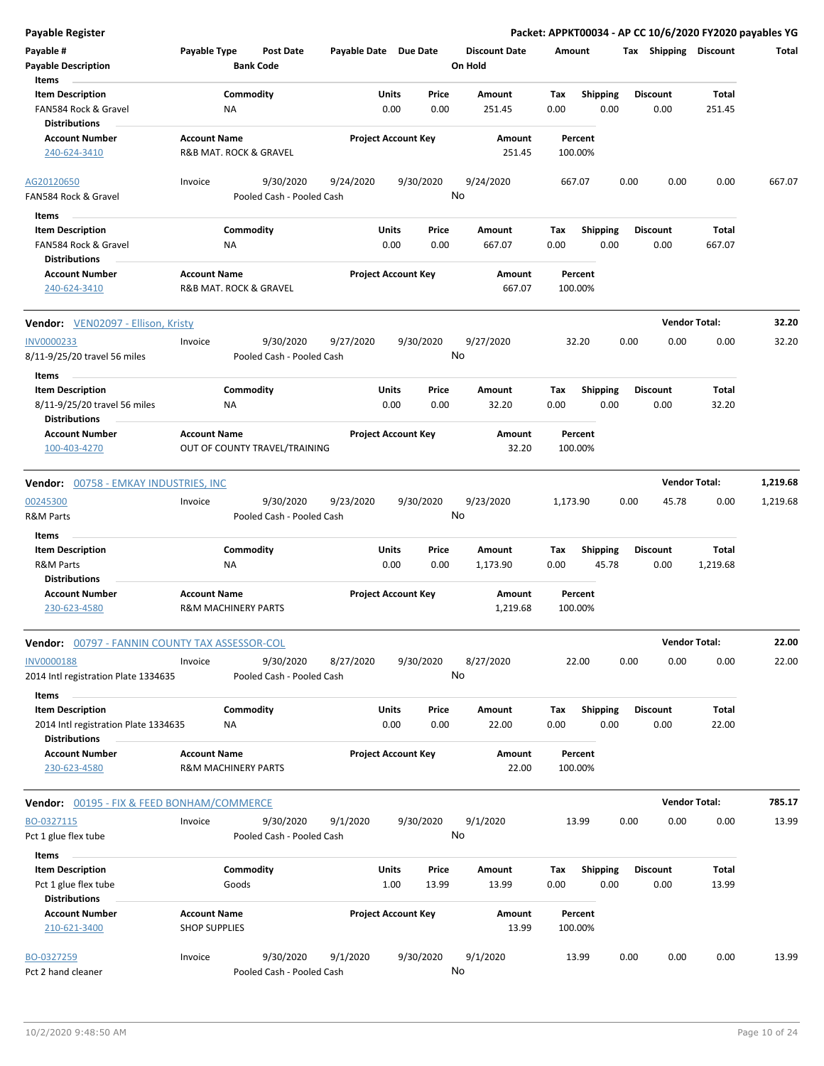| <b>Payable Register</b>                                                                 |                                             |                                |                                        |                       |                            |               |                                 |             |                         |      |                         | Packet: APPKT00034 - AP CC 10/6/2020 FY2020 payables YG |          |
|-----------------------------------------------------------------------------------------|---------------------------------------------|--------------------------------|----------------------------------------|-----------------------|----------------------------|---------------|---------------------------------|-------------|-------------------------|------|-------------------------|---------------------------------------------------------|----------|
| Payable #<br><b>Payable Description</b>                                                 | Payable Type                                | <b>Bank Code</b>               | <b>Post Date</b>                       | Payable Date Due Date |                            |               | <b>Discount Date</b><br>On Hold | Amount      |                         |      | Tax Shipping Discount   |                                                         | Total    |
| Items<br><b>Item Description</b><br>FAN584 Rock & Gravel<br>Distributions               |                                             | Commodity<br>ΝA                |                                        |                       | Units<br>0.00              | Price<br>0.00 | Amount<br>251.45                | Tax<br>0.00 | <b>Shipping</b><br>0.00 |      | <b>Discount</b><br>0.00 | Total<br>251.45                                         |          |
| <b>Account Number</b><br>240-624-3410                                                   | <b>Account Name</b>                         | R&B MAT. ROCK & GRAVEL         |                                        |                       | <b>Project Account Key</b> |               | Amount<br>251.45                |             | Percent<br>100.00%      |      |                         |                                                         |          |
| AG20120650<br>FAN584 Rock & Gravel                                                      | Invoice                                     |                                | 9/30/2020<br>Pooled Cash - Pooled Cash | 9/24/2020             |                            | 9/30/2020     | 9/24/2020<br>No                 |             | 667.07                  | 0.00 | 0.00                    | 0.00                                                    | 667.07   |
| Items                                                                                   |                                             |                                |                                        |                       |                            |               |                                 |             |                         |      |                         |                                                         |          |
| <b>Item Description</b><br>FAN584 Rock & Gravel<br><b>Distributions</b>                 |                                             | Commodity<br>ΝA                |                                        |                       | Units<br>0.00              | Price<br>0.00 | Amount<br>667.07                | Tax<br>0.00 | <b>Shipping</b><br>0.00 |      | <b>Discount</b><br>0.00 | Total<br>667.07                                         |          |
| <b>Account Number</b><br>240-624-3410                                                   | <b>Account Name</b>                         | R&B MAT. ROCK & GRAVEL         |                                        |                       | <b>Project Account Key</b> |               | Amount<br>667.07                |             | Percent<br>100.00%      |      |                         |                                                         |          |
| <b>Vendor:</b> VEN02097 - Ellison, Kristy                                               |                                             |                                |                                        |                       |                            |               |                                 |             |                         |      |                         | <b>Vendor Total:</b>                                    | 32.20    |
| <b>INV0000233</b><br>8/11-9/25/20 travel 56 miles                                       | Invoice                                     |                                | 9/30/2020<br>Pooled Cash - Pooled Cash | 9/27/2020             |                            | 9/30/2020     | 9/27/2020<br>No                 |             | 32.20                   | 0.00 | 0.00                    | 0.00                                                    | 32.20    |
| Items                                                                                   |                                             |                                |                                        |                       |                            |               |                                 |             |                         |      |                         |                                                         |          |
| <b>Item Description</b><br>8/11-9/25/20 travel 56 miles                                 |                                             | Commodity<br>NA                |                                        |                       | Units<br>0.00              | Price<br>0.00 | Amount<br>32.20                 | Tax<br>0.00 | <b>Shipping</b><br>0.00 |      | Discount<br>0.00        | Total<br>32.20                                          |          |
| <b>Distributions</b><br><b>Account Number</b><br>100-403-4270                           | <b>Account Name</b>                         |                                | OUT OF COUNTY TRAVEL/TRAINING          |                       | <b>Project Account Key</b> |               | Amount<br>32.20                 |             | Percent<br>100.00%      |      |                         |                                                         |          |
|                                                                                         |                                             |                                |                                        |                       |                            |               |                                 |             |                         |      |                         |                                                         |          |
| Vendor: 00758 - EMKAY INDUSTRIES, INC                                                   |                                             |                                |                                        |                       |                            |               |                                 |             |                         |      |                         | <b>Vendor Total:</b>                                    | 1,219.68 |
| 00245300                                                                                | Invoice                                     |                                | 9/30/2020                              | 9/23/2020             |                            | 9/30/2020     | 9/23/2020                       | 1,173.90    |                         | 0.00 | 45.78                   | 0.00                                                    | 1,219.68 |
| <b>R&amp;M Parts</b>                                                                    |                                             |                                | Pooled Cash - Pooled Cash              |                       |                            |               | No                              |             |                         |      |                         |                                                         |          |
| Items                                                                                   |                                             |                                |                                        |                       |                            |               |                                 |             |                         |      |                         |                                                         |          |
| <b>Item Description</b>                                                                 |                                             | Commodity                      |                                        |                       | Units                      | Price         | Amount                          | Tax         | <b>Shipping</b>         |      | Discount                | Total                                                   |          |
| R&M Parts                                                                               |                                             | ΝA                             |                                        |                       | 0.00                       | 0.00          | 1,173.90                        | 0.00        | 45.78                   |      | 0.00                    | 1,219.68                                                |          |
| <b>Distributions</b>                                                                    |                                             |                                |                                        |                       |                            |               |                                 |             |                         |      |                         |                                                         |          |
| <b>Account Number</b>                                                                   | <b>Account Name</b>                         |                                |                                        |                       | <b>Project Account Key</b> |               | Amount                          |             | Percent                 |      |                         |                                                         |          |
| 230-623-4580                                                                            |                                             | <b>R&amp;M MACHINERY PARTS</b> |                                        |                       |                            |               | 1,219.68                        |             | 100.00%                 |      |                         |                                                         |          |
| <b>Vendor: 00797 - FANNIN COUNTY TAX ASSESSOR-COL</b>                                   |                                             |                                |                                        |                       |                            |               |                                 |             |                         |      |                         | <b>Vendor Total:</b>                                    | 22.00    |
| <b>INV0000188</b><br>2014 Intl registration Plate 1334635                               | Invoice                                     |                                | 9/30/2020<br>Pooled Cash - Pooled Cash | 8/27/2020             |                            | 9/30/2020     | 8/27/2020<br>No                 |             | 22.00                   | 0.00 | 0.00                    | 0.00                                                    | 22.00    |
| Items                                                                                   |                                             |                                |                                        |                       |                            |               |                                 |             |                         |      |                         |                                                         |          |
| <b>Item Description</b><br>2014 Intl registration Plate 1334635<br><b>Distributions</b> |                                             | Commodity<br>ΝA                |                                        |                       | Units<br>0.00              | Price<br>0.00 | Amount<br>22.00                 | Tax<br>0.00 | Shipping<br>0.00        |      | Discount<br>0.00        | Total<br>22.00                                          |          |
| <b>Account Number</b><br>230-623-4580                                                   | <b>Account Name</b>                         | <b>R&amp;M MACHINERY PARTS</b> |                                        |                       | <b>Project Account Key</b> |               | Amount<br>22.00                 |             | Percent<br>100.00%      |      |                         |                                                         |          |
| <b>Vendor: 00195 - FIX &amp; FEED BONHAM/COMMERCE</b>                                   |                                             |                                |                                        |                       |                            |               |                                 |             |                         |      |                         | <b>Vendor Total:</b>                                    | 785.17   |
|                                                                                         |                                             |                                |                                        |                       |                            |               |                                 |             |                         | 0.00 |                         | 0.00                                                    | 13.99    |
| BO-0327115<br>Pct 1 glue flex tube                                                      | Invoice                                     |                                | 9/30/2020<br>Pooled Cash - Pooled Cash | 9/1/2020              |                            | 9/30/2020     | 9/1/2020<br>No                  |             | 13.99                   |      | 0.00                    |                                                         |          |
| Items<br><b>Item Description</b>                                                        |                                             | Commodity                      |                                        |                       | <b>Units</b>               | Price         | Amount                          | Tax         | Shipping                |      | Discount                | Total                                                   |          |
| Pct 1 glue flex tube<br><b>Distributions</b>                                            |                                             | Goods                          |                                        |                       | 1.00                       | 13.99         | 13.99                           | 0.00        | 0.00                    |      | 0.00                    | 13.99                                                   |          |
| <b>Account Number</b><br>210-621-3400                                                   | <b>Account Name</b><br><b>SHOP SUPPLIES</b> |                                |                                        |                       | <b>Project Account Key</b> |               | Amount<br>13.99                 |             | Percent<br>100.00%      |      |                         |                                                         |          |
| BO-0327259<br>Pct 2 hand cleaner                                                        | Invoice                                     |                                | 9/30/2020<br>Pooled Cash - Pooled Cash | 9/1/2020              |                            | 9/30/2020     | 9/1/2020<br>No                  |             | 13.99                   | 0.00 | 0.00                    | 0.00                                                    | 13.99    |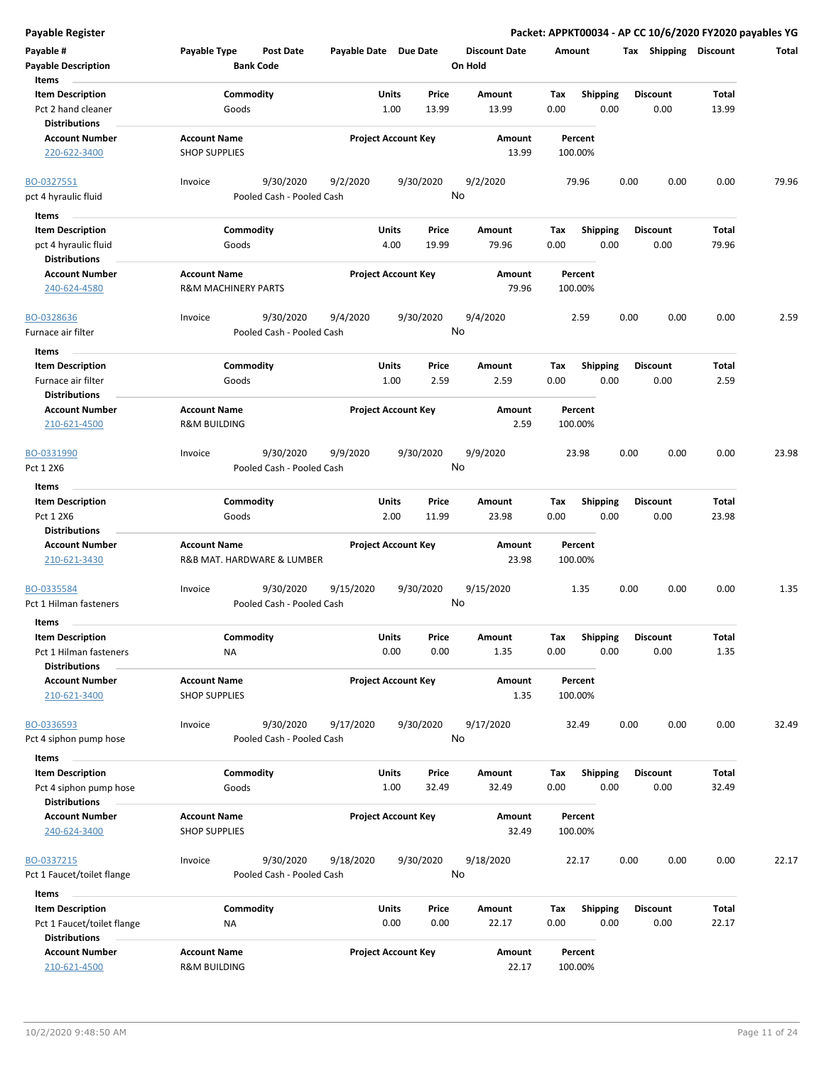**Payable # Payable Type Post Date Payable Date Due Date Payable Description Bank Code Discount Date Amount Tax Shipping Discount Total On Hold** 1.00 13.99 **Units** Pct 2 hand cleaner **1.00** Goods **13.99** 13.99 0.00 **Item Description** 13.99 **Price Amount Tax** 0.00 13.99 Commodity **Shipping Shipping Commodity Shipping Discount** Total Goods **Items** 0.00 **Discount Account Number Account Name Project Account Key Amount Distributions Percent** 220-622-3400 SHOP SUPPLIES 13.99 100.00% 9/30/2020 9/2/2020 9/30/2020 pct 4 hyraulic fluid extending the Pooled Cash - Pooled Cash BO-0327551 Invoice 9/2/2020 79.96 0.00 0.00 0.00 79.96 No 4.00 19.99 **Units** pct 4 hyraulic fluid **19.99** Coods Coods 2.00 Coods 2.00 Coods 2.00 Coods 2.000 Coods 2.000 Coods 2.000 Coods 2.000 Coods 2.000 Coods 2.000 Coods 2.000 Coods 2.000 Coods 2.000 Coods 2.000 Coods 2.000 Coods 2.000 Coods 2.00 **Item Description** 79.96 **Price Amount Tax** 0.00 79.96 Commodity **Shipping Shipping Commodity Shipping Discount** Total Goods **Items** 0.00 **Discount Account Number Account Name Project Account Key Amount Distributions Percent** 240-624-4580 R&M MACHINERY PARTS 79.96 100.00% 9/30/2020 9/4/2020 9/30/2020 Furnace air filter **Pooled Cash - Pooled Cash** BO-0328636 Invoice 9/4/2020 2.59 0.00 0.00 0.00 2.59 No 1.00 2.59 **Units** Furnace air filter **CONS** Coods Cools Contact According to the Cool of the Cools Cools Cools Cools Cools Cools Cools Cools Cools Cools Cools Cools Cools Cools Cools Cools Cools Cools Cools Cools Cools Cools Cools Cools Coo **Item Description** 2.59 **Price Amount Tax** 0.00 2.59 0.00 Commodity **Shipping Example 1 Commodity Shipping Discount** Total Goods **Items Discount Account Number Account Name Project Account Key Amount Distributions Percent** 210-621-4500 R&M BUILDING 2.59 100.00% 9/30/2020 9/9/2020 9/30/2020 Pct 1 2X6 Pooled Cash - Pooled Cash - Pooled Cash BO-0331990 Invoice 9/9/2020 23.98 0.00 0.00 0.00 23.98 No 2.00 11.99 **Units** Pct 1 2X6 0.00 **Item Description** 23.98 **Price Amount Tax** 0.00 23.98 Commodity **Shipping Example 1 Commodity Shipping Discount** Total Goods **Items** 0.00 **Discount Account Number Account Name Project Account Key Amount Distributions Percent** 210-621-3430 R&B MAT. HARDWARE & LUMBER 23.98 100.00% 9/30/2020 9/15/2020 9/30/2020 Pct 1 Hilman fasteners **Pooled Cash - Pooled Cash** BO-0335584 Invoice 9/15/2020 1.35 0.00 0.00 0.00 1.35 No 0.00 0.00 **Units** Pct 1 Hilman fasteners **1.35** NA NA 0.00 0.00 1.35 0.00 **Item Description** 1.35 **Price Amount Tax** 0.00 1.35 Commodity **Shipping Example 1 Commodity Shipping Discount** Total NA **Items** 0.00 **Discount Account Number Account Name Project Account Key Amount Distributions Percent** 210-621-3400 SHOP SUPPLIES 1.35 100.00% 9/30/2020 9/17/2020 9/30/2020 Pct 4 siphon pump hose Pooled Cash - Pooled Cash BO-0336593 Invoice 9/17/2020 32.49 0.00 0.00 0.00 32.49 No 1.00 32.49 **Units** Pct 4 siphon pump hose 600ds 600ds 1.00 32.49 32.49 0.00 **Item Description** 32.49 **Price Amount Tax** 0.00 32.49 Commodity **Shipping Shipping Commodity Shipping Discount** Total Goods **Items** 0.00 **Discount Account Number Account Name Project Account Key Amount Distributions Percent** 240-624-3400 SHOP SUPPLIES 32.49 100.00% 9/30/2020 9/18/2020 9/30/2020 Pct 1 Faucet/toilet flange Pooled Cash - Pooled Cash BO-0337215 Invoice 9/18/2020 22.17 0.00 0.00 0.00 22.17 No 0.00 0.00 **Units** Pct 1 Faucet/toilet flange **12.17** MA 2000 0.00 22.17 0.00 **Item Description** 22.17 **Price Amount Tax** 0.00 22.17 Commodity **Shipping Shipping Commodity Shipping Discount** Total NA **Items** 0.00 **Discount Account Number Account Name Project Account Key Amount Distributions Percent**

210-621-4500 R&M BUILDING 22.17 100.00%

**Payable Register Packet: APPKT00034 - AP CC 10/6/2020 FY2020 payables YG**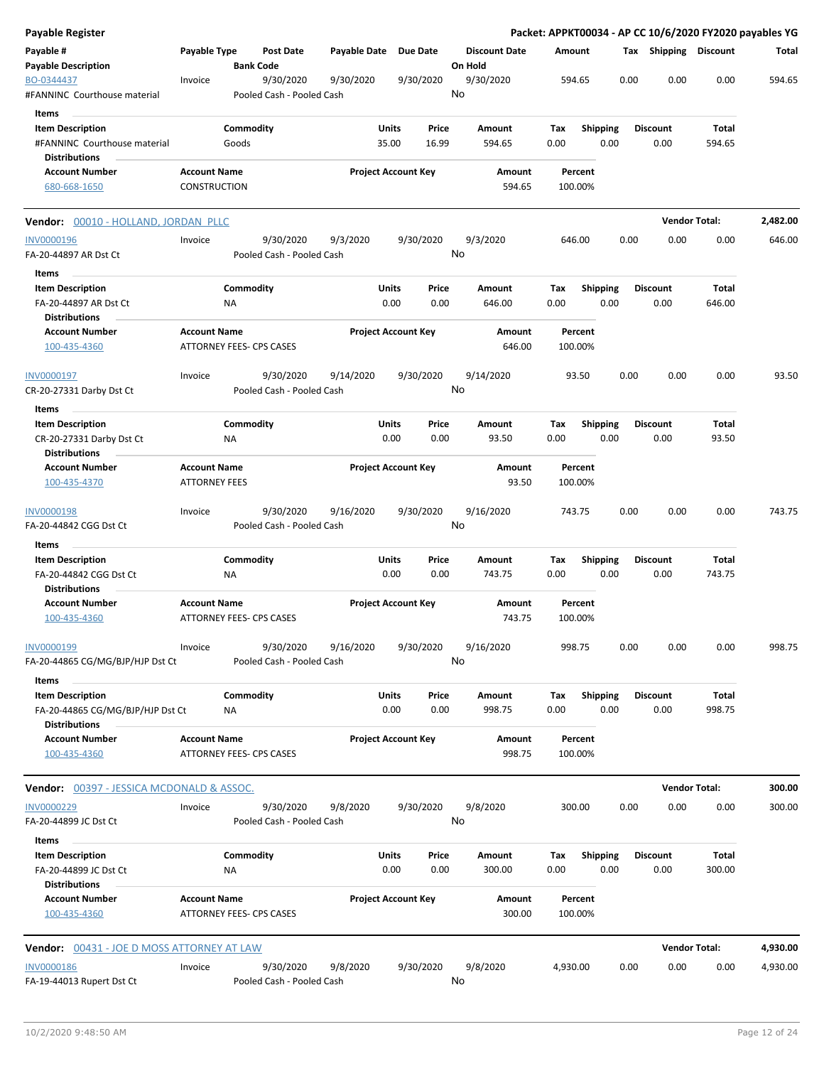| Payable Register                                                                    |                                            |                                        |                       |                                  |                                 | Packet: APPKT00034 - AP CC 10/6/2020 FY2020 payables YG |                 |                         |                      |          |
|-------------------------------------------------------------------------------------|--------------------------------------------|----------------------------------------|-----------------------|----------------------------------|---------------------------------|---------------------------------------------------------|-----------------|-------------------------|----------------------|----------|
| Payable #<br><b>Payable Description</b>                                             | Payable Type                               | <b>Post Date</b><br><b>Bank Code</b>   | Payable Date Due Date |                                  | <b>Discount Date</b><br>On Hold | Amount                                                  |                 | Tax Shipping Discount   |                      | Total    |
| BO-0344437<br>#FANNINC Courthouse material                                          | Invoice                                    | 9/30/2020<br>Pooled Cash - Pooled Cash | 9/30/2020             | 9/30/2020                        | 9/30/2020<br>No                 | 594.65                                                  | 0.00            | 0.00                    | 0.00                 | 594.65   |
| Items                                                                               |                                            |                                        |                       |                                  |                                 |                                                         |                 |                         |                      |          |
| <b>Item Description</b><br>#FANNINC Courthouse material<br><b>Distributions</b>     |                                            | Commodity<br>Goods                     |                       | Price<br>Units<br>35.00<br>16.99 | Amount<br>594.65                | Tax<br><b>Shipping</b><br>0.00                          | 0.00            | <b>Discount</b><br>0.00 | Total<br>594.65      |          |
| <b>Account Number</b><br>680-668-1650                                               | <b>Account Name</b><br><b>CONSTRUCTION</b> |                                        |                       | <b>Project Account Key</b>       | Amount<br>594.65                | Percent<br>100.00%                                      |                 |                         |                      |          |
| Vendor: 00010 - HOLLAND, JORDAN PLLC                                                |                                            |                                        |                       |                                  |                                 |                                                         |                 |                         | <b>Vendor Total:</b> | 2,482.00 |
| INV0000196                                                                          | Invoice                                    | 9/30/2020                              | 9/3/2020              | 9/30/2020                        | 9/3/2020                        | 646.00                                                  | 0.00            | 0.00                    | 0.00                 | 646.00   |
| FA-20-44897 AR Dst Ct                                                               |                                            | Pooled Cash - Pooled Cash              |                       |                                  | No                              |                                                         |                 |                         |                      |          |
| Items                                                                               |                                            |                                        |                       |                                  |                                 |                                                         |                 |                         |                      |          |
| <b>Item Description</b><br>FA-20-44897 AR Dst Ct                                    |                                            | Commodity<br>NA                        |                       | Units<br>Price<br>0.00<br>0.00   | Amount<br>646.00                | Tax<br><b>Shipping</b><br>0.00                          | 0.00            | <b>Discount</b><br>0.00 | Total<br>646.00      |          |
| <b>Distributions</b>                                                                |                                            |                                        |                       |                                  |                                 |                                                         |                 |                         |                      |          |
| <b>Account Number</b><br>100-435-4360                                               | <b>Account Name</b>                        | ATTORNEY FEES- CPS CASES               |                       | <b>Project Account Key</b>       | Amount<br>646.00                | Percent<br>100.00%                                      |                 |                         |                      |          |
| INV0000197<br>CR-20-27331 Darby Dst Ct                                              | Invoice                                    | 9/30/2020<br>Pooled Cash - Pooled Cash | 9/14/2020             | 9/30/2020                        | 9/14/2020<br>No                 | 93.50                                                   | 0.00            | 0.00                    | 0.00                 | 93.50    |
| Items                                                                               |                                            |                                        |                       |                                  |                                 |                                                         |                 |                         |                      |          |
| <b>Item Description</b><br>CR-20-27331 Darby Dst Ct<br><b>Distributions</b>         |                                            | Commodity<br>ΝA                        |                       | Units<br>Price<br>0.00<br>0.00   | Amount<br>93.50                 | <b>Shipping</b><br>Tax<br>0.00                          | 0.00            | <b>Discount</b><br>0.00 | Total<br>93.50       |          |
| <b>Account Number</b>                                                               | <b>Account Name</b>                        |                                        |                       | <b>Project Account Key</b>       | Amount                          | Percent                                                 |                 |                         |                      |          |
| 100-435-4370                                                                        | <b>ATTORNEY FEES</b>                       |                                        |                       |                                  | 93.50                           | 100.00%                                                 |                 |                         |                      |          |
| <b>INV0000198</b><br>FA-20-44842 CGG Dst Ct                                         | Invoice                                    | 9/30/2020<br>Pooled Cash - Pooled Cash | 9/16/2020             | 9/30/2020                        | 9/16/2020<br>No                 | 743.75                                                  | 0.00            | 0.00                    | 0.00                 | 743.75   |
| Items<br><b>Item Description</b>                                                    |                                            | Commodity                              |                       | Units<br>Price                   | Amount                          | Tax                                                     | <b>Shipping</b> | <b>Discount</b>         | Total                |          |
| FA-20-44842 CGG Dst Ct<br>Distributions                                             |                                            | ΝA                                     |                       | 0.00<br>0.00                     | 743.75                          | 0.00                                                    | 0.00            | 0.00                    | 743.75               |          |
| <b>Account Number</b><br>100-435-4360                                               | <b>Account Name</b>                        | <b>ATTORNEY FEES- CPS CASES</b>        |                       | <b>Project Account Key</b>       | Amount<br>743.75                | Percent<br>100.00%                                      |                 |                         |                      |          |
| INV0000199<br>FA-20-44865 CG/MG/BJP/HJP Dst Ct                                      | Invoice                                    | 9/30/2020<br>Pooled Cash - Pooled Cash | 9/16/2020             | 9/30/2020                        | 9/16/2020<br>No                 | 998.75                                                  | 0.00            | 0.00                    | 0.00                 | 998.75   |
| Items                                                                               |                                            |                                        |                       |                                  |                                 |                                                         |                 |                         |                      |          |
| <b>Item Description</b><br>FA-20-44865 CG/MG/BJP/HJP Dst Ct<br><b>Distributions</b> |                                            | Commodity<br>NA                        |                       | Units<br>Price<br>0.00<br>0.00   | Amount<br>998.75                | <b>Shipping</b><br>Тах<br>0.00                          | 0.00            | <b>Discount</b><br>0.00 | Total<br>998.75      |          |
| <b>Account Number</b><br>100-435-4360                                               | <b>Account Name</b>                        | <b>ATTORNEY FEES- CPS CASES</b>        |                       | <b>Project Account Key</b>       | Amount<br>998.75                | Percent<br>100.00%                                      |                 |                         |                      |          |
| Vendor: 00397 - JESSICA MCDONALD & ASSOC.                                           |                                            |                                        |                       |                                  |                                 |                                                         |                 |                         | <b>Vendor Total:</b> | 300.00   |
| INV0000229                                                                          | Invoice                                    | 9/30/2020                              | 9/8/2020              | 9/30/2020                        | 9/8/2020                        | 300.00                                                  | 0.00            | 0.00                    | 0.00                 | 300.00   |
| FA-20-44899 JC Dst Ct<br>Items                                                      |                                            | Pooled Cash - Pooled Cash              |                       |                                  | No                              |                                                         |                 |                         |                      |          |
| <b>Item Description</b>                                                             |                                            | Commodity                              |                       | Units<br>Price                   | Amount                          | <b>Shipping</b><br>Tax                                  |                 | <b>Discount</b>         | Total                |          |
| FA-20-44899 JC Dst Ct                                                               |                                            | ΝA                                     |                       | 0.00<br>0.00                     | 300.00                          | 0.00                                                    | 0.00            | 0.00                    | 300.00               |          |
| <b>Distributions</b><br><b>Account Number</b><br>100-435-4360                       | <b>Account Name</b>                        | ATTORNEY FEES- CPS CASES               |                       | <b>Project Account Key</b>       | Amount<br>300.00                | Percent<br>100.00%                                      |                 |                         |                      |          |
|                                                                                     |                                            |                                        |                       |                                  |                                 |                                                         |                 |                         |                      |          |
| <b>Vendor:</b> 00431 - JOE D MOSS ATTORNEY AT LAW                                   |                                            |                                        |                       |                                  |                                 |                                                         |                 |                         | <b>Vendor Total:</b> | 4,930.00 |
| INV0000186<br>FA-19-44013 Rupert Dst Ct                                             | Invoice                                    | 9/30/2020<br>Pooled Cash - Pooled Cash | 9/8/2020              | 9/30/2020                        | 9/8/2020<br>No                  | 4,930.00                                                | 0.00            | 0.00                    | 0.00                 | 4,930.00 |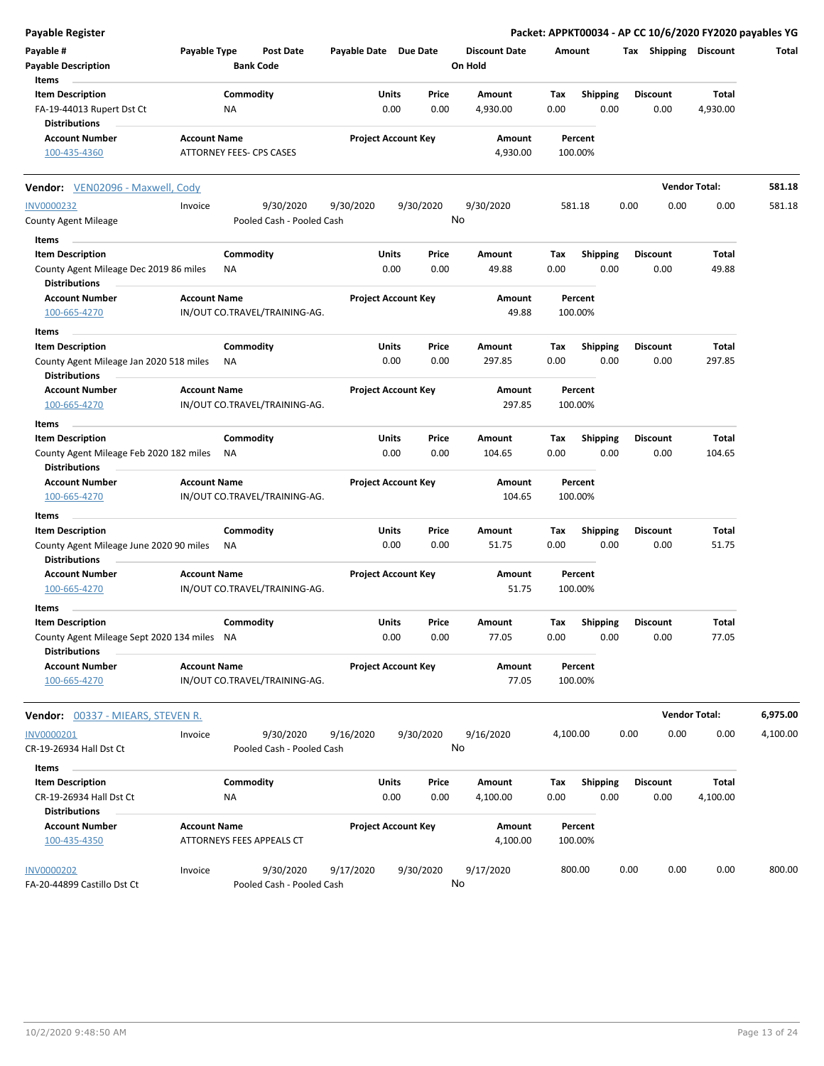| <b>Payable Register</b>                                             |                     |                  |                                        |                       |               |                            |                                 |             |                         |      |                         | Packet: APPKT00034 - AP CC 10/6/2020 FY2020 payables YG |          |
|---------------------------------------------------------------------|---------------------|------------------|----------------------------------------|-----------------------|---------------|----------------------------|---------------------------------|-------------|-------------------------|------|-------------------------|---------------------------------------------------------|----------|
| Payable #<br><b>Payable Description</b>                             | Payable Type        | <b>Bank Code</b> | <b>Post Date</b>                       | Payable Date Due Date |               |                            | <b>Discount Date</b><br>On Hold | Amount      |                         |      | Tax Shipping Discount   |                                                         | Total    |
| Items<br><b>Item Description</b>                                    |                     | Commodity        |                                        |                       | Units         | Price                      | Amount                          | Tax         | <b>Shipping</b>         |      | <b>Discount</b>         | Total                                                   |          |
| FA-19-44013 Rupert Dst Ct<br><b>Distributions</b>                   |                     | NA               |                                        |                       | 0.00          | 0.00                       | 4,930.00                        | 0.00        | 0.00                    |      | 0.00                    | 4,930.00                                                |          |
| <b>Account Number</b>                                               | <b>Account Name</b> |                  |                                        |                       |               | <b>Project Account Key</b> | Amount                          |             | Percent                 |      |                         |                                                         |          |
| 100-435-4360                                                        |                     |                  | <b>ATTORNEY FEES- CPS CASES</b>        |                       |               |                            | 4,930.00                        |             | 100.00%                 |      |                         |                                                         |          |
| <b>Vendor:</b> VEN02096 - Maxwell, Cody                             |                     |                  |                                        |                       |               |                            |                                 |             |                         |      |                         | <b>Vendor Total:</b>                                    | 581.18   |
| <b>INV0000232</b>                                                   | Invoice             |                  | 9/30/2020                              | 9/30/2020             |               | 9/30/2020                  | 9/30/2020                       |             | 581.18                  | 0.00 | 0.00                    | 0.00                                                    | 581.18   |
| County Agent Mileage<br>Items                                       |                     |                  | Pooled Cash - Pooled Cash              |                       |               |                            | No                              |             |                         |      |                         |                                                         |          |
| <b>Item Description</b>                                             |                     | Commodity        |                                        |                       | Units         | Price                      | Amount                          | Tax         | <b>Shipping</b>         |      | <b>Discount</b>         | Total                                                   |          |
| County Agent Mileage Dec 2019 86 miles<br><b>Distributions</b>      |                     | ΝA               |                                        |                       | 0.00          | 0.00                       | 49.88                           | 0.00        | 0.00                    |      | 0.00                    | 49.88                                                   |          |
| <b>Account Number</b>                                               | <b>Account Name</b> |                  |                                        |                       |               | <b>Project Account Key</b> | Amount                          |             | Percent                 |      |                         |                                                         |          |
| 100-665-4270                                                        |                     |                  | IN/OUT CO.TRAVEL/TRAINING-AG.          |                       |               |                            | 49.88                           |             | 100.00%                 |      |                         |                                                         |          |
| Items                                                               |                     |                  |                                        |                       |               |                            |                                 |             |                         |      |                         |                                                         |          |
| <b>Item Description</b><br>County Agent Mileage Jan 2020 518 miles  |                     | Commodity<br>ΝA  |                                        |                       | Units<br>0.00 | Price<br>0.00              | Amount<br>297.85                | Tax<br>0.00 | <b>Shipping</b><br>0.00 |      | Discount<br>0.00        | Total<br>297.85                                         |          |
| <b>Distributions</b><br><b>Account Number</b>                       | <b>Account Name</b> |                  |                                        |                       |               | <b>Project Account Key</b> | Amount                          |             | Percent                 |      |                         |                                                         |          |
| 100-665-4270                                                        |                     |                  | IN/OUT CO.TRAVEL/TRAINING-AG.          |                       |               |                            | 297.85                          |             | 100.00%                 |      |                         |                                                         |          |
| Items<br><b>Item Description</b>                                    |                     | Commodity        |                                        |                       | Units         | Price                      | Amount                          | Tax         | Shipping                |      | Discount                | Total                                                   |          |
| County Agent Mileage Feb 2020 182 miles<br><b>Distributions</b>     |                     | NA               |                                        |                       | 0.00          | 0.00                       | 104.65                          | 0.00        | 0.00                    |      | 0.00                    | 104.65                                                  |          |
| <b>Account Number</b><br>100-665-4270                               | <b>Account Name</b> |                  | IN/OUT CO.TRAVEL/TRAINING-AG.          |                       |               | <b>Project Account Key</b> | Amount<br>104.65                |             | Percent<br>100.00%      |      |                         |                                                         |          |
| Items                                                               |                     |                  |                                        |                       |               |                            |                                 |             |                         |      |                         |                                                         |          |
| <b>Item Description</b>                                             |                     | Commodity        |                                        |                       | Units         | Price                      | Amount                          | Tax         | <b>Shipping</b>         |      | <b>Discount</b>         | Total                                                   |          |
| County Agent Mileage June 2020 90 miles<br><b>Distributions</b>     |                     | ΝA               |                                        |                       | 0.00          | 0.00                       | 51.75                           | 0.00        | 0.00                    |      | 0.00                    | 51.75                                                   |          |
| <b>Account Number</b><br>100-665-4270                               | <b>Account Name</b> |                  | IN/OUT CO.TRAVEL/TRAINING-AG.          |                       |               | <b>Project Account Key</b> | Amount<br>51.75                 |             | Percent<br>100.00%      |      |                         |                                                         |          |
| Items                                                               |                     |                  |                                        |                       |               |                            |                                 |             |                         |      |                         |                                                         |          |
| <b>Item Description</b>                                             |                     | Commodity        |                                        |                       | Units         | Price                      | Amount                          | Tax         | Shipping                |      | <b>Discount</b>         | Total                                                   |          |
| County Agent Mileage Sept 2020 134 miles NA<br><b>Distributions</b> |                     |                  |                                        |                       | 0.00          | 0.00                       | 77.05                           | 0.00        | 0.00                    |      | 0.00                    | 77.05                                                   |          |
| <b>Account Number</b><br>100-665-4270                               | <b>Account Name</b> |                  | IN/OUT CO.TRAVEL/TRAINING-AG.          |                       |               | <b>Project Account Key</b> | Amount<br>77.05                 |             | Percent<br>100.00%      |      |                         |                                                         |          |
| <b>Vendor:</b> 00337 - MIEARS, STEVEN R.                            |                     |                  |                                        |                       |               |                            |                                 |             |                         |      |                         | <b>Vendor Total:</b>                                    | 6,975.00 |
| INV0000201<br>CR-19-26934 Hall Dst Ct                               | Invoice             |                  | 9/30/2020<br>Pooled Cash - Pooled Cash | 9/16/2020             |               | 9/30/2020                  | 9/16/2020<br>No                 | 4,100.00    |                         | 0.00 | 0.00                    | 0.00                                                    | 4,100.00 |
| Items                                                               |                     |                  |                                        |                       |               |                            |                                 |             |                         |      |                         |                                                         |          |
| <b>Item Description</b><br>CR-19-26934 Hall Dst Ct                  |                     | Commodity<br>NA  |                                        |                       | Units<br>0.00 | Price<br>0.00              | Amount<br>4,100.00              | Tax<br>0.00 | Shipping<br>0.00        |      | <b>Discount</b><br>0.00 | Total<br>4,100.00                                       |          |
| <b>Distributions</b>                                                |                     |                  |                                        |                       |               |                            |                                 |             |                         |      |                         |                                                         |          |
| <b>Account Number</b><br>100-435-4350                               | <b>Account Name</b> |                  | ATTORNEYS FEES APPEALS CT              |                       |               | <b>Project Account Key</b> | Amount<br>4,100.00              |             | Percent<br>100.00%      |      |                         |                                                         |          |
| <b>INV0000202</b><br>FA-20-44899 Castillo Dst Ct                    | Invoice             |                  | 9/30/2020<br>Pooled Cash - Pooled Cash | 9/17/2020             |               | 9/30/2020                  | 9/17/2020<br>No                 |             | 800.00                  | 0.00 | 0.00                    | 0.00                                                    | 800.00   |
|                                                                     |                     |                  |                                        |                       |               |                            |                                 |             |                         |      |                         |                                                         |          |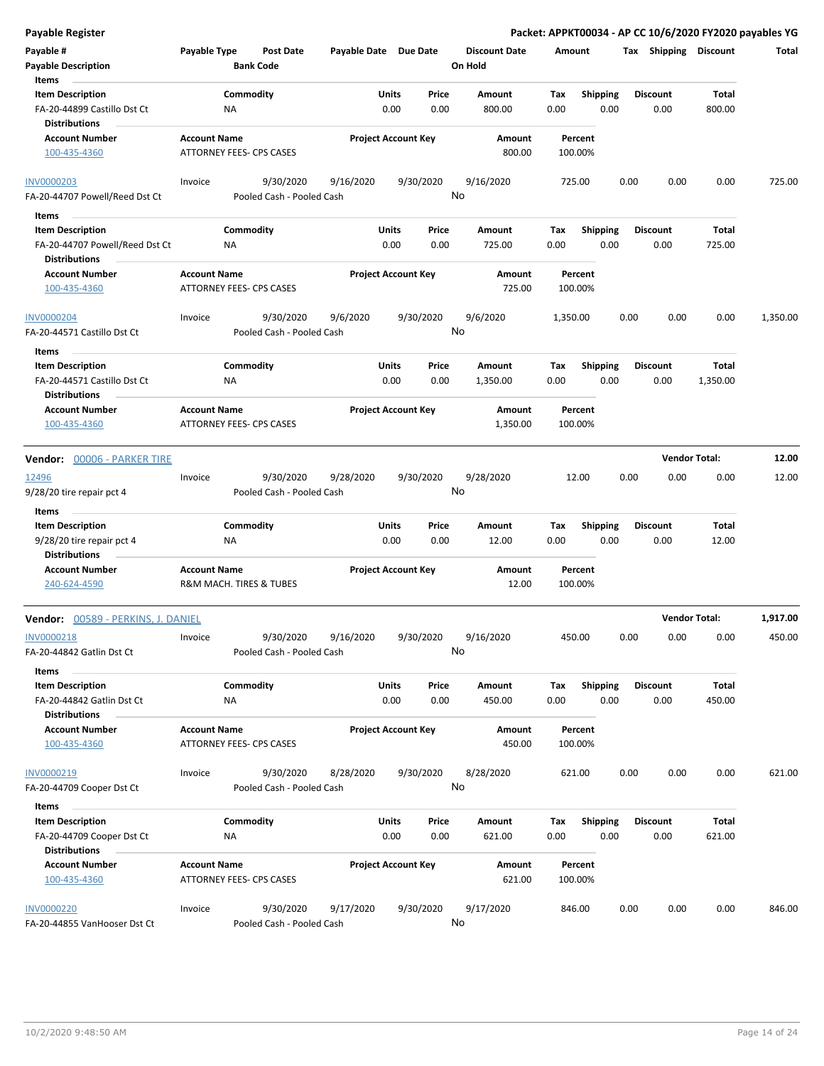| Payable Register                                                                  |                     |                                        |                       |                            |               |                                 |             |                         |      |                         | Packet: APPKT00034 - AP CC 10/6/2020 FY2020 payables YG |          |
|-----------------------------------------------------------------------------------|---------------------|----------------------------------------|-----------------------|----------------------------|---------------|---------------------------------|-------------|-------------------------|------|-------------------------|---------------------------------------------------------|----------|
| Payable #<br><b>Payable Description</b>                                           | Payable Type        | <b>Post Date</b><br><b>Bank Code</b>   | Payable Date Due Date |                            |               | <b>Discount Date</b><br>On Hold | Amount      |                         |      |                         | Tax Shipping Discount                                   | Total    |
| Items<br><b>Item Description</b>                                                  |                     | Commodity                              |                       | Units                      | Price         | Amount                          | Tax         | Shipping                |      | <b>Discount</b>         | <b>Total</b>                                            |          |
| FA-20-44899 Castillo Dst Ct<br><b>Distributions</b>                               | ΝA                  |                                        |                       | 0.00                       | 0.00          | 800.00                          | 0.00        | 0.00                    |      | 0.00                    | 800.00                                                  |          |
| <b>Account Number</b><br>100-435-4360                                             | <b>Account Name</b> | ATTORNEY FEES- CPS CASES               |                       | <b>Project Account Key</b> |               | Amount<br>800.00                |             | Percent<br>100.00%      |      |                         |                                                         |          |
| <b>INV0000203</b>                                                                 | Invoice             | 9/30/2020                              | 9/16/2020             | 9/30/2020                  |               | 9/16/2020                       |             | 725.00                  | 0.00 | 0.00                    | 0.00                                                    | 725.00   |
| FA-20-44707 Powell/Reed Dst Ct                                                    |                     | Pooled Cash - Pooled Cash              |                       |                            |               | No                              |             |                         |      |                         |                                                         |          |
| Items                                                                             |                     |                                        |                       |                            |               |                                 |             |                         |      |                         |                                                         |          |
| <b>Item Description</b><br>FA-20-44707 Powell/Reed Dst Ct<br><b>Distributions</b> | NA                  | Commodity                              |                       | Units<br>0.00              | Price<br>0.00 | Amount<br>725.00                | Tax<br>0.00 | <b>Shipping</b><br>0.00 |      | <b>Discount</b><br>0.00 | Total<br>725.00                                         |          |
| <b>Account Number</b><br>100-435-4360                                             | <b>Account Name</b> | <b>ATTORNEY FEES- CPS CASES</b>        |                       | <b>Project Account Key</b> |               | Amount<br>725.00                |             | Percent<br>100.00%      |      |                         |                                                         |          |
| <b>INV0000204</b><br>FA-20-44571 Castillo Dst Ct                                  | Invoice             | 9/30/2020<br>Pooled Cash - Pooled Cash | 9/6/2020              | 9/30/2020                  |               | 9/6/2020<br>No                  | 1,350.00    |                         | 0.00 | 0.00                    | 0.00                                                    | 1,350.00 |
| Items                                                                             |                     |                                        |                       |                            |               |                                 |             |                         |      |                         |                                                         |          |
| <b>Item Description</b><br>FA-20-44571 Castillo Dst Ct<br><b>Distributions</b>    | ΝA                  | Commodity                              |                       | Units<br>0.00              | Price<br>0.00 | Amount<br>1,350.00              | Tax<br>0.00 | <b>Shipping</b><br>0.00 |      | <b>Discount</b><br>0.00 | <b>Total</b><br>1,350.00                                |          |
| <b>Account Number</b><br>100-435-4360                                             | <b>Account Name</b> | ATTORNEY FEES- CPS CASES               |                       | <b>Project Account Key</b> |               | Amount<br>1,350.00              |             | Percent<br>100.00%      |      |                         |                                                         |          |
|                                                                                   |                     |                                        |                       |                            |               |                                 |             |                         |      |                         |                                                         |          |
| Vendor: 00006 - PARKER TIRE                                                       |                     |                                        |                       |                            |               |                                 |             |                         |      |                         | <b>Vendor Total:</b>                                    | 12.00    |
| 12496<br>9/28/20 tire repair pct 4                                                | Invoice             | 9/30/2020<br>Pooled Cash - Pooled Cash | 9/28/2020             | 9/30/2020                  |               | 9/28/2020<br>No                 |             | 12.00                   | 0.00 | 0.00                    | 0.00                                                    | 12.00    |
| Items<br><b>Item Description</b>                                                  |                     | Commodity                              |                       | Units                      | Price         | Amount                          | Tax         |                         |      | <b>Discount</b>         | <b>Total</b>                                            |          |
| 9/28/20 tire repair pct 4<br><b>Distributions</b>                                 | ΝA                  |                                        |                       | 0.00                       | 0.00          | 12.00                           | 0.00        | <b>Shipping</b><br>0.00 |      | 0.00                    | 12.00                                                   |          |
| <b>Account Number</b><br>240-624-4590                                             | <b>Account Name</b> | R&M MACH. TIRES & TUBES                |                       | <b>Project Account Key</b> |               | Amount<br>12.00                 |             | Percent<br>100.00%      |      |                         |                                                         |          |
| Vendor: 00589 - PERKINS, J. DANIEL                                                |                     |                                        |                       |                            |               |                                 |             |                         |      |                         | <b>Vendor Total:</b>                                    | 1,917.00 |
| INV0000218<br>FA-20-44842 Gatlin Dst Ct                                           | Invoice             | 9/30/2020<br>Pooled Cash - Pooled Cash | 9/16/2020             | 9/30/2020                  |               | 9/16/2020<br>No                 |             | 450.00                  | 0.00 | 0.00                    | 0.00                                                    | 450.00   |
| Items                                                                             |                     |                                        |                       |                            |               |                                 |             |                         |      |                         |                                                         |          |
| <b>Item Description</b><br>FA-20-44842 Gatlin Dst Ct<br><b>Distributions</b>      | ΝA                  | Commodity                              |                       | Units<br>0.00              | Price<br>0.00 | Amount<br>450.00                | Tax<br>0.00 | Shipping<br>0.00        |      | <b>Discount</b><br>0.00 | Total<br>450.00                                         |          |
| <b>Account Number</b><br>100-435-4360                                             | <b>Account Name</b> | ATTORNEY FEES- CPS CASES               |                       | <b>Project Account Key</b> |               | Amount<br>450.00                |             | Percent<br>100.00%      |      |                         |                                                         |          |
| INV0000219<br>FA-20-44709 Cooper Dst Ct                                           | Invoice             | 9/30/2020<br>Pooled Cash - Pooled Cash | 8/28/2020             | 9/30/2020                  |               | 8/28/2020<br>No                 |             | 621.00                  | 0.00 | 0.00                    | 0.00                                                    | 621.00   |
| Items                                                                             |                     |                                        |                       |                            |               |                                 |             |                         |      |                         |                                                         |          |
| <b>Item Description</b><br>FA-20-44709 Cooper Dst Ct<br><b>Distributions</b>      | ΝA                  | Commodity                              |                       | Units<br>0.00              | Price<br>0.00 | Amount<br>621.00                | Tax<br>0.00 | <b>Shipping</b><br>0.00 |      | <b>Discount</b><br>0.00 | <b>Total</b><br>621.00                                  |          |
| <b>Account Number</b><br>100-435-4360                                             | <b>Account Name</b> | ATTORNEY FEES- CPS CASES               |                       | <b>Project Account Key</b> |               | Amount<br>621.00                |             | Percent<br>100.00%      |      |                         |                                                         |          |
| <b>INV0000220</b><br>FA-20-44855 VanHooser Dst Ct                                 | Invoice             | 9/30/2020<br>Pooled Cash - Pooled Cash | 9/17/2020             | 9/30/2020                  |               | 9/17/2020<br>No                 |             | 846.00                  | 0.00 | 0.00                    | 0.00                                                    | 846.00   |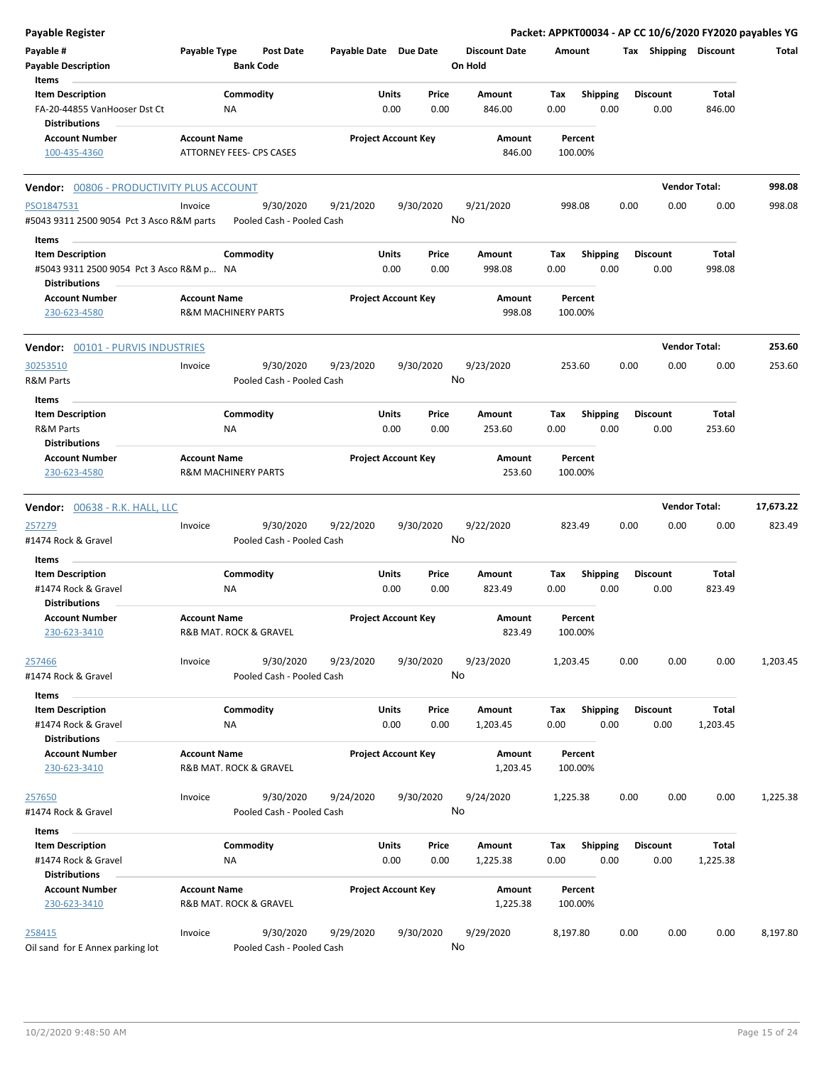| <b>Payable Register</b>                                          |                     |                                        |                            |               |               |                                 |             |                         |      |                         |                      | Packet: APPKT00034 - AP CC 10/6/2020 FY2020 payables YG |
|------------------------------------------------------------------|---------------------|----------------------------------------|----------------------------|---------------|---------------|---------------------------------|-------------|-------------------------|------|-------------------------|----------------------|---------------------------------------------------------|
| Payable #<br><b>Payable Description</b>                          | Payable Type        | <b>Post Date</b><br><b>Bank Code</b>   | Payable Date Due Date      |               |               | <b>Discount Date</b><br>On Hold | Amount      |                         |      | Tax Shipping Discount   |                      | Total                                                   |
| Items                                                            |                     |                                        |                            |               |               |                                 |             |                         |      |                         |                      |                                                         |
| <b>Item Description</b>                                          |                     | Commodity                              |                            | Units         | Price         | Amount                          | Tax         | <b>Shipping</b>         |      | <b>Discount</b>         | Total                |                                                         |
| FA-20-44855 VanHooser Dst Ct                                     |                     | NA                                     |                            | 0.00          | 0.00          | 846.00                          | 0.00        | 0.00                    |      | 0.00                    | 846.00               |                                                         |
| <b>Distributions</b>                                             |                     |                                        |                            |               |               |                                 |             |                         |      |                         |                      |                                                         |
| <b>Account Number</b>                                            | <b>Account Name</b> |                                        | <b>Project Account Key</b> |               |               | Amount                          |             | Percent                 |      |                         |                      |                                                         |
| 100-435-4360                                                     |                     | ATTORNEY FEES- CPS CASES               |                            |               |               | 846.00                          |             | 100.00%                 |      |                         |                      |                                                         |
| Vendor: 00806 - PRODUCTIVITY PLUS ACCOUNT                        |                     |                                        |                            |               |               |                                 |             |                         |      |                         | <b>Vendor Total:</b> | 998.08                                                  |
| PSO1847531<br>#5043 9311 2500 9054 Pct 3 Asco R&M parts          | Invoice             | 9/30/2020<br>Pooled Cash - Pooled Cash | 9/21/2020                  |               | 9/30/2020     | 9/21/2020<br>No                 |             | 998.08                  | 0.00 | 0.00                    | 0.00                 | 998.08                                                  |
| Items                                                            |                     |                                        |                            |               |               |                                 |             |                         |      |                         |                      |                                                         |
| <b>Item Description</b>                                          |                     | Commodity                              |                            | Units         | Price         | Amount                          | Tax         | <b>Shipping</b>         |      | <b>Discount</b>         | Total                |                                                         |
| #5043 9311 2500 9054 Pct 3 Asco R&M p NA<br><b>Distributions</b> |                     |                                        |                            | 0.00          | 0.00          | 998.08                          | 0.00        | 0.00                    |      | 0.00                    | 998.08               |                                                         |
| <b>Account Number</b>                                            | <b>Account Name</b> |                                        | <b>Project Account Key</b> |               |               | Amount                          |             | Percent                 |      |                         |                      |                                                         |
| 230-623-4580                                                     |                     | <b>R&amp;M MACHINERY PARTS</b>         |                            |               |               | 998.08                          |             | 100.00%                 |      |                         |                      |                                                         |
| Vendor: 00101 - PURVIS INDUSTRIES                                |                     |                                        |                            |               |               |                                 |             |                         |      |                         | <b>Vendor Total:</b> | 253.60                                                  |
| 30253510                                                         | Invoice             | 9/30/2020                              | 9/23/2020                  |               | 9/30/2020     | 9/23/2020                       |             | 253.60                  | 0.00 | 0.00                    | 0.00                 | 253.60                                                  |
| R&M Parts                                                        |                     | Pooled Cash - Pooled Cash              |                            |               |               | No                              |             |                         |      |                         |                      |                                                         |
| Items                                                            |                     |                                        |                            |               |               |                                 |             |                         |      |                         |                      |                                                         |
| <b>Item Description</b>                                          |                     | Commodity                              |                            | Units         | Price         | Amount                          | Tax         | Shipping                |      | <b>Discount</b>         | Total                |                                                         |
| <b>R&amp;M Parts</b>                                             |                     | ΝA                                     |                            | 0.00          | 0.00          | 253.60                          | 0.00        | 0.00                    |      | 0.00                    | 253.60               |                                                         |
| <b>Distributions</b>                                             |                     |                                        |                            |               |               |                                 |             |                         |      |                         |                      |                                                         |
| <b>Account Number</b>                                            | <b>Account Name</b> |                                        | <b>Project Account Key</b> |               |               | Amount                          |             | Percent                 |      |                         |                      |                                                         |
| 230-623-4580                                                     |                     | <b>R&amp;M MACHINERY PARTS</b>         |                            |               |               | 253.60                          |             | 100.00%                 |      |                         |                      |                                                         |
| Vendor: 00638 - R.K. HALL, LLC                                   |                     |                                        |                            |               |               |                                 |             |                         |      |                         | <b>Vendor Total:</b> | 17,673.22                                               |
| 257279                                                           | Invoice             | 9/30/2020                              | 9/22/2020                  |               | 9/30/2020     | 9/22/2020                       |             | 823.49                  | 0.00 | 0.00                    | 0.00                 | 823.49                                                  |
| #1474 Rock & Gravel                                              |                     | Pooled Cash - Pooled Cash              |                            |               |               | No                              |             |                         |      |                         |                      |                                                         |
| Items                                                            |                     |                                        |                            |               |               |                                 |             |                         |      |                         |                      |                                                         |
| <b>Item Description</b>                                          |                     | Commodity                              |                            | Units         | Price         | Amount                          | Tax         | Shipping                |      | <b>Discount</b>         | Total                |                                                         |
| #1474 Rock & Gravel<br><b>Distributions</b>                      |                     | ΝA                                     |                            | 0.00          | 0.00          | 823.49                          | 0.00        | 0.00                    |      | 0.00                    | 823.49               |                                                         |
| <b>Account Number</b>                                            | <b>Account Name</b> |                                        | <b>Project Account Key</b> |               |               | Amount                          |             | Percent                 |      |                         |                      |                                                         |
| 230-623-3410                                                     |                     | R&B MAT. ROCK & GRAVEL                 |                            |               |               | 823.49                          |             | 100.00%                 |      |                         |                      |                                                         |
| 257466<br>#1474 Rock & Gravel                                    | Invoice             | 9/30/2020<br>Pooled Cash - Pooled Cash | 9/23/2020                  |               | 9/30/2020     | 9/23/2020<br>No                 | 1,203.45    |                         | 0.00 | 0.00                    | 0.00                 | 1,203.45                                                |
|                                                                  |                     |                                        |                            |               |               |                                 |             |                         |      |                         |                      |                                                         |
| Items                                                            |                     |                                        |                            |               |               |                                 |             |                         |      |                         |                      |                                                         |
| <b>Item Description</b><br>#1474 Rock & Gravel                   |                     | Commodity<br>ΝA                        |                            | Units<br>0.00 | Price<br>0.00 | Amount<br>1,203.45              | Tax<br>0.00 | <b>Shipping</b><br>0.00 |      | <b>Discount</b><br>0.00 | Total<br>1,203.45    |                                                         |
| <b>Distributions</b>                                             |                     |                                        |                            |               |               |                                 |             |                         |      |                         |                      |                                                         |
| <b>Account Number</b><br>230-623-3410                            | <b>Account Name</b> | R&B MAT. ROCK & GRAVEL                 | <b>Project Account Key</b> |               |               | Amount<br>1,203.45              |             | Percent<br>100.00%      |      |                         |                      |                                                         |
| 257650                                                           | Invoice             | 9/30/2020                              | 9/24/2020                  |               | 9/30/2020     | 9/24/2020                       | 1,225.38    |                         | 0.00 | 0.00                    | 0.00                 | 1,225.38                                                |
| #1474 Rock & Gravel                                              |                     | Pooled Cash - Pooled Cash              |                            |               |               | No                              |             |                         |      |                         |                      |                                                         |
|                                                                  |                     |                                        |                            |               |               |                                 |             |                         |      |                         |                      |                                                         |
| Items                                                            |                     |                                        |                            |               |               |                                 |             |                         |      |                         |                      |                                                         |
| <b>Item Description</b>                                          |                     | Commodity                              |                            | Units         | Price         | Amount                          | Tax         | <b>Shipping</b>         |      | <b>Discount</b>         | Total                |                                                         |
| #1474 Rock & Gravel                                              |                     | NA                                     |                            | 0.00          | 0.00          | 1,225.38                        | 0.00        | 0.00                    |      | 0.00                    | 1,225.38             |                                                         |
| <b>Distributions</b>                                             |                     |                                        |                            |               |               |                                 |             |                         |      |                         |                      |                                                         |
| <b>Account Number</b><br>230-623-3410                            | <b>Account Name</b> | R&B MAT. ROCK & GRAVEL                 | <b>Project Account Key</b> |               |               | Amount<br>1,225.38              |             | Percent<br>100.00%      |      |                         |                      |                                                         |
| 258415<br>Oil sand for E Annex parking lot                       | Invoice             | 9/30/2020<br>Pooled Cash - Pooled Cash | 9/29/2020                  |               | 9/30/2020     | 9/29/2020<br>No                 | 8,197.80    |                         | 0.00 | 0.00                    | 0.00                 | 8,197.80                                                |
|                                                                  |                     |                                        |                            |               |               |                                 |             |                         |      |                         |                      |                                                         |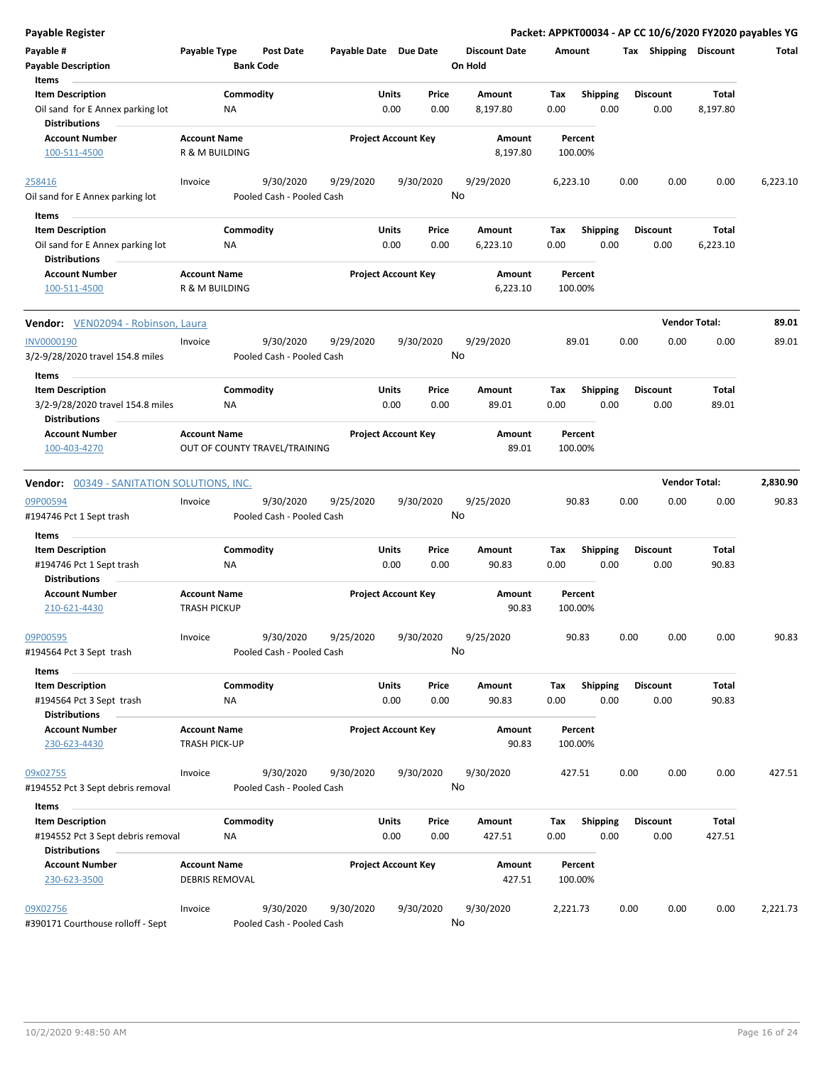| <b>Payable Register</b>                                                             |                                             |                  |                                        |                       |                            |                 |                                 |             |                         |      |                         |                      | Packet: APPKT00034 - AP CC 10/6/2020 FY2020 payables YG |
|-------------------------------------------------------------------------------------|---------------------------------------------|------------------|----------------------------------------|-----------------------|----------------------------|-----------------|---------------------------------|-------------|-------------------------|------|-------------------------|----------------------|---------------------------------------------------------|
| Payable #<br><b>Payable Description</b>                                             | Payable Type                                | <b>Bank Code</b> | <b>Post Date</b>                       | Payable Date Due Date |                            |                 | <b>Discount Date</b><br>On Hold | Amount      |                         |      | Tax Shipping Discount   |                      | Total                                                   |
| Items<br><b>Item Description</b>                                                    |                                             | Commodity        |                                        |                       | Units                      | Price           | Amount                          | Tax         | <b>Shipping</b>         |      | <b>Discount</b>         | Total                |                                                         |
| Oil sand for E Annex parking lot                                                    |                                             | NA               |                                        |                       | 0.00                       | 0.00            | 8,197.80                        | 0.00        | 0.00                    |      | 0.00                    | 8,197.80             |                                                         |
| <b>Distributions</b><br><b>Account Number</b>                                       | <b>Account Name</b>                         |                  |                                        |                       | <b>Project Account Key</b> |                 | Amount                          |             | Percent                 |      |                         |                      |                                                         |
| 100-511-4500                                                                        | R & M BUILDING                              |                  |                                        |                       |                            |                 | 8,197.80                        |             | 100.00%                 |      |                         |                      |                                                         |
| 258416                                                                              | Invoice                                     |                  | 9/30/2020                              | 9/29/2020             |                            | 9/30/2020       | 9/29/2020                       | 6,223.10    |                         | 0.00 | 0.00                    | 0.00                 | 6,223.10                                                |
| Oil sand for E Annex parking lot                                                    |                                             |                  | Pooled Cash - Pooled Cash              |                       |                            | No              |                                 |             |                         |      |                         |                      |                                                         |
| Items                                                                               |                                             |                  |                                        |                       |                            |                 |                                 |             |                         |      |                         |                      |                                                         |
| <b>Item Description</b><br>Oil sand for E Annex parking lot                         |                                             | Commodity<br>ΝA  |                                        |                       | Units<br>0.00              | Price<br>0.00   | Amount<br>6,223.10              | Tax<br>0.00 | <b>Shipping</b><br>0.00 |      | <b>Discount</b><br>0.00 | Total<br>6,223.10    |                                                         |
| <b>Distributions</b><br><b>Account Number</b><br>100-511-4500                       | <b>Account Name</b><br>R & M BUILDING       |                  |                                        |                       | <b>Project Account Key</b> |                 | Amount<br>6,223.10              |             | Percent<br>100.00%      |      |                         |                      |                                                         |
| Vendor: VEN02094 - Robinson, Laura                                                  |                                             |                  |                                        |                       |                            |                 |                                 |             |                         |      |                         | <b>Vendor Total:</b> | 89.01                                                   |
| <b>INV0000190</b><br>3/2-9/28/2020 travel 154.8 miles                               | Invoice                                     |                  | 9/30/2020<br>Pooled Cash - Pooled Cash | 9/29/2020             |                            | 9/30/2020<br>No | 9/29/2020                       |             | 89.01                   | 0.00 | 0.00                    | 0.00                 | 89.01                                                   |
| Items                                                                               |                                             |                  |                                        |                       |                            |                 |                                 |             |                         |      |                         |                      |                                                         |
| <b>Item Description</b><br>3/2-9/28/2020 travel 154.8 miles<br><b>Distributions</b> |                                             | Commodity<br>ΝA  |                                        |                       | Units<br>0.00              | Price<br>0.00   | Amount<br>89.01                 | Tax<br>0.00 | <b>Shipping</b><br>0.00 |      | <b>Discount</b><br>0.00 | Total<br>89.01       |                                                         |
| <b>Account Number</b>                                                               | <b>Account Name</b>                         |                  |                                        |                       | <b>Project Account Key</b> |                 | Amount                          |             | Percent                 |      |                         |                      |                                                         |
| 100-403-4270                                                                        |                                             |                  | OUT OF COUNTY TRAVEL/TRAINING          |                       |                            |                 | 89.01                           |             | 100.00%                 |      |                         |                      |                                                         |
| <b>Vendor: 00349 - SANITATION SOLUTIONS, INC.</b>                                   |                                             |                  |                                        |                       |                            |                 |                                 |             |                         |      |                         | <b>Vendor Total:</b> | 2,830.90                                                |
| 09P00594<br>#194746 Pct 1 Sept trash                                                | Invoice                                     |                  | 9/30/2020<br>Pooled Cash - Pooled Cash | 9/25/2020             |                            | 9/30/2020<br>No | 9/25/2020                       |             | 90.83                   | 0.00 | 0.00                    | 0.00                 | 90.83                                                   |
| Items                                                                               |                                             |                  |                                        |                       |                            |                 |                                 |             |                         |      |                         |                      |                                                         |
| <b>Item Description</b>                                                             |                                             | Commodity        |                                        |                       | Units                      | Price           | Amount                          | Tax         | <b>Shipping</b>         |      | <b>Discount</b>         | Total                |                                                         |
| #194746 Pct 1 Sept trash<br><b>Distributions</b>                                    |                                             | ΝA               |                                        |                       | 0.00                       | 0.00            | 90.83                           | 0.00        | 0.00                    |      | 0.00                    | 90.83                |                                                         |
| <b>Account Number</b><br>210-621-4430                                               | <b>Account Name</b><br><b>TRASH PICKUP</b>  |                  |                                        |                       | <b>Project Account Key</b> |                 | Amount<br>90.83                 |             | Percent<br>100.00%      |      |                         |                      |                                                         |
| 09P00595<br>#194564 Pct 3 Sept trash                                                | Invoice                                     |                  | 9/30/2020<br>Pooled Cash - Pooled Cash | 9/25/2020             |                            | 9/30/2020<br>No | 9/25/2020                       |             | 90.83                   | 0.00 | 0.00                    | 0.00                 | 90.83                                                   |
|                                                                                     |                                             |                  |                                        |                       |                            |                 |                                 |             |                         |      |                         |                      |                                                         |
| Items<br><b>Item Description</b><br>#194564 Pct 3 Sept trash                        |                                             | Commodity<br>NA  |                                        |                       | <b>Units</b><br>0.00       | Price<br>0.00   | Amount<br>90.83                 | Tax<br>0.00 | <b>Shipping</b><br>0.00 |      | <b>Discount</b><br>0.00 | Total<br>90.83       |                                                         |
| <b>Distributions</b><br><b>Account Number</b><br>230-623-4430                       | <b>Account Name</b><br><b>TRASH PICK-UP</b> |                  |                                        |                       | <b>Project Account Key</b> |                 | Amount<br>90.83                 |             | Percent<br>100.00%      |      |                         |                      |                                                         |
| 09x02755<br>#194552 Pct 3 Sept debris removal                                       | Invoice                                     |                  | 9/30/2020<br>Pooled Cash - Pooled Cash | 9/30/2020             |                            | 9/30/2020<br>No | 9/30/2020                       |             | 427.51                  | 0.00 | 0.00                    | 0.00                 | 427.51                                                  |
| Items                                                                               |                                             |                  |                                        |                       |                            |                 |                                 |             |                         |      |                         |                      |                                                         |
| <b>Item Description</b><br>#194552 Pct 3 Sept debris removal                        |                                             | Commodity<br>NA  |                                        |                       | Units<br>0.00              | Price<br>0.00   | Amount<br>427.51                | Tax<br>0.00 | <b>Shipping</b><br>0.00 |      | <b>Discount</b><br>0.00 | Total<br>427.51      |                                                         |
| <b>Distributions</b>                                                                |                                             |                  |                                        |                       |                            |                 |                                 |             |                         |      |                         |                      |                                                         |
| <b>Account Number</b><br>230-623-3500                                               | <b>Account Name</b><br>DEBRIS REMOVAL       |                  |                                        |                       | <b>Project Account Key</b> |                 | Amount<br>427.51                |             | Percent<br>100.00%      |      |                         |                      |                                                         |
| 09X02756<br>#390171 Courthouse rolloff - Sept                                       | Invoice                                     |                  | 9/30/2020<br>Pooled Cash - Pooled Cash | 9/30/2020             |                            | 9/30/2020<br>No | 9/30/2020                       | 2,221.73    |                         | 0.00 | 0.00                    | 0.00                 | 2,221.73                                                |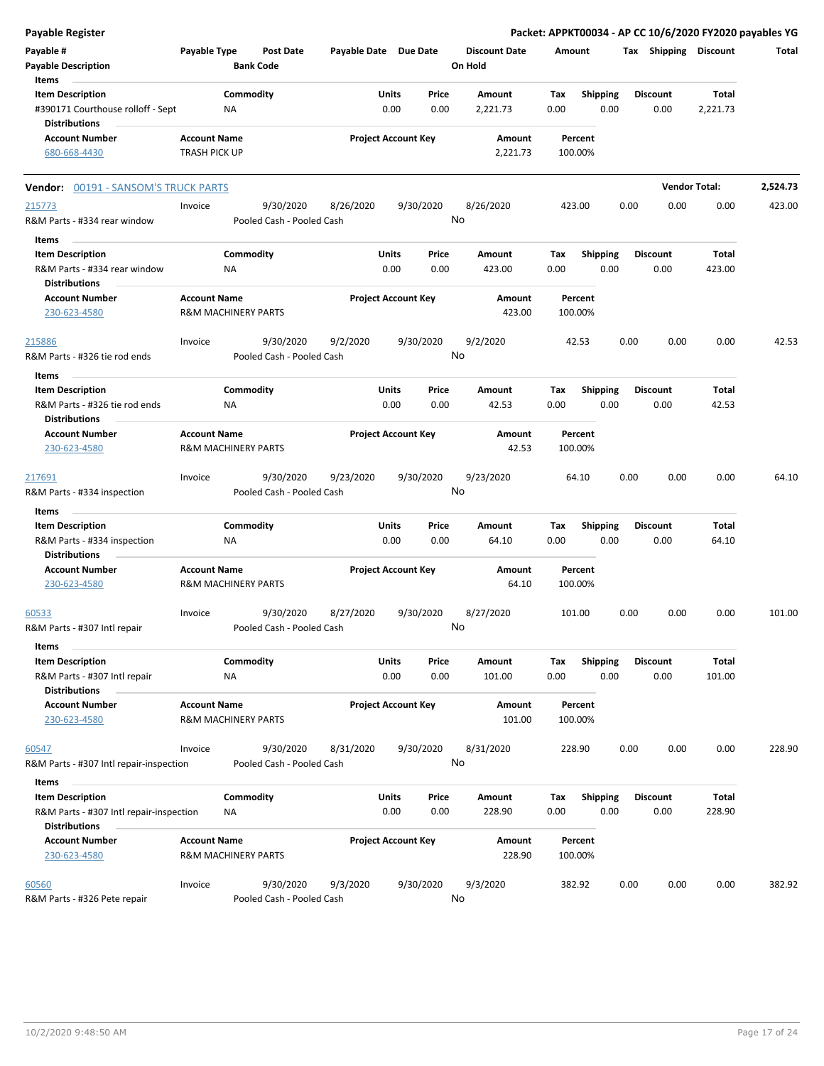| <b>Payable Register</b>                                   |                      |                                |                       |                            |                      |         |                 |      |                       |                      | Packet: APPKT00034 - AP CC 10/6/2020 FY2020 payables YG |
|-----------------------------------------------------------|----------------------|--------------------------------|-----------------------|----------------------------|----------------------|---------|-----------------|------|-----------------------|----------------------|---------------------------------------------------------|
| Payable #                                                 | Payable Type         | Post Date                      | Payable Date Due Date |                            | <b>Discount Date</b> | Amount  |                 |      | Tax Shipping Discount |                      | Total                                                   |
| <b>Payable Description</b>                                |                      | <b>Bank Code</b>               |                       |                            | On Hold              |         |                 |      |                       |                      |                                                         |
| Items                                                     |                      |                                |                       |                            |                      |         |                 |      |                       |                      |                                                         |
| <b>Item Description</b>                                   |                      | Commodity                      | Units                 | Price                      | Amount               | Tax     | <b>Shipping</b> |      | Discount              | Total                |                                                         |
| #390171 Courthouse rolloff - Sept<br><b>Distributions</b> |                      | <b>NA</b>                      |                       | 0.00<br>0.00               | 2,221.73             | 0.00    | 0.00            |      | 0.00                  | 2,221.73             |                                                         |
| <b>Account Number</b>                                     | <b>Account Name</b>  |                                |                       | <b>Project Account Key</b> | Amount               | Percent |                 |      |                       |                      |                                                         |
| 680-668-4430                                              | <b>TRASH PICK UP</b> |                                |                       |                            | 2,221.73             | 100.00% |                 |      |                       |                      |                                                         |
| <b>Vendor: 00191 - SANSOM'S TRUCK PARTS</b>               |                      |                                |                       |                            |                      |         |                 |      |                       | <b>Vendor Total:</b> | 2,524.73                                                |
| 215773                                                    | Invoice              | 9/30/2020                      | 8/26/2020             | 9/30/2020                  | 8/26/2020            | 423.00  |                 | 0.00 | 0.00                  | 0.00                 | 423.00                                                  |
| R&M Parts - #334 rear window                              |                      | Pooled Cash - Pooled Cash      |                       |                            | No                   |         |                 |      |                       |                      |                                                         |
| Items                                                     |                      |                                |                       |                            |                      |         |                 |      |                       |                      |                                                         |
| <b>Item Description</b>                                   |                      | Commodity                      | Units                 | Price                      | Amount               | Тах     | <b>Shipping</b> |      | <b>Discount</b>       | Total                |                                                         |
| R&M Parts - #334 rear window                              |                      | <b>NA</b>                      |                       | 0.00<br>0.00               | 423.00               | 0.00    | 0.00            |      | 0.00                  | 423.00               |                                                         |
| <b>Distributions</b>                                      |                      |                                |                       |                            |                      |         |                 |      |                       |                      |                                                         |
| <b>Account Number</b>                                     | <b>Account Name</b>  |                                |                       | <b>Project Account Key</b> | Amount               | Percent |                 |      |                       |                      |                                                         |
| 230-623-4580                                              |                      | <b>R&amp;M MACHINERY PARTS</b> |                       |                            | 423.00               | 100.00% |                 |      |                       |                      |                                                         |
|                                                           |                      |                                |                       |                            |                      |         |                 |      |                       |                      |                                                         |
| 215886                                                    | Invoice              | 9/30/2020                      | 9/2/2020              | 9/30/2020                  | 9/2/2020             | 42.53   |                 | 0.00 | 0.00                  | 0.00                 | 42.53                                                   |
| R&M Parts - #326 tie rod ends                             |                      | Pooled Cash - Pooled Cash      |                       |                            | No                   |         |                 |      |                       |                      |                                                         |
| Items                                                     |                      |                                |                       |                            |                      |         |                 |      |                       |                      |                                                         |
| <b>Item Description</b>                                   |                      | Commodity                      | Units                 | Price                      | Amount               | Tax     | <b>Shipping</b> |      | <b>Discount</b>       | Total                |                                                         |
| R&M Parts - #326 tie rod ends                             |                      | NA                             |                       | 0.00<br>0.00               | 42.53                | 0.00    | 0.00            |      | 0.00                  | 42.53                |                                                         |
| <b>Distributions</b>                                      |                      |                                |                       |                            |                      |         |                 |      |                       |                      |                                                         |
| <b>Account Number</b>                                     | <b>Account Name</b>  |                                |                       | <b>Project Account Key</b> | Amount               | Percent |                 |      |                       |                      |                                                         |
| 230-623-4580                                              |                      | <b>R&amp;M MACHINERY PARTS</b> |                       |                            | 42.53                | 100.00% |                 |      |                       |                      |                                                         |
| 217691                                                    | Invoice              | 9/30/2020                      | 9/23/2020             | 9/30/2020                  | 9/23/2020            | 64.10   |                 | 0.00 | 0.00                  | 0.00                 | 64.10                                                   |
| R&M Parts - #334 inspection                               |                      | Pooled Cash - Pooled Cash      |                       |                            | No                   |         |                 |      |                       |                      |                                                         |
| Items                                                     |                      |                                |                       |                            |                      |         |                 |      |                       |                      |                                                         |
| <b>Item Description</b>                                   |                      | Commodity                      | Units                 | Price                      | Amount               | Tax     | <b>Shipping</b> |      | <b>Discount</b>       | Total                |                                                         |
| R&M Parts - #334 inspection                               |                      | <b>NA</b>                      |                       | 0.00<br>0.00               | 64.10                | 0.00    | 0.00            |      | 0.00                  | 64.10                |                                                         |
| <b>Distributions</b>                                      |                      |                                |                       |                            |                      |         |                 |      |                       |                      |                                                         |
| <b>Account Number</b>                                     | <b>Account Name</b>  |                                |                       | <b>Project Account Key</b> | Amount               | Percent |                 |      |                       |                      |                                                         |
| 230-623-4580                                              |                      | <b>R&amp;M MACHINERY PARTS</b> |                       |                            | 64.10                | 100.00% |                 |      |                       |                      |                                                         |
|                                                           |                      |                                |                       |                            |                      |         |                 |      |                       |                      |                                                         |
| <u>60533</u>                                              | Invoice              | 9/30/2020                      | 8/27/2020             | 9/30/2020                  | 8/27/2020            | 101.00  |                 | 0.00 | 0.00                  | 0.00                 | 101.00                                                  |
| R&M Parts - #307 Intl repair                              |                      | Pooled Cash - Pooled Cash      |                       |                            | No                   |         |                 |      |                       |                      |                                                         |
| Items                                                     |                      |                                |                       |                            |                      |         |                 |      |                       |                      |                                                         |
| <b>Item Description</b>                                   |                      | Commodity                      | Units                 | Price                      | Amount               | Tax     | <b>Shipping</b> |      | <b>Discount</b>       | Total                |                                                         |
| R&M Parts - #307 Intl repair                              |                      | NA                             |                       | 0.00<br>0.00               | 101.00               | 0.00    | 0.00            |      | 0.00                  | 101.00               |                                                         |
| <b>Distributions</b>                                      |                      |                                |                       |                            |                      |         |                 |      |                       |                      |                                                         |
| <b>Account Number</b>                                     | <b>Account Name</b>  |                                |                       | <b>Project Account Key</b> | Amount               | Percent |                 |      |                       |                      |                                                         |
| 230-623-4580                                              |                      | R&M MACHINERY PARTS            |                       |                            | 101.00               | 100.00% |                 |      |                       |                      |                                                         |
|                                                           |                      |                                |                       |                            |                      |         |                 |      |                       |                      |                                                         |
| 60547                                                     | Invoice              | 9/30/2020                      | 8/31/2020             | 9/30/2020                  | 8/31/2020            | 228.90  |                 | 0.00 | 0.00                  | 0.00                 | 228.90                                                  |
| R&M Parts - #307 Intl repair-inspection                   |                      | Pooled Cash - Pooled Cash      |                       |                            | No                   |         |                 |      |                       |                      |                                                         |
| Items                                                     |                      |                                |                       |                            |                      |         |                 |      |                       |                      |                                                         |
| <b>Item Description</b>                                   |                      | Commodity                      | Units                 | Price                      | Amount               | Tax     | <b>Shipping</b> |      | <b>Discount</b>       | Total                |                                                         |
| R&M Parts - #307 Intl repair-inspection                   |                      | <b>NA</b>                      |                       | 0.00<br>0.00               | 228.90               | 0.00    | 0.00            |      | 0.00                  | 228.90               |                                                         |
| <b>Distributions</b>                                      |                      |                                |                       |                            |                      |         |                 |      |                       |                      |                                                         |
| <b>Account Number</b>                                     | <b>Account Name</b>  |                                |                       | <b>Project Account Key</b> | Amount               | Percent |                 |      |                       |                      |                                                         |
| 230-623-4580                                              |                      | R&M MACHINERY PARTS            |                       |                            | 228.90               | 100.00% |                 |      |                       |                      |                                                         |
|                                                           |                      |                                |                       |                            |                      |         |                 |      |                       |                      |                                                         |
| 60560                                                     | Invoice              | 9/30/2020                      | 9/3/2020              | 9/30/2020                  | 9/3/2020             | 382.92  |                 | 0.00 | 0.00                  | 0.00                 | 382.92                                                  |
| R&M Parts - #326 Pete repair                              |                      | Pooled Cash - Pooled Cash      |                       |                            | No                   |         |                 |      |                       |                      |                                                         |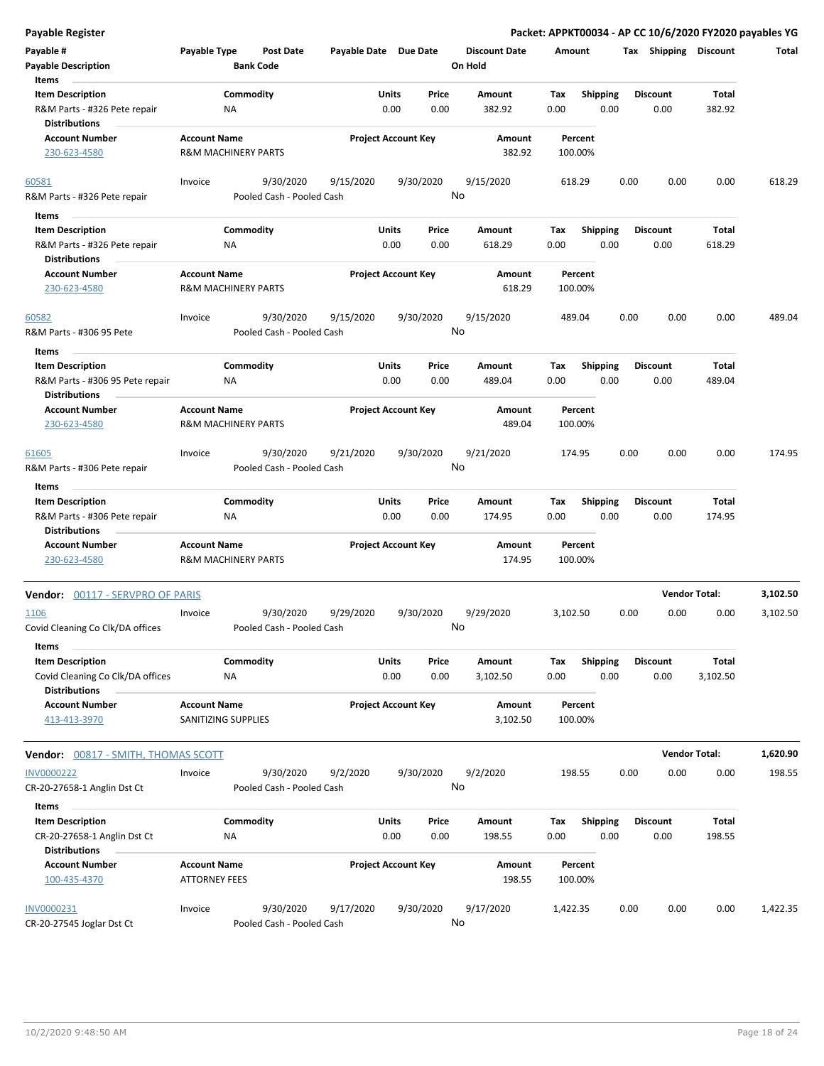| <b>Payable Register</b>                                                         |                                                       |                                        |                       |                            |               |                      |             |                         |      |                         | Packet: APPKT00034 - AP CC 10/6/2020 FY2020 payables YG |          |
|---------------------------------------------------------------------------------|-------------------------------------------------------|----------------------------------------|-----------------------|----------------------------|---------------|----------------------|-------------|-------------------------|------|-------------------------|---------------------------------------------------------|----------|
| Payable #                                                                       | Payable Type                                          | <b>Post Date</b>                       | Payable Date Due Date |                            |               | <b>Discount Date</b> | Amount      |                         |      | Tax Shipping Discount   |                                                         | Total    |
| <b>Payable Description</b>                                                      |                                                       | <b>Bank Code</b>                       |                       |                            |               | On Hold              |             |                         |      |                         |                                                         |          |
| Items                                                                           |                                                       |                                        |                       |                            |               |                      |             |                         |      |                         |                                                         |          |
| <b>Item Description</b>                                                         |                                                       | Commodity                              |                       | Units                      | Price         | Amount               | Тах         | <b>Shipping</b>         |      | <b>Discount</b>         | <b>Total</b>                                            |          |
| R&M Parts - #326 Pete repair<br><b>Distributions</b>                            | ΝA                                                    |                                        |                       | 0.00                       | 0.00          | 382.92               | 0.00        | 0.00                    |      | 0.00                    | 382.92                                                  |          |
| <b>Account Number</b>                                                           | <b>Account Name</b>                                   |                                        |                       | <b>Project Account Key</b> |               | Amount               |             | Percent                 |      |                         |                                                         |          |
| 230-623-4580                                                                    | <b>R&amp;M MACHINERY PARTS</b>                        |                                        |                       |                            |               | 382.92               |             | 100.00%                 |      |                         |                                                         |          |
| 60581                                                                           | Invoice                                               | 9/30/2020                              | 9/15/2020             | 9/30/2020                  |               | 9/15/2020            |             | 618.29                  | 0.00 | 0.00                    | 0.00                                                    | 618.29   |
| R&M Parts - #326 Pete repair                                                    |                                                       | Pooled Cash - Pooled Cash              |                       |                            |               | No                   |             |                         |      |                         |                                                         |          |
| Items                                                                           |                                                       |                                        |                       |                            |               |                      |             |                         |      |                         |                                                         |          |
| <b>Item Description</b>                                                         |                                                       | Commodity                              |                       | Units                      | Price         | Amount               | Тах         | <b>Shipping</b>         |      | <b>Discount</b>         | Total                                                   |          |
| R&M Parts - #326 Pete repair<br><b>Distributions</b>                            | ΝA                                                    |                                        |                       | 0.00                       | 0.00          | 618.29               | 0.00        | 0.00                    |      | 0.00                    | 618.29                                                  |          |
| <b>Account Number</b><br>230-623-4580                                           | <b>Account Name</b><br><b>R&amp;M MACHINERY PARTS</b> |                                        |                       | <b>Project Account Key</b> |               | Amount<br>618.29     |             | Percent<br>100.00%      |      |                         |                                                         |          |
| 60582                                                                           | Invoice                                               | 9/30/2020                              | 9/15/2020             | 9/30/2020                  |               | 9/15/2020            |             | 489.04                  | 0.00 | 0.00                    | 0.00                                                    | 489.04   |
| R&M Parts - #306 95 Pete                                                        |                                                       | Pooled Cash - Pooled Cash              |                       |                            |               | No                   |             |                         |      |                         |                                                         |          |
| Items                                                                           |                                                       |                                        |                       |                            |               |                      |             |                         |      |                         |                                                         |          |
| <b>Item Description</b>                                                         | Commodity                                             |                                        |                       | Units                      | Price         | Amount               | Tax         | <b>Shipping</b>         |      | <b>Discount</b>         | <b>Total</b>                                            |          |
| R&M Parts - #306 95 Pete repair<br><b>Distributions</b>                         | ΝA                                                    |                                        |                       | 0.00                       | 0.00          | 489.04               | 0.00        | 0.00                    |      | 0.00                    | 489.04                                                  |          |
| <b>Account Number</b>                                                           | <b>Account Name</b>                                   |                                        |                       | <b>Project Account Key</b> |               | Amount               |             | Percent                 |      |                         |                                                         |          |
| 230-623-4580                                                                    | <b>R&amp;M MACHINERY PARTS</b>                        |                                        |                       |                            |               | 489.04               |             | 100.00%                 |      |                         |                                                         |          |
| 61605                                                                           | Invoice                                               | 9/30/2020                              | 9/21/2020             | 9/30/2020                  |               | 9/21/2020<br>No      |             | 174.95                  | 0.00 | 0.00                    | 0.00                                                    | 174.95   |
| R&M Parts - #306 Pete repair<br>Items                                           |                                                       | Pooled Cash - Pooled Cash              |                       |                            |               |                      |             |                         |      |                         |                                                         |          |
| <b>Item Description</b><br>R&M Parts - #306 Pete repair<br><b>Distributions</b> | NA                                                    | Commodity                              |                       | Units<br>0.00              | Price<br>0.00 | Amount<br>174.95     | Tax<br>0.00 | <b>Shipping</b><br>0.00 |      | <b>Discount</b><br>0.00 | Total<br>174.95                                         |          |
| <b>Account Number</b><br>230-623-4580                                           | <b>Account Name</b><br><b>R&amp;M MACHINERY PARTS</b> |                                        |                       | <b>Project Account Key</b> |               | Amount<br>174.95     |             | Percent<br>100.00%      |      |                         |                                                         |          |
| Vendor: 00117 - SERVPRO OF PARIS                                                |                                                       |                                        |                       |                            |               |                      |             |                         |      |                         | <b>Vendor Total:</b>                                    | 3,102.50 |
| 1106<br>Covid Cleaning Co Clk/DA offices                                        | Invoice                                               | 9/30/2020<br>Pooled Cash - Pooled Cash | 9/29/2020             | 9/30/2020                  |               | 9/29/2020<br>No      | 3,102.50    |                         | 0.00 | 0.00                    | 0.00                                                    | 3,102.50 |
| Items                                                                           |                                                       |                                        |                       |                            |               |                      |             |                         |      |                         |                                                         |          |
| <b>Item Description</b>                                                         |                                                       | Commodity                              |                       | Units                      | Price         | Amount               | Tax         | <b>Shipping</b>         |      | <b>Discount</b>         | Total                                                   |          |
| Covid Cleaning Co Clk/DA offices<br><b>Distributions</b>                        | ΝA                                                    |                                        |                       | 0.00                       | 0.00          | 3,102.50             | 0.00        | 0.00                    |      | 0.00                    | 3,102.50                                                |          |
| <b>Account Number</b><br>413-413-3970                                           | <b>Account Name</b><br>SANITIZING SUPPLIES            |                                        |                       | <b>Project Account Key</b> |               | Amount<br>3,102.50   |             | Percent<br>100.00%      |      |                         |                                                         |          |
| <b>Vendor: 00817 - SMITH, THOMAS SCOTT</b>                                      |                                                       |                                        |                       |                            |               |                      |             |                         |      |                         | <b>Vendor Total:</b>                                    | 1,620.90 |
| <b>INV0000222</b>                                                               | Invoice                                               | 9/30/2020                              | 9/2/2020              | 9/30/2020                  |               | 9/2/2020             |             | 198.55                  | 0.00 | 0.00                    | 0.00                                                    | 198.55   |
| CR-20-27658-1 Anglin Dst Ct                                                     |                                                       | Pooled Cash - Pooled Cash              |                       |                            |               | No                   |             |                         |      |                         |                                                         |          |
| Items                                                                           |                                                       |                                        |                       |                            |               |                      |             |                         |      |                         |                                                         |          |
| <b>Item Description</b>                                                         |                                                       | Commodity                              |                       | Units                      | Price         | Amount               | Tax         | Shipping                |      | <b>Discount</b>         | Total                                                   |          |
| CR-20-27658-1 Anglin Dst Ct<br><b>Distributions</b>                             | NA                                                    |                                        |                       | 0.00                       | 0.00          | 198.55               | 0.00        | 0.00                    |      | 0.00                    | 198.55                                                  |          |
| <b>Account Number</b>                                                           | <b>Account Name</b>                                   |                                        |                       | <b>Project Account Key</b> |               | Amount               |             | Percent                 |      |                         |                                                         |          |
| 100-435-4370                                                                    | <b>ATTORNEY FEES</b>                                  |                                        |                       |                            |               | 198.55               |             | 100.00%                 |      |                         |                                                         |          |
| INV0000231<br>CR-20-27545 Joglar Dst Ct                                         | Invoice                                               | 9/30/2020<br>Pooled Cash - Pooled Cash | 9/17/2020             | 9/30/2020                  |               | 9/17/2020<br>No      | 1,422.35    |                         | 0.00 | 0.00                    | 0.00                                                    | 1,422.35 |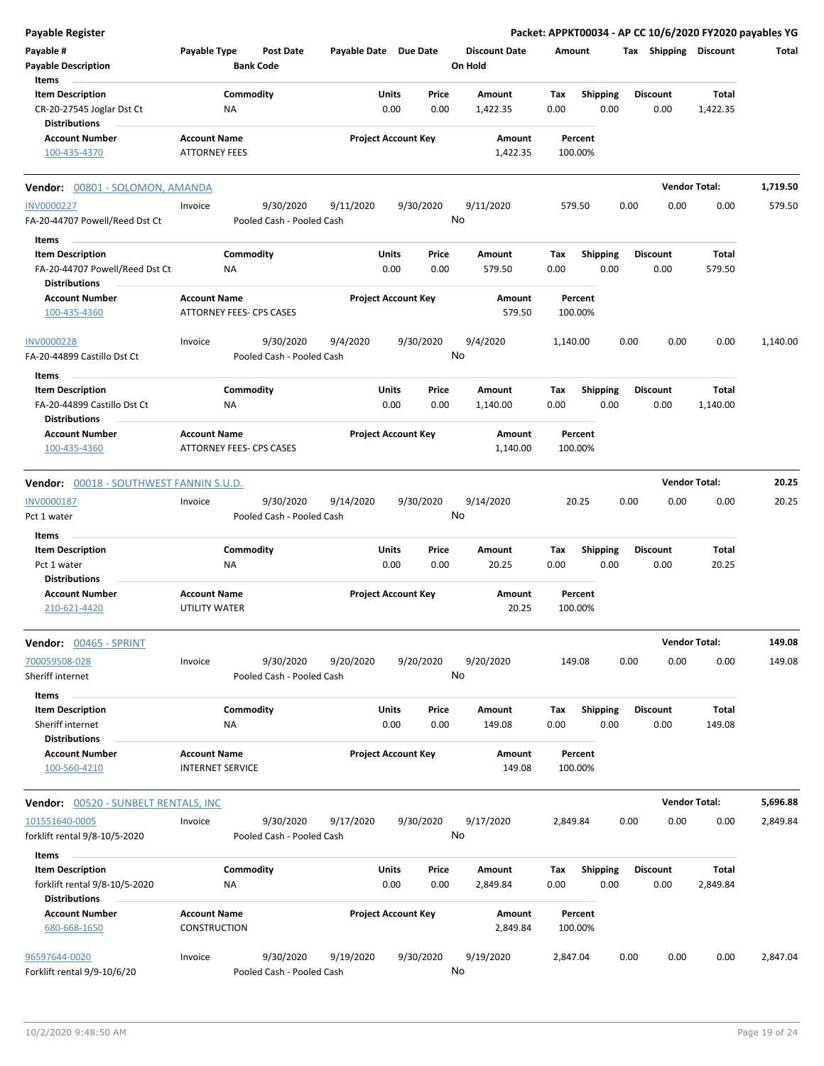| <b>Payable Register</b>                                                                   |                                                      |                                |                                 | Packet: APPKT00034 - AP CC 10/6/2020 FY2020 payables YG |                         |                      |          |
|-------------------------------------------------------------------------------------------|------------------------------------------------------|--------------------------------|---------------------------------|---------------------------------------------------------|-------------------------|----------------------|----------|
| Payable #<br><b>Payable Description</b>                                                   | Payable Type<br><b>Post Date</b><br><b>Bank Code</b> | Payable Date Due Date          | <b>Discount Date</b><br>On Hold | Amount                                                  | Tax Shipping Discount   |                      | Total    |
| Items<br><b>Item Description</b><br>CR-20-27545 Joglar Dst Ct<br><b>Distributions</b>     | Commodity<br><b>NA</b>                               | Units<br>Price<br>0.00<br>0.00 | Amount<br>1,422.35              | <b>Shipping</b><br>Tax<br>0.00<br>0.00                  | <b>Discount</b><br>0.00 | Total<br>1,422.35    |          |
| <b>Account Number</b><br>100-435-4370                                                     | <b>Account Name</b><br><b>ATTORNEY FEES</b>          | <b>Project Account Key</b>     | Amount<br>1,422.35              | Percent<br>100.00%                                      |                         |                      |          |
| Vendor: 00801 - SOLOMON, AMANDA                                                           |                                                      |                                |                                 |                                                         |                         | <b>Vendor Total:</b> | 1,719.50 |
| <b>INV0000227</b><br>FA-20-44707 Powell/Reed Dst Ct                                       | 9/30/2020<br>Invoice<br>Pooled Cash - Pooled Cash    | 9/30/2020<br>9/11/2020         | 9/11/2020<br>No                 | 579.50                                                  | 0.00<br>0.00            | 0.00                 | 579.50   |
| Items                                                                                     |                                                      |                                |                                 |                                                         |                         |                      |          |
| <b>Item Description</b><br>FA-20-44707 Powell/Reed Dst Ct<br><b>Distributions</b>         | Commodity<br>ΝA                                      | Units<br>Price<br>0.00<br>0.00 | Amount<br>579.50                | <b>Shipping</b><br>Tax<br>0.00<br>0.00                  | <b>Discount</b><br>0.00 | Total<br>579.50      |          |
| <b>Account Number</b><br>100-435-4360                                                     | <b>Account Name</b><br>ATTORNEY FEES- CPS CASES      | <b>Project Account Key</b>     | Amount<br>579.50                | Percent<br>100.00%                                      |                         |                      |          |
| <b>INV0000228</b><br>FA-20-44899 Castillo Dst Ct                                          | 9/30/2020<br>Invoice<br>Pooled Cash - Pooled Cash    | 9/30/2020<br>9/4/2020          | 9/4/2020<br>No                  | 1,140.00                                                | 0.00<br>0.00            | 0.00                 | 1,140.00 |
| Items<br><b>Item Description</b><br>FA-20-44899 Castillo Dst Ct<br><b>Distributions</b>   | Commodity<br>ΝA                                      | Units<br>Price<br>0.00<br>0.00 | Amount<br>1,140.00              | <b>Shipping</b><br>Tax<br>0.00<br>0.00                  | <b>Discount</b><br>0.00 | Total<br>1,140.00    |          |
| <b>Account Number</b><br>100-435-4360                                                     | <b>Account Name</b><br>ATTORNEY FEES- CPS CASES      | <b>Project Account Key</b>     | Amount<br>1,140.00              | Percent<br>100.00%                                      |                         |                      |          |
| Vendor: 00018 - SOUTHWEST FANNIN S.U.D.                                                   |                                                      |                                |                                 |                                                         |                         | <b>Vendor Total:</b> | 20.25    |
| INV0000187<br>Pct 1 water                                                                 | 9/30/2020<br>Invoice<br>Pooled Cash - Pooled Cash    | 9/14/2020<br>9/30/2020         | 9/14/2020<br>No                 | 20.25                                                   | 0.00<br>0.00            | 0.00                 | 20.25    |
| Items                                                                                     |                                                      |                                |                                 |                                                         |                         |                      |          |
| <b>Item Description</b><br>Pct 1 water<br><b>Distributions</b>                            | Commodity<br>NA                                      | Units<br>Price<br>0.00<br>0.00 | <b>Amount</b><br>20.25          | Shipping<br>Tax<br>0.00<br>0.00                         | <b>Discount</b><br>0.00 | Total<br>20.25       |          |
| <b>Account Number</b><br>210-621-4420                                                     | <b>Account Name</b><br><b>UTILITY WATER</b>          | <b>Project Account Key</b>     | Amount<br>20.25                 | Percent<br>100.00%                                      |                         |                      |          |
| Vendor: 00465 - SPRINT                                                                    |                                                      |                                |                                 |                                                         |                         | <b>Vendor Total:</b> | 149.08   |
| 700059508-028<br>Sheriff internet                                                         | 9/30/2020<br>Invoice<br>Pooled Cash - Pooled Cash    | 9/20/2020<br>9/20/2020         | 9/20/2020<br>No                 | 149.08                                                  | 0.00<br>0.00            | 0.00                 | 149.08   |
| Items<br><b>Item Description</b><br>Sheriff internet<br><b>Distributions</b>              | Commodity<br>ΝA                                      | Units<br>Price<br>0.00<br>0.00 | Amount<br>149.08                | <b>Shipping</b><br>Tax<br>0.00<br>0.00                  | <b>Discount</b><br>0.00 | Total<br>149.08      |          |
| <b>Account Number</b><br>100-560-4210                                                     | <b>Account Name</b><br><b>INTERNET SERVICE</b>       | <b>Project Account Key</b>     | Amount<br>149.08                | Percent<br>100.00%                                      |                         |                      |          |
| Vendor: 00520 - SUNBELT RENTALS, INC                                                      |                                                      |                                |                                 |                                                         |                         | <b>Vendor Total:</b> | 5,696.88 |
| 101551640-0005<br>forklift rental 9/8-10/5-2020                                           | 9/30/2020<br>Invoice<br>Pooled Cash - Pooled Cash    | 9/17/2020<br>9/30/2020         | 9/17/2020<br>No                 | 2,849.84                                                | 0.00<br>0.00            | 0.00                 | 2,849.84 |
| Items<br><b>Item Description</b><br>forklift rental 9/8-10/5-2020<br><b>Distributions</b> | Commodity<br><b>NA</b>                               | Units<br>Price<br>0.00<br>0.00 | Amount<br>2,849.84              | <b>Shipping</b><br>Tax<br>0.00<br>0.00                  | <b>Discount</b><br>0.00 | Total<br>2,849.84    |          |
| <b>Account Number</b><br>680-668-1650                                                     | <b>Account Name</b><br>CONSTRUCTION                  | <b>Project Account Key</b>     | Amount<br>2,849.84              | Percent<br>100.00%                                      |                         |                      |          |
| 96597644-0020<br>Forklift rental 9/9-10/6/20                                              | 9/30/2020<br>Invoice<br>Pooled Cash - Pooled Cash    | 9/19/2020<br>9/30/2020         | 9/19/2020<br>No                 | 2,847.04                                                | 0.00<br>0.00            | 0.00                 | 2,847.04 |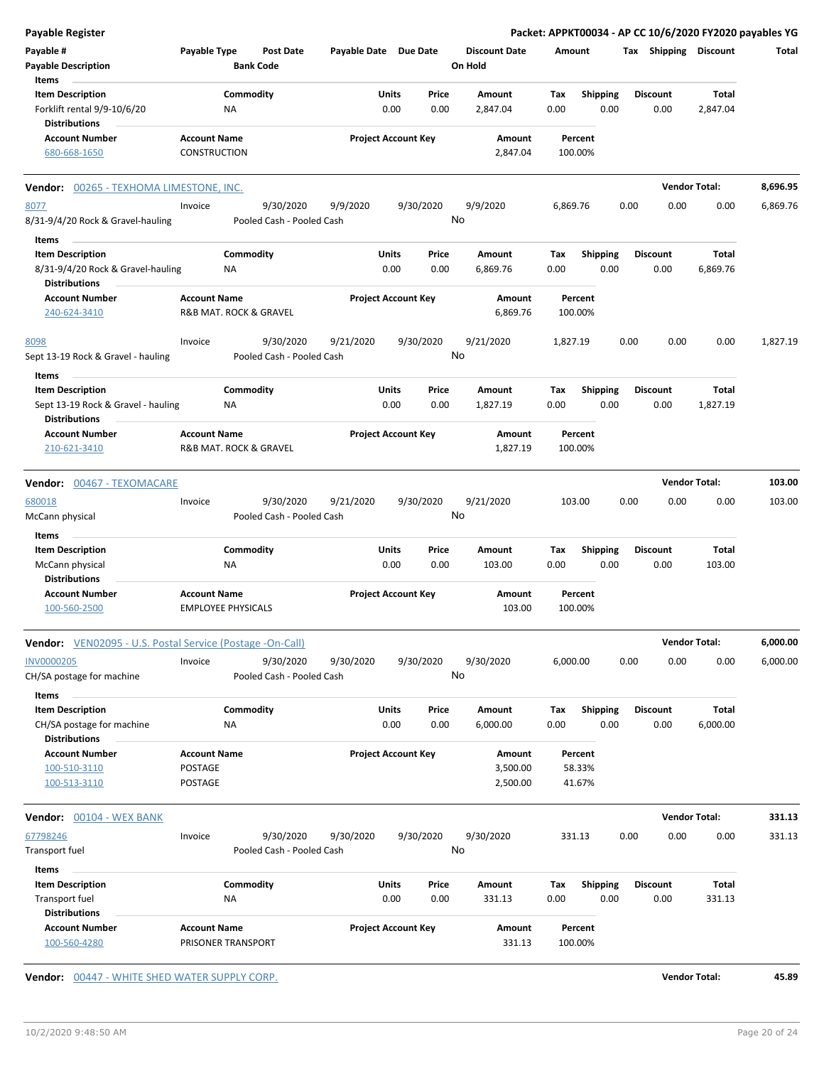| Payable Register                                                 |                           |                           |                            |                            |                      |          |                 | Packet: APPKT00034 - AP CC 10/6/2020 FY2020 payables YG |                      |          |
|------------------------------------------------------------------|---------------------------|---------------------------|----------------------------|----------------------------|----------------------|----------|-----------------|---------------------------------------------------------|----------------------|----------|
| Payable #                                                        | Payable Type              | <b>Post Date</b>          | Payable Date Due Date      |                            | <b>Discount Date</b> | Amount   |                 | Tax Shipping Discount                                   |                      | Total    |
| <b>Payable Description</b>                                       | <b>Bank Code</b>          |                           |                            |                            | On Hold              |          |                 |                                                         |                      |          |
| Items                                                            |                           |                           |                            |                            |                      |          |                 |                                                         |                      |          |
| <b>Item Description</b>                                          | Commodity                 |                           | Units                      | Price                      | Amount               | Tax      | <b>Shipping</b> | <b>Discount</b>                                         | Total                |          |
| Forklift rental 9/9-10/6/20                                      | NA                        |                           | 0.00                       | 0.00                       | 2,847.04             | 0.00     | 0.00            | 0.00                                                    | 2,847.04             |          |
| <b>Distributions</b>                                             |                           |                           |                            |                            |                      |          |                 |                                                         |                      |          |
| <b>Account Number</b>                                            | <b>Account Name</b>       |                           | <b>Project Account Key</b> |                            | Amount               | Percent  |                 |                                                         |                      |          |
| 680-668-1650                                                     | CONSTRUCTION              |                           |                            |                            | 2,847.04             | 100.00%  |                 |                                                         |                      |          |
|                                                                  |                           |                           |                            |                            |                      |          |                 |                                                         |                      |          |
| Vendor: 00265 - TEXHOMA LIMESTONE, INC.                          |                           |                           |                            |                            |                      |          |                 |                                                         | <b>Vendor Total:</b> | 8,696.95 |
|                                                                  |                           |                           |                            |                            |                      |          |                 |                                                         |                      |          |
| 8077                                                             | Invoice                   | 9/30/2020                 | 9/9/2020                   | 9/30/2020                  | 9/9/2020<br>No       | 6,869.76 |                 | 0.00<br>0.00                                            | 0.00                 | 6,869.76 |
| 8/31-9/4/20 Rock & Gravel-hauling                                |                           | Pooled Cash - Pooled Cash |                            |                            |                      |          |                 |                                                         |                      |          |
| Items                                                            |                           |                           |                            |                            |                      |          |                 |                                                         |                      |          |
| <b>Item Description</b>                                          | Commodity                 |                           | Units                      | Price                      | Amount               | Tax      | <b>Shipping</b> | <b>Discount</b>                                         | Total                |          |
| 8/31-9/4/20 Rock & Gravel-hauling                                | ΝA                        |                           | 0.00                       | 0.00                       | 6,869.76             | 0.00     | 0.00            | 0.00                                                    | 6,869.76             |          |
| <b>Distributions</b>                                             |                           |                           |                            |                            |                      |          |                 |                                                         |                      |          |
| <b>Account Number</b>                                            | <b>Account Name</b>       |                           | <b>Project Account Key</b> |                            | Amount               | Percent  |                 |                                                         |                      |          |
| 240-624-3410                                                     | R&B MAT. ROCK & GRAVEL    |                           |                            |                            | 6,869.76             | 100.00%  |                 |                                                         |                      |          |
|                                                                  |                           |                           |                            |                            |                      |          |                 |                                                         |                      |          |
| 8098                                                             | Invoice                   | 9/30/2020                 | 9/21/2020                  | 9/30/2020                  | 9/21/2020            | 1,827.19 |                 | 0.00<br>0.00                                            | 0.00                 | 1,827.19 |
| Sept 13-19 Rock & Gravel - hauling                               |                           | Pooled Cash - Pooled Cash |                            |                            | No                   |          |                 |                                                         |                      |          |
| Items                                                            |                           |                           |                            |                            |                      |          |                 |                                                         |                      |          |
| <b>Item Description</b>                                          | Commodity                 |                           | Units                      | Price                      | Amount               | Tax      | <b>Shipping</b> | <b>Discount</b>                                         | Total                |          |
| Sept 13-19 Rock & Gravel - hauling                               | ΝA                        |                           | 0.00                       | 0.00                       | 1,827.19             | 0.00     | 0.00            | 0.00                                                    | 1,827.19             |          |
| <b>Distributions</b>                                             |                           |                           |                            |                            |                      |          |                 |                                                         |                      |          |
| <b>Account Number</b>                                            | <b>Account Name</b>       |                           | <b>Project Account Key</b> |                            | Amount               | Percent  |                 |                                                         |                      |          |
| 210-621-3410                                                     | R&B MAT. ROCK & GRAVEL    |                           |                            |                            | 1,827.19             | 100.00%  |                 |                                                         |                      |          |
|                                                                  |                           |                           |                            |                            |                      |          |                 |                                                         |                      |          |
| Vendor: 00467 - TEXOMACARE                                       |                           |                           |                            |                            |                      |          |                 |                                                         | <b>Vendor Total:</b> | 103.00   |
| 680018                                                           | Invoice                   | 9/30/2020                 | 9/21/2020                  | 9/30/2020                  | 9/21/2020            | 103.00   |                 | 0.00<br>0.00                                            | 0.00                 | 103.00   |
| McCann physical                                                  |                           | Pooled Cash - Pooled Cash |                            |                            | No                   |          |                 |                                                         |                      |          |
| Items                                                            |                           |                           |                            |                            |                      |          |                 |                                                         |                      |          |
| <b>Item Description</b>                                          | Commodity                 |                           | Units                      | Price                      | Amount               | Tax      | <b>Shipping</b> | <b>Discount</b>                                         | Total                |          |
| McCann physical                                                  | NA                        |                           | 0.00                       | 0.00                       | 103.00               | 0.00     | 0.00            | 0.00                                                    | 103.00               |          |
| <b>Distributions</b>                                             |                           |                           |                            |                            |                      |          |                 |                                                         |                      |          |
| <b>Account Number</b>                                            | <b>Account Name</b>       |                           | <b>Project Account Key</b> |                            | Amount               | Percent  |                 |                                                         |                      |          |
| 100-560-2500                                                     | <b>EMPLOYEE PHYSICALS</b> |                           |                            |                            | 103.00               | 100.00%  |                 |                                                         |                      |          |
|                                                                  |                           |                           |                            |                            |                      |          |                 |                                                         |                      |          |
| <b>Vendor:</b> VEN02095 - U.S. Postal Service (Postage -On-Call) |                           |                           |                            |                            |                      |          |                 |                                                         | <b>Vendor Total:</b> | 6,000.00 |
| INV0000205                                                       | Invoice                   | 9/30/2020                 | 9/30/2020                  | 9/30/2020                  | 9/30/2020            | 6,000.00 |                 | 0.00<br>0.00                                            | 0.00                 | 6,000.00 |
| CH/SA postage for machine                                        |                           | Pooled Cash - Pooled Cash |                            |                            | No                   |          |                 |                                                         |                      |          |
| Items                                                            |                           |                           |                            |                            |                      |          |                 |                                                         |                      |          |
| <b>Item Description</b>                                          | Commodity                 |                           | Units                      | Price                      | Amount               | Tax      | Shipping        | <b>Discount</b>                                         | Total                |          |
| CH/SA postage for machine                                        | ΝA                        |                           | 0.00                       | 0.00                       | 6,000.00             | 0.00     | 0.00            | 0.00                                                    | 6,000.00             |          |
| <b>Distributions</b>                                             |                           |                           |                            |                            |                      |          |                 |                                                         |                      |          |
| <b>Account Number</b>                                            | <b>Account Name</b>       |                           | <b>Project Account Key</b> |                            | Amount               | Percent  |                 |                                                         |                      |          |
| 100-510-3110                                                     | <b>POSTAGE</b>            |                           |                            |                            | 3,500.00             | 58.33%   |                 |                                                         |                      |          |
| 100-513-3110                                                     | POSTAGE                   |                           |                            |                            | 2,500.00             | 41.67%   |                 |                                                         |                      |          |
|                                                                  |                           |                           |                            |                            |                      |          |                 |                                                         |                      |          |
| <b>Vendor:</b> 00104 - WEX BANK                                  |                           |                           |                            |                            |                      |          |                 |                                                         | <b>Vendor Total:</b> | 331.13   |
| 67798246                                                         | Invoice                   | 9/30/2020                 | 9/30/2020                  | 9/30/2020                  | 9/30/2020            | 331.13   |                 | 0.00<br>0.00                                            | 0.00                 | 331.13   |
| <b>Transport fuel</b>                                            |                           | Pooled Cash - Pooled Cash |                            |                            | No                   |          |                 |                                                         |                      |          |
|                                                                  |                           |                           |                            |                            |                      |          |                 |                                                         |                      |          |
| Items                                                            |                           |                           |                            |                            |                      |          |                 |                                                         |                      |          |
| <b>Item Description</b>                                          | Commodity                 |                           | Units                      | Price                      | Amount               | Tax      | <b>Shipping</b> | <b>Discount</b>                                         | Total                |          |
| Transport fuel                                                   | ΝA                        |                           | 0.00                       | 0.00                       | 331.13               | 0.00     | 0.00            | 0.00                                                    | 331.13               |          |
| <b>Distributions</b>                                             |                           |                           |                            |                            |                      |          |                 |                                                         |                      |          |
| <b>Account Number</b>                                            | <b>Account Name</b>       |                           |                            | <b>Project Account Key</b> | Amount               | Percent  |                 |                                                         |                      |          |
| 100-560-4280                                                     | PRISONER TRANSPORT        |                           |                            |                            | 331.13               | 100.00%  |                 |                                                         |                      |          |

**Vendor:** 00447 - WHITE SHED WATER SUPPLY CORP. **Vendor Total: 45.89**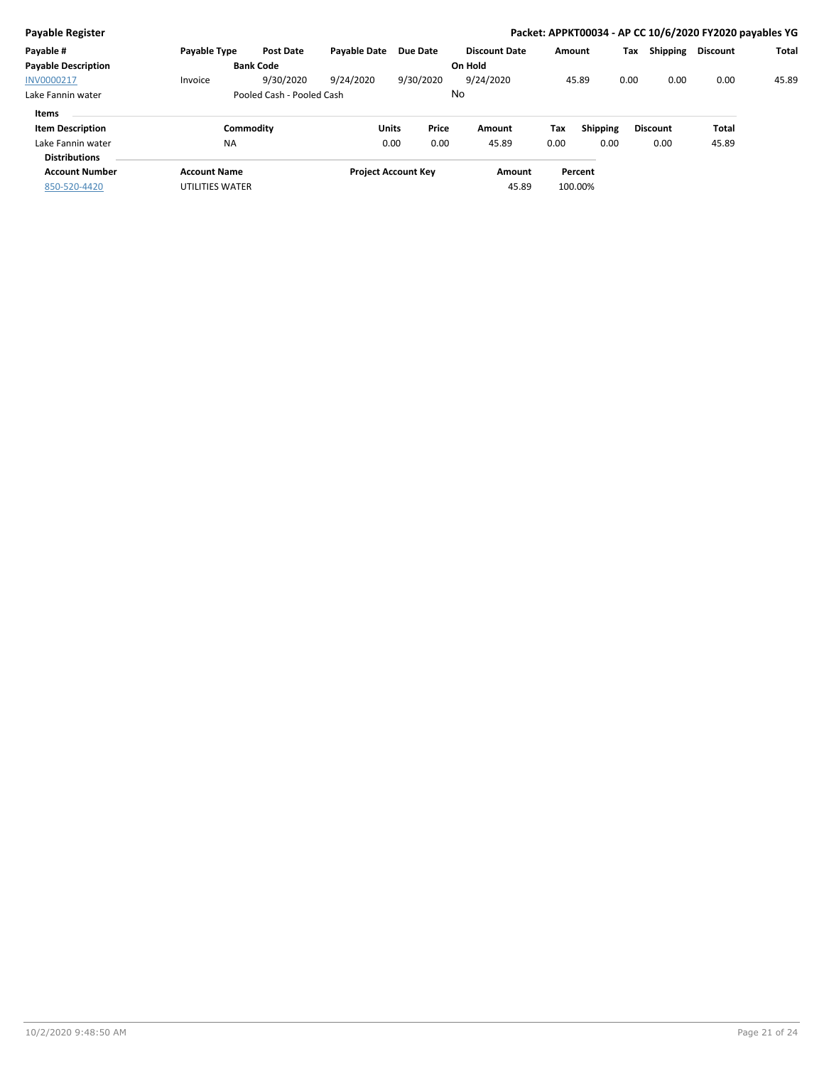| <b>Payable Register</b>    |                     |                           |                            |              |           |                      |        |                 |      |                 | Packet: APPKT00034 - AP CC 10/6/2020 FY2020 payables YG |              |
|----------------------------|---------------------|---------------------------|----------------------------|--------------|-----------|----------------------|--------|-----------------|------|-----------------|---------------------------------------------------------|--------------|
| Payable #                  | <b>Payable Type</b> | <b>Post Date</b>          | <b>Payable Date</b>        |              | Due Date  | <b>Discount Date</b> | Amount |                 | Tax  | <b>Shipping</b> | <b>Discount</b>                                         | <b>Total</b> |
| <b>Payable Description</b> |                     | <b>Bank Code</b>          |                            |              |           | On Hold              |        |                 |      |                 |                                                         |              |
| INV0000217                 | Invoice             | 9/30/2020                 | 9/24/2020                  |              | 9/30/2020 | 9/24/2020            |        | 45.89           | 0.00 | 0.00            | 0.00                                                    | 45.89        |
| Lake Fannin water          |                     | Pooled Cash - Pooled Cash |                            |              | No        |                      |        |                 |      |                 |                                                         |              |
| Items                      |                     |                           |                            |              |           |                      |        |                 |      |                 |                                                         |              |
| <b>Item Description</b>    | Commodity           |                           |                            | <b>Units</b> | Price     | Amount               | Tax    | <b>Shipping</b> |      | <b>Discount</b> | Total                                                   |              |
| Lake Fannin water          | <b>NA</b>           |                           |                            | 0.00         | 0.00      | 45.89                | 0.00   | 0.00            |      | 0.00            | 45.89                                                   |              |
| <b>Distributions</b>       |                     |                           |                            |              |           |                      |        |                 |      |                 |                                                         |              |
| <b>Account Number</b>      | <b>Account Name</b> |                           | <b>Project Account Key</b> |              |           | Amount               |        | Percent         |      |                 |                                                         |              |
| 850-520-4420               | UTILITIES WATER     |                           |                            |              |           | 45.89                |        | 100.00%         |      |                 |                                                         |              |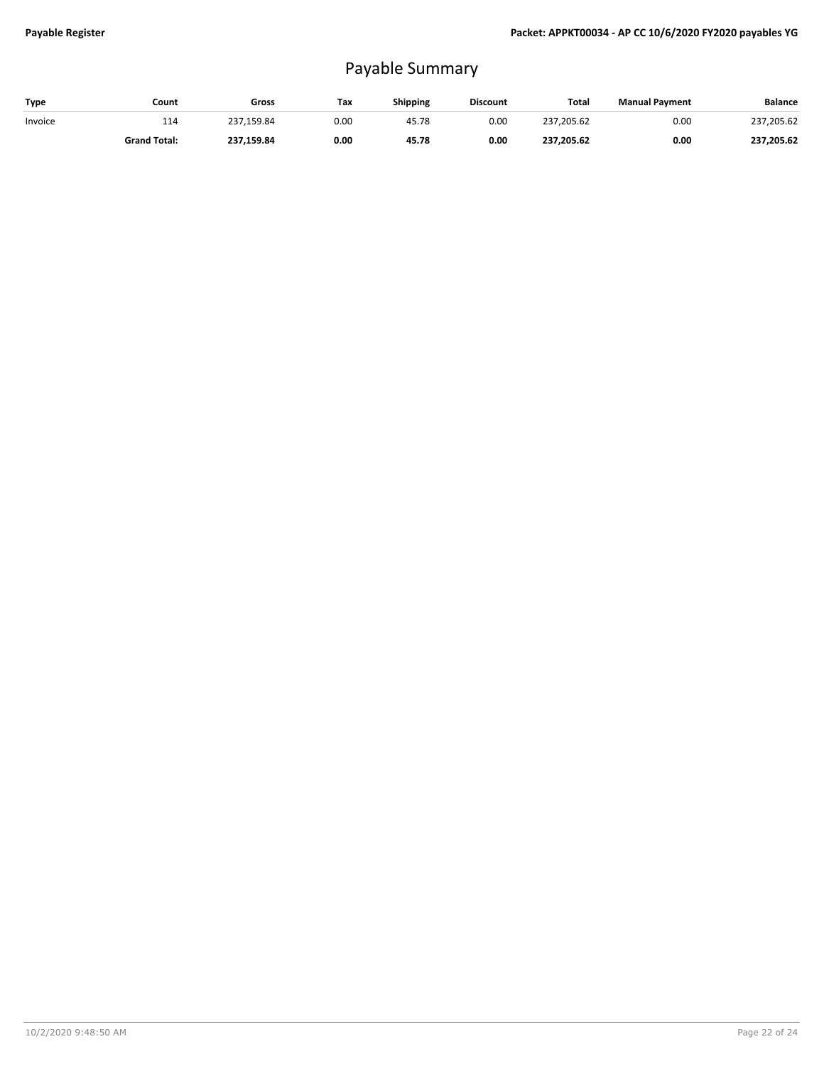## Payable Summary

| Type    | Count               | Gross      | Tax  | Shipping | <b>Discount</b> | Total      | <b>Manual Payment</b> | Balance    |
|---------|---------------------|------------|------|----------|-----------------|------------|-----------------------|------------|
| Invoice | 114                 | 237,159.84 | 0.00 | 45.78    | 0.00            | 237,205.62 | 0.00                  | 237,205.62 |
|         | <b>Grand Total:</b> | 237,159.84 | 0.00 | 45.78    | 0.00            | 237,205.62 | 0.00                  | 237,205.62 |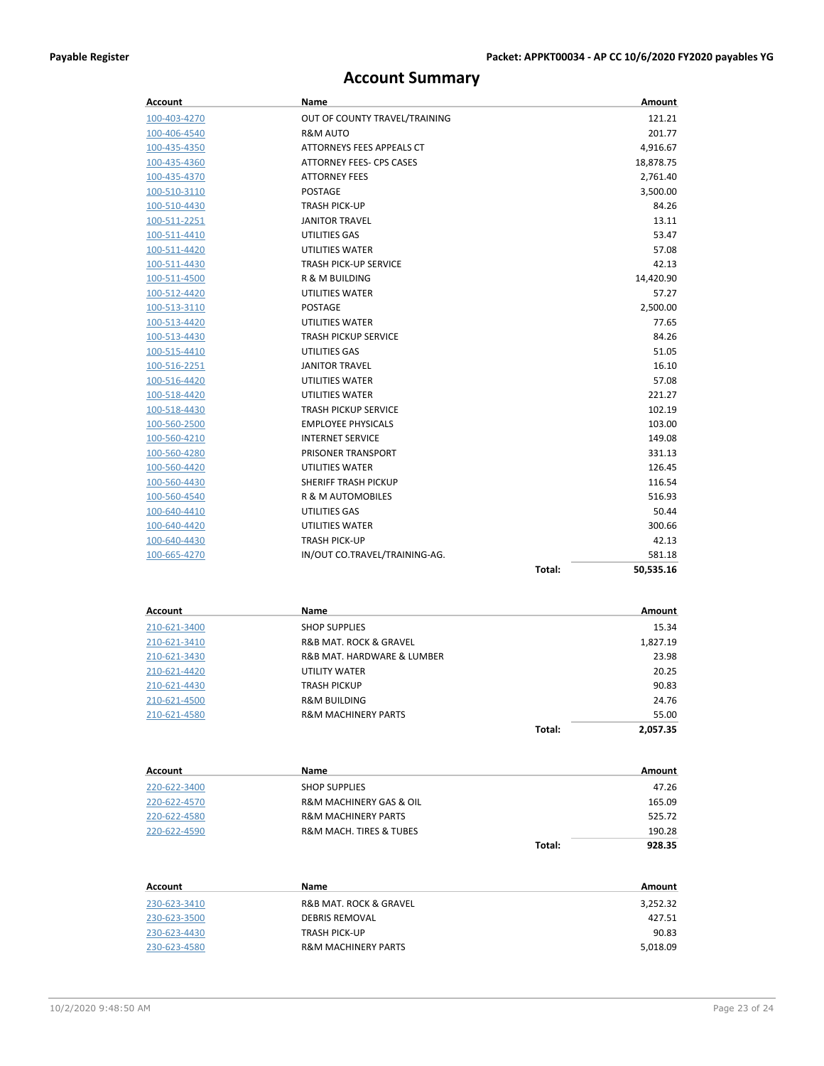#### **Account Summary**

| Account                      | Name                                        |        | Amount              |
|------------------------------|---------------------------------------------|--------|---------------------|
| 100-403-4270                 | OUT OF COUNTY TRAVEL/TRAINING               |        | 121.21              |
| 100-406-4540                 | R&M AUTO                                    |        | 201.77              |
| 100-435-4350                 | ATTORNEYS FEES APPEALS CT                   |        | 4,916.67            |
| 100-435-4360                 | <b>ATTORNEY FEES- CPS CASES</b>             |        | 18,878.75           |
| 100-435-4370                 | <b>ATTORNEY FEES</b>                        |        | 2,761.40            |
| <u>100-510-3110</u>          | <b>POSTAGE</b>                              |        | 3,500.00            |
| 100-510-4430                 | <b>TRASH PICK-UP</b>                        |        | 84.26               |
| 100-511-2251                 | <b>JANITOR TRAVEL</b>                       |        | 13.11               |
| 100-511-4410                 | UTILITIES GAS                               |        | 53.47               |
| 100-511-4420                 | UTILITIES WATER                             |        | 57.08               |
| 100-511-4430                 | <b>TRASH PICK-UP SERVICE</b>                |        | 42.13               |
| 100-511-4500                 | R & M BUILDING                              |        | 14,420.90           |
| 100-512-4420                 | UTILITIES WATER                             |        | 57.27               |
| 100-513-3110                 | <b>POSTAGE</b>                              |        | 2,500.00            |
| 100-513-4420                 | UTILITIES WATER                             |        | 77.65               |
| 100-513-4430                 | <b>TRASH PICKUP SERVICE</b>                 |        | 84.26               |
| 100-515-4410                 | UTILITIES GAS                               |        | 51.05               |
| 100-516-2251                 | <b>JANITOR TRAVEL</b>                       |        | 16.10               |
| 100-516-4420                 | UTILITIES WATER                             |        | 57.08               |
| 100-518-4420                 | UTILITIES WATER                             |        | 221.27              |
| 100-518-4430                 | <b>TRASH PICKUP SERVICE</b>                 |        | 102.19              |
| 100-560-2500                 | <b>EMPLOYEE PHYSICALS</b>                   |        | 103.00              |
| 100-560-4210                 | <b>INTERNET SERVICE</b>                     |        | 149.08              |
| 100-560-4280                 | PRISONER TRANSPORT                          |        | 331.13              |
| 100-560-4420                 | UTILITIES WATER                             |        | 126.45              |
| 100-560-4430                 | <b>SHERIFF TRASH PICKUP</b>                 |        | 116.54              |
| 100-560-4540                 | R & M AUTOMOBILES                           |        | 516.93              |
| 100-640-4410                 | UTILITIES GAS                               |        | 50.44               |
| 100-640-4420                 | UTILITIES WATER                             |        | 300.66              |
| 100-640-4430                 | <b>TRASH PICK-UP</b>                        |        | 42.13               |
| 100-665-4270                 | IN/OUT CO.TRAVEL/TRAINING-AG.               | Total: | 581.18<br>50,535.16 |
|                              |                                             |        |                     |
|                              |                                             |        |                     |
| Account                      | Name                                        |        | Amount              |
| 210-621-3400                 | <b>SHOP SUPPLIES</b>                        |        | 15.34               |
| 210-621-3410                 | R&B MAT. ROCK & GRAVEL                      |        | 1,827.19            |
| 210-621-3430                 | R&B MAT. HARDWARE & LUMBER                  |        | 23.98               |
| 210-621-4420<br>210-621-4430 | <b>UTILITY WATER</b><br><b>TRASH PICKUP</b> |        | 20.25<br>90.83      |
| 210-621-4500                 | <b>R&amp;M BUILDING</b>                     |        | 24.76               |
| 210-621-4580                 | <b>R&amp;M MACHINERY PARTS</b>              |        | 55.00               |
|                              |                                             | Total: | 2,057.35            |
|                              |                                             |        |                     |
| Account                      | Name                                        |        | Amount              |
| 220-622-3400                 | <b>SHOP SUPPLIES</b>                        |        | 47.26               |
| 220-622-4570                 | R&M MACHINERY GAS & OIL                     |        | 165.09              |
| 220-622-4580                 | <b>R&amp;M MACHINERY PARTS</b>              |        | 525.72              |
| 220-622-4590                 | R&M MACH. TIRES & TUBES                     |        | 190.28              |
|                              |                                             | Total: | 928.35              |
|                              |                                             |        |                     |
| Account                      | Name                                        |        | Amount              |
| <u>230-623-3410</u>          | R&B MAT. ROCK & GRAVEL                      |        | 3,252.32            |
| 230-623-3500                 | DEBRIS REMOVAL                              |        | 427.51              |
| 230-623-4430                 | <b>TRASH PICK-UP</b>                        |        | 90.83               |

230-623-4580 R&M MACHINERY PARTS 5,018.09

230-623-4430